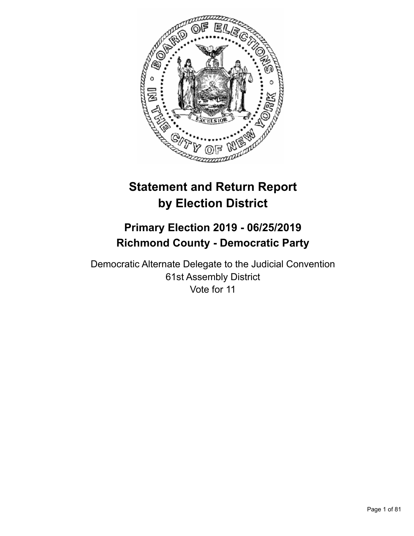

# **Statement and Return Report by Election District**

## **Primary Election 2019 - 06/25/2019 Richmond County - Democratic Party**

Democratic Alternate Delegate to the Judicial Convention 61st Assembly District Vote for 11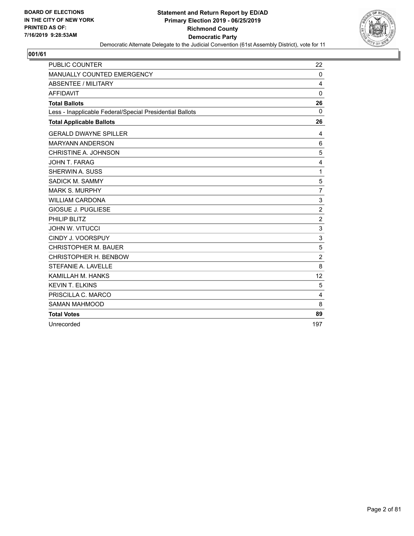

| <b>PUBLIC COUNTER</b>                                    | 22             |
|----------------------------------------------------------|----------------|
| MANUALLY COUNTED EMERGENCY                               | 0              |
| <b>ABSENTEE / MILITARY</b>                               | 4              |
| <b>AFFIDAVIT</b>                                         | $\mathbf 0$    |
| <b>Total Ballots</b>                                     | 26             |
| Less - Inapplicable Federal/Special Presidential Ballots | 0              |
| <b>Total Applicable Ballots</b>                          | 26             |
| <b>GERALD DWAYNE SPILLER</b>                             | 4              |
| <b>MARYANN ANDERSON</b>                                  | 6              |
| CHRISTINE A. JOHNSON                                     | 5              |
| JOHN T. FARAG                                            | 4              |
| SHERWIN A. SUSS                                          | $\mathbf{1}$   |
| SADICK M. SAMMY                                          | 5              |
| <b>MARK S. MURPHY</b>                                    | $\overline{7}$ |
| <b>WILLIAM CARDONA</b>                                   | 3              |
| <b>GIOSUE J. PUGLIESE</b>                                | $\overline{c}$ |
| PHILIP BLITZ                                             | $\overline{2}$ |
| <b>JOHN W. VITUCCI</b>                                   | 3              |
| CINDY J. VOORSPUY                                        | 3              |
| <b>CHRISTOPHER M. BAUER</b>                              | 5              |
| CHRISTOPHER H. BENBOW                                    | $\overline{2}$ |
| STEFANIE A. LAVELLE                                      | 8              |
| KAMILLAH M. HANKS                                        | 12             |
| <b>KEVIN T. ELKINS</b>                                   | 5              |
| PRISCILLA C. MARCO                                       | $\overline{4}$ |
| <b>SAMAN MAHMOOD</b>                                     | 8              |
| <b>Total Votes</b>                                       | 89             |
| Unrecorded                                               | 197            |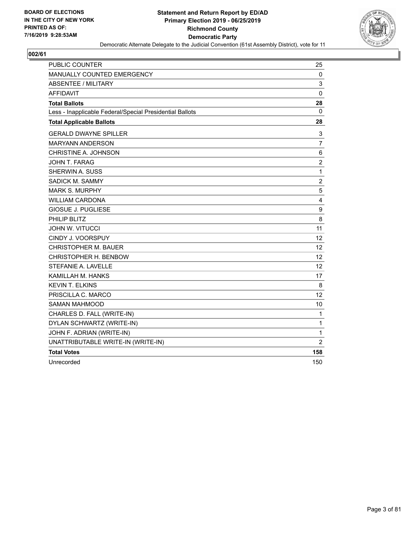

| <b>PUBLIC COUNTER</b>                                    | 25             |
|----------------------------------------------------------|----------------|
| MANUALLY COUNTED EMERGENCY                               | 0              |
| ABSENTEE / MILITARY                                      | 3              |
| <b>AFFIDAVIT</b>                                         | $\mathbf 0$    |
| <b>Total Ballots</b>                                     | 28             |
| Less - Inapplicable Federal/Special Presidential Ballots | $\mathbf{0}$   |
| <b>Total Applicable Ballots</b>                          | 28             |
| <b>GERALD DWAYNE SPILLER</b>                             | 3              |
| <b>MARYANN ANDERSON</b>                                  | 7              |
| CHRISTINE A. JOHNSON                                     | 6              |
| <b>JOHN T. FARAG</b>                                     | $\overline{c}$ |
| SHERWIN A. SUSS                                          | $\mathbf{1}$   |
| SADICK M. SAMMY                                          | $\overline{c}$ |
| <b>MARK S. MURPHY</b>                                    | 5              |
| <b>WILLIAM CARDONA</b>                                   | 4              |
| <b>GIOSUE J. PUGLIESE</b>                                | 9              |
| PHILIP BLITZ                                             | 8              |
| <b>JOHN W. VITUCCI</b>                                   | 11             |
| CINDY J. VOORSPUY                                        | 12             |
| <b>CHRISTOPHER M. BAUER</b>                              | 12             |
| CHRISTOPHER H. BENBOW                                    | 12             |
| STEFANIE A. LAVELLE                                      | 12             |
| KAMILLAH M. HANKS                                        | 17             |
| <b>KEVIN T. ELKINS</b>                                   | 8              |
| PRISCILLA C. MARCO                                       | 12             |
| <b>SAMAN MAHMOOD</b>                                     | 10             |
| CHARLES D. FALL (WRITE-IN)                               | 1              |
| DYLAN SCHWARTZ (WRITE-IN)                                | $\mathbf{1}$   |
| JOHN F. ADRIAN (WRITE-IN)                                | 1              |
| UNATTRIBUTABLE WRITE-IN (WRITE-IN)                       | $\overline{2}$ |
| <b>Total Votes</b>                                       | 158            |
| Unrecorded                                               | 150            |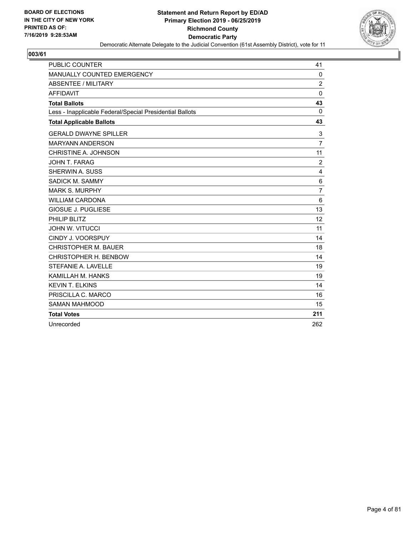

| <b>PUBLIC COUNTER</b>                                    | 41             |
|----------------------------------------------------------|----------------|
| MANUALLY COUNTED EMERGENCY                               | 0              |
| <b>ABSENTEE / MILITARY</b>                               | $\overline{2}$ |
| <b>AFFIDAVIT</b>                                         | $\mathbf 0$    |
| <b>Total Ballots</b>                                     | 43             |
| Less - Inapplicable Federal/Special Presidential Ballots | $\mathbf 0$    |
| <b>Total Applicable Ballots</b>                          | 43             |
| <b>GERALD DWAYNE SPILLER</b>                             | 3              |
| <b>MARYANN ANDERSON</b>                                  | $\overline{7}$ |
| CHRISTINE A. JOHNSON                                     | 11             |
| JOHN T. FARAG                                            | $\overline{2}$ |
| <b>SHERWIN A. SUSS</b>                                   | 4              |
| SADICK M. SAMMY                                          | 6              |
| <b>MARK S. MURPHY</b>                                    | 7              |
| <b>WILLIAM CARDONA</b>                                   | 6              |
| <b>GIOSUE J. PUGLIESE</b>                                | 13             |
| PHILIP BLITZ                                             | 12             |
| <b>JOHN W. VITUCCI</b>                                   | 11             |
| CINDY J. VOORSPUY                                        | 14             |
| <b>CHRISTOPHER M. BAUER</b>                              | 18             |
| CHRISTOPHER H. BENBOW                                    | 14             |
| STEFANIE A. LAVELLE                                      | 19             |
| KAMILLAH M. HANKS                                        | 19             |
| <b>KEVIN T. ELKINS</b>                                   | 14             |
| PRISCILLA C. MARCO                                       | 16             |
| <b>SAMAN MAHMOOD</b>                                     | 15             |
| <b>Total Votes</b>                                       | 211            |
| Unrecorded                                               | 262            |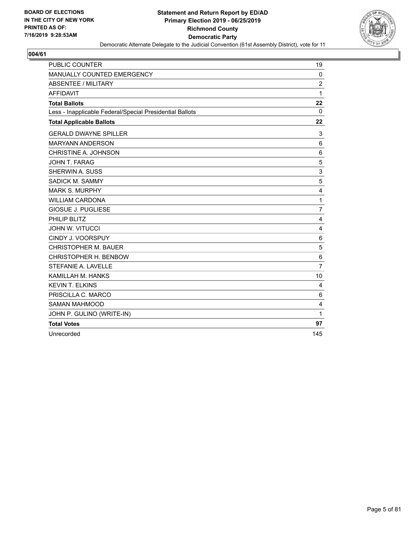

| <b>PUBLIC COUNTER</b>                                    | 19             |
|----------------------------------------------------------|----------------|
| MANUALLY COUNTED EMERGENCY                               | $\mathbf{0}$   |
| ABSENTEE / MILITARY                                      | $\overline{2}$ |
| <b>AFFIDAVIT</b>                                         | 1              |
| <b>Total Ballots</b>                                     | 22             |
| Less - Inapplicable Federal/Special Presidential Ballots | $\mathbf{0}$   |
| <b>Total Applicable Ballots</b>                          | 22             |
| <b>GERALD DWAYNE SPILLER</b>                             | 3              |
| <b>MARYANN ANDERSON</b>                                  | 6              |
| CHRISTINE A. JOHNSON                                     | 6              |
| <b>JOHN T. FARAG</b>                                     | 5              |
| SHERWIN A. SUSS                                          | 3              |
| SADICK M. SAMMY                                          | 5              |
| <b>MARK S. MURPHY</b>                                    | 4              |
| <b>WILLIAM CARDONA</b>                                   | $\mathbf{1}$   |
| <b>GIOSUE J. PUGLIESE</b>                                | $\overline{7}$ |
| PHILIP BLITZ                                             | 4              |
| <b>JOHN W. VITUCCI</b>                                   | 4              |
| CINDY J. VOORSPUY                                        | 6              |
| <b>CHRISTOPHER M. BAUER</b>                              | 5              |
| CHRISTOPHER H. BENBOW                                    | 6              |
| STEFANIE A. LAVELLE                                      | $\overline{7}$ |
| KAMILLAH M. HANKS                                        | 10             |
| <b>KEVIN T. ELKINS</b>                                   | 4              |
| PRISCILLA C. MARCO                                       | 6              |
| <b>SAMAN MAHMOOD</b>                                     | 4              |
| JOHN P. GULINO (WRITE-IN)                                | $\mathbf{1}$   |
| <b>Total Votes</b>                                       | 97             |
| Unrecorded                                               | 145            |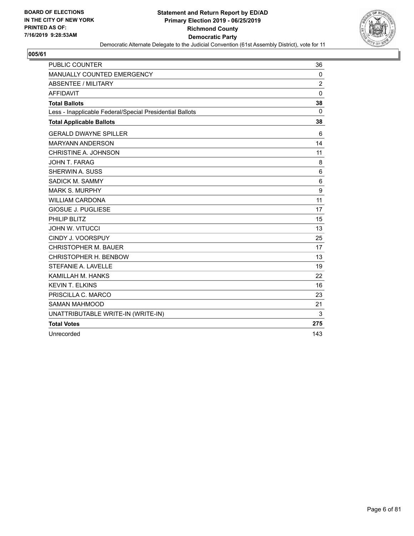

| <b>PUBLIC COUNTER</b>                                    | 36             |
|----------------------------------------------------------|----------------|
| MANUALLY COUNTED EMERGENCY                               | $\mathbf 0$    |
| ABSENTEE / MILITARY                                      | $\overline{2}$ |
| <b>AFFIDAVIT</b>                                         | $\mathbf 0$    |
| <b>Total Ballots</b>                                     | 38             |
| Less - Inapplicable Federal/Special Presidential Ballots | $\mathbf{0}$   |
| <b>Total Applicable Ballots</b>                          | 38             |
| <b>GERALD DWAYNE SPILLER</b>                             | 6              |
| <b>MARYANN ANDERSON</b>                                  | 14             |
| CHRISTINE A. JOHNSON                                     | 11             |
| JOHN T. FARAG                                            | 8              |
| SHERWIN A. SUSS                                          | 6              |
| SADICK M. SAMMY                                          | 6              |
| <b>MARK S. MURPHY</b>                                    | 9              |
| <b>WILLIAM CARDONA</b>                                   | 11             |
| <b>GIOSUE J. PUGLIESE</b>                                | 17             |
| PHILIP BLITZ                                             | 15             |
| <b>JOHN W. VITUCCI</b>                                   | 13             |
| CINDY J. VOORSPUY                                        | 25             |
| <b>CHRISTOPHER M. BAUER</b>                              | 17             |
| CHRISTOPHER H. BENBOW                                    | 13             |
| STEFANIE A. LAVELLE                                      | 19             |
| KAMILLAH M. HANKS                                        | 22             |
| <b>KEVIN T. ELKINS</b>                                   | 16             |
| PRISCILLA C. MARCO                                       | 23             |
| <b>SAMAN MAHMOOD</b>                                     | 21             |
| UNATTRIBUTABLE WRITE-IN (WRITE-IN)                       | 3              |
| <b>Total Votes</b>                                       | 275            |
| Unrecorded                                               | 143            |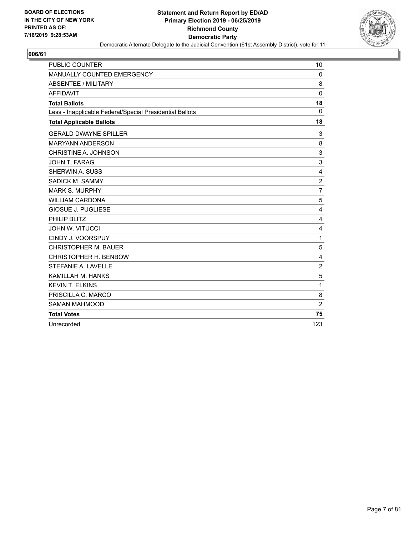

| PUBLIC COUNTER                                           | 10             |
|----------------------------------------------------------|----------------|
| MANUALLY COUNTED EMERGENCY                               | $\Omega$       |
| <b>ABSENTEE / MILITARY</b>                               | 8              |
| <b>AFFIDAVIT</b>                                         | $\mathbf{0}$   |
| <b>Total Ballots</b>                                     | 18             |
| Less - Inapplicable Federal/Special Presidential Ballots | $\Omega$       |
| <b>Total Applicable Ballots</b>                          | 18             |
| <b>GERALD DWAYNE SPILLER</b>                             | 3              |
| <b>MARYANN ANDERSON</b>                                  | 8              |
| CHRISTINE A. JOHNSON                                     | 3              |
| JOHN T. FARAG                                            | 3              |
| <b>SHERWIN A. SUSS</b>                                   | 4              |
| SADICK M. SAMMY                                          | $\overline{c}$ |
| <b>MARK S. MURPHY</b>                                    | $\overline{7}$ |
| <b>WILLIAM CARDONA</b>                                   | 5              |
| <b>GIOSUE J. PUGLIESE</b>                                | 4              |
| PHILIP BLITZ                                             | 4              |
| <b>JOHN W. VITUCCI</b>                                   | 4              |
| CINDY J. VOORSPUY                                        | 1              |
| <b>CHRISTOPHER M. BAUER</b>                              | 5              |
| CHRISTOPHER H. BENBOW                                    | 4              |
| STEFANIE A. LAVELLE                                      | $\overline{c}$ |
| KAMILLAH M. HANKS                                        | 5              |
| <b>KEVIN T. ELKINS</b>                                   | 1              |
| PRISCILLA C. MARCO                                       | 8              |
| <b>SAMAN MAHMOOD</b>                                     | $\overline{2}$ |
| <b>Total Votes</b>                                       | 75             |
| Unrecorded                                               | 123            |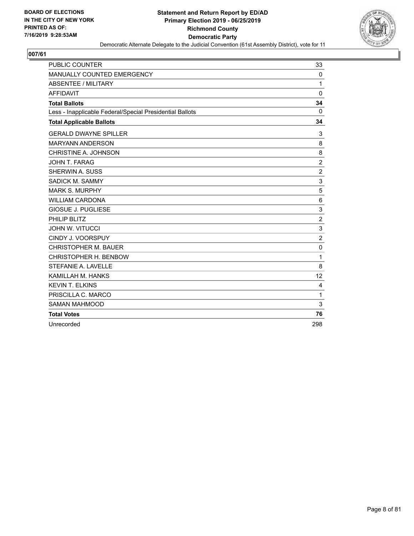

| <b>PUBLIC COUNTER</b>                                    | 33             |
|----------------------------------------------------------|----------------|
| MANUALLY COUNTED EMERGENCY                               | $\mathbf 0$    |
| <b>ABSENTEE / MILITARY</b>                               | 1              |
| <b>AFFIDAVIT</b>                                         | $\mathbf 0$    |
| <b>Total Ballots</b>                                     | 34             |
| Less - Inapplicable Federal/Special Presidential Ballots | 0              |
| <b>Total Applicable Ballots</b>                          | 34             |
| <b>GERALD DWAYNE SPILLER</b>                             | 3              |
| <b>MARYANN ANDERSON</b>                                  | 8              |
| CHRISTINE A. JOHNSON                                     | 8              |
| JOHN T. FARAG                                            | $\overline{c}$ |
| SHERWIN A. SUSS                                          | $\overline{c}$ |
| SADICK M. SAMMY                                          | 3              |
| <b>MARK S. MURPHY</b>                                    | 5              |
| <b>WILLIAM CARDONA</b>                                   | 6              |
| <b>GIOSUE J. PUGLIESE</b>                                | 3              |
| PHILIP BLITZ                                             | $\overline{2}$ |
| <b>JOHN W. VITUCCI</b>                                   | 3              |
| CINDY J. VOORSPUY                                        | $\overline{2}$ |
| <b>CHRISTOPHER M. BAUER</b>                              | $\mathbf 0$    |
| CHRISTOPHER H. BENBOW                                    | 1              |
| STEFANIE A. LAVELLE                                      | 8              |
| KAMILLAH M. HANKS                                        | 12             |
| <b>KEVIN T. ELKINS</b>                                   | 4              |
| PRISCILLA C. MARCO                                       | 1              |
| <b>SAMAN MAHMOOD</b>                                     | 3              |
| <b>Total Votes</b>                                       | 76             |
| Unrecorded                                               | 298            |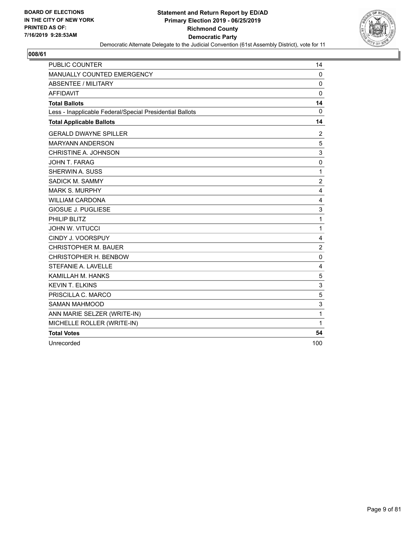

| <b>PUBLIC COUNTER</b>                                    | 14             |
|----------------------------------------------------------|----------------|
| MANUALLY COUNTED EMERGENCY                               | $\mathbf{0}$   |
| <b>ABSENTEE / MILITARY</b>                               | 0              |
| <b>AFFIDAVIT</b>                                         | $\mathbf 0$    |
| <b>Total Ballots</b>                                     | 14             |
| Less - Inapplicable Federal/Special Presidential Ballots | 0              |
| <b>Total Applicable Ballots</b>                          | 14             |
| <b>GERALD DWAYNE SPILLER</b>                             | 2              |
| <b>MARYANN ANDERSON</b>                                  | 5              |
| CHRISTINE A. JOHNSON                                     | 3              |
| JOHN T. FARAG                                            | 0              |
| <b>SHERWIN A. SUSS</b>                                   | $\mathbf{1}$   |
| SADICK M. SAMMY                                          | $\overline{c}$ |
| <b>MARK S. MURPHY</b>                                    | 4              |
| <b>WILLIAM CARDONA</b>                                   | 4              |
| <b>GIOSUE J. PUGLIESE</b>                                | 3              |
| PHILIP BLITZ                                             | $\mathbf{1}$   |
| <b>JOHN W. VITUCCI</b>                                   | $\mathbf{1}$   |
| CINDY J. VOORSPUY                                        | 4              |
| <b>CHRISTOPHER M. BAUER</b>                              | $\overline{2}$ |
| CHRISTOPHER H. BENBOW                                    | 0              |
| STEFANIE A. LAVELLE                                      | 4              |
| KAMILLAH M. HANKS                                        | 5              |
| <b>KEVIN T. ELKINS</b>                                   | 3              |
| PRISCILLA C. MARCO                                       | 5              |
| <b>SAMAN MAHMOOD</b>                                     | 3              |
| ANN MARIE SELZER (WRITE-IN)                              | $\mathbf{1}$   |
| MICHELLE ROLLER (WRITE-IN)                               | 1              |
| <b>Total Votes</b>                                       | 54             |
| Unrecorded                                               | 100            |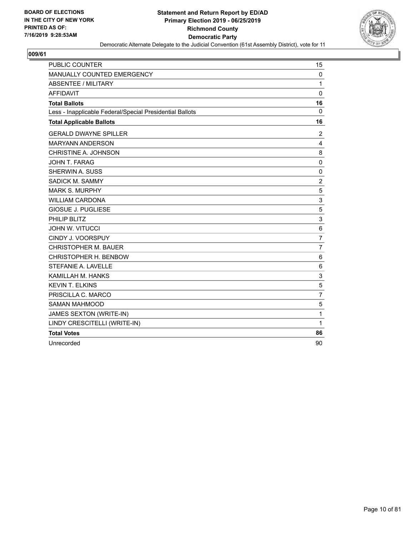

| <b>PUBLIC COUNTER</b>                                    | 15             |
|----------------------------------------------------------|----------------|
| <b>MANUALLY COUNTED EMERGENCY</b>                        | 0              |
| <b>ABSENTEE / MILITARY</b>                               | 1              |
| <b>AFFIDAVIT</b>                                         | $\mathbf 0$    |
| <b>Total Ballots</b>                                     | 16             |
| Less - Inapplicable Federal/Special Presidential Ballots | $\Omega$       |
| <b>Total Applicable Ballots</b>                          | 16             |
| <b>GERALD DWAYNE SPILLER</b>                             | 2              |
| <b>MARYANN ANDERSON</b>                                  | 4              |
| CHRISTINE A. JOHNSON                                     | 8              |
| JOHN T. FARAG                                            | 0              |
| SHERWIN A. SUSS                                          | 0              |
| SADICK M. SAMMY                                          | $\overline{2}$ |
| <b>MARK S. MURPHY</b>                                    | 5              |
| <b>WILLIAM CARDONA</b>                                   | $\mathbf{3}$   |
| <b>GIOSUE J. PUGLIESE</b>                                | 5              |
| PHILIP BLITZ                                             | 3              |
| <b>JOHN W. VITUCCI</b>                                   | $\,6$          |
| CINDY J. VOORSPUY                                        | $\overline{7}$ |
| <b>CHRISTOPHER M. BAUER</b>                              | $\overline{7}$ |
| CHRISTOPHER H. BENBOW                                    | 6              |
| <b>STEFANIE A. LAVELLE</b>                               | 6              |
| KAMILLAH M. HANKS                                        | 3              |
| <b>KEVIN T. ELKINS</b>                                   | 5              |
| PRISCILLA C. MARCO                                       | $\overline{7}$ |
| <b>SAMAN MAHMOOD</b>                                     | 5              |
| JAMES SEXTON (WRITE-IN)                                  | 1              |
| LINDY CRESCITELLI (WRITE-IN)                             | 1              |
| <b>Total Votes</b>                                       | 86             |
| Unrecorded                                               | 90             |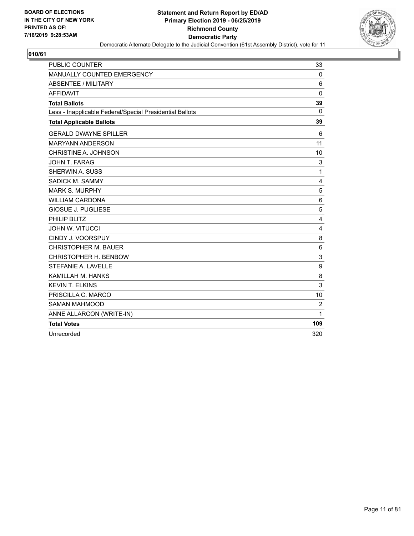

| <b>PUBLIC COUNTER</b>                                    | 33             |
|----------------------------------------------------------|----------------|
| MANUALLY COUNTED EMERGENCY                               | $\mathbf 0$    |
| <b>ABSENTEE / MILITARY</b>                               | 6              |
| <b>AFFIDAVIT</b>                                         | $\mathbf{0}$   |
| <b>Total Ballots</b>                                     | 39             |
| Less - Inapplicable Federal/Special Presidential Ballots | $\Omega$       |
| <b>Total Applicable Ballots</b>                          | 39             |
| <b>GERALD DWAYNE SPILLER</b>                             | 6              |
| <b>MARYANN ANDERSON</b>                                  | 11             |
| CHRISTINE A. JOHNSON                                     | 10             |
| JOHN T. FARAG                                            | 3              |
| SHERWIN A. SUSS                                          | 1              |
| <b>SADICK M. SAMMY</b>                                   | 4              |
| <b>MARK S. MURPHY</b>                                    | 5              |
| <b>WILLIAM CARDONA</b>                                   | 6              |
| GIOSUE J. PUGLIESE                                       | 5              |
| PHILIP BLITZ                                             | 4              |
| <b>JOHN W. VITUCCI</b>                                   | 4              |
| CINDY J. VOORSPUY                                        | 8              |
| <b>CHRISTOPHER M. BAUER</b>                              | 6              |
| CHRISTOPHER H. BENBOW                                    | 3              |
| STEFANIE A. LAVELLE                                      | 9              |
| KAMILLAH M. HANKS                                        | 8              |
| <b>KEVIN T. ELKINS</b>                                   | 3              |
| PRISCILLA C. MARCO                                       | 10             |
| <b>SAMAN MAHMOOD</b>                                     | $\overline{2}$ |
| ANNE ALLARCON (WRITE-IN)                                 | 1              |
| <b>Total Votes</b>                                       | 109            |
| Unrecorded                                               | 320            |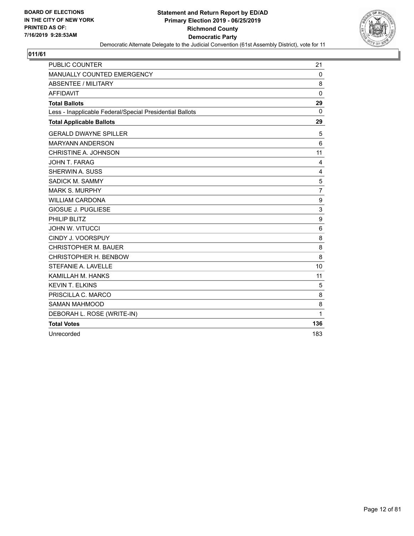

| <b>PUBLIC COUNTER</b>                                    | 21             |
|----------------------------------------------------------|----------------|
| MANUALLY COUNTED EMERGENCY                               | $\mathbf 0$    |
| ABSENTEE / MILITARY                                      | 8              |
| <b>AFFIDAVIT</b>                                         | $\mathbf{0}$   |
| <b>Total Ballots</b>                                     | 29             |
| Less - Inapplicable Federal/Special Presidential Ballots | $\Omega$       |
| <b>Total Applicable Ballots</b>                          | 29             |
| <b>GERALD DWAYNE SPILLER</b>                             | 5              |
| <b>MARYANN ANDERSON</b>                                  | 6              |
| CHRISTINE A. JOHNSON                                     | 11             |
| JOHN T. FARAG                                            | 4              |
| SHERWIN A. SUSS                                          | 4              |
| SADICK M. SAMMY                                          | 5              |
| <b>MARK S. MURPHY</b>                                    | $\overline{7}$ |
| <b>WILLIAM CARDONA</b>                                   | 9              |
| <b>GIOSUE J. PUGLIESE</b>                                | 3              |
| PHILIP BLITZ                                             | 9              |
| <b>JOHN W. VITUCCI</b>                                   | 6              |
| CINDY J. VOORSPUY                                        | 8              |
| <b>CHRISTOPHER M. BAUER</b>                              | 8              |
| CHRISTOPHER H. BENBOW                                    | 8              |
| STEFANIE A. LAVELLE                                      | 10             |
| KAMILLAH M. HANKS                                        | 11             |
| <b>KEVIN T. ELKINS</b>                                   | 5              |
| PRISCILLA C. MARCO                                       | 8              |
| <b>SAMAN MAHMOOD</b>                                     | 8              |
| DEBORAH L. ROSE (WRITE-IN)                               | 1              |
| <b>Total Votes</b>                                       | 136            |
| Unrecorded                                               | 183            |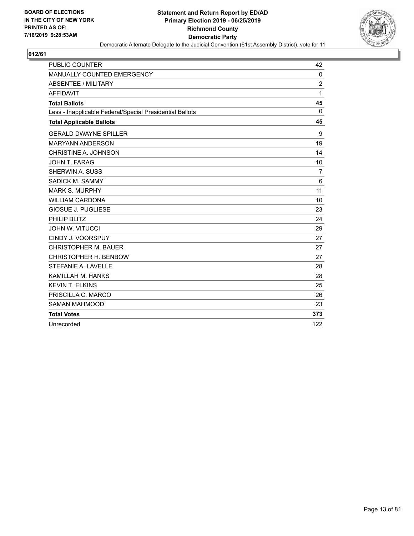

| <b>PUBLIC COUNTER</b>                                    | 42             |
|----------------------------------------------------------|----------------|
| MANUALLY COUNTED EMERGENCY                               | $\mathbf 0$    |
| <b>ABSENTEE / MILITARY</b>                               | $\overline{2}$ |
| <b>AFFIDAVIT</b>                                         | 1              |
| <b>Total Ballots</b>                                     | 45             |
| Less - Inapplicable Federal/Special Presidential Ballots | 0              |
| <b>Total Applicable Ballots</b>                          | 45             |
| <b>GERALD DWAYNE SPILLER</b>                             | 9              |
| <b>MARYANN ANDERSON</b>                                  | 19             |
| CHRISTINE A. JOHNSON                                     | 14             |
| JOHN T. FARAG                                            | 10             |
| SHERWIN A. SUSS                                          | $\overline{7}$ |
| SADICK M. SAMMY                                          | 6              |
| <b>MARK S. MURPHY</b>                                    | 11             |
| <b>WILLIAM CARDONA</b>                                   | 10             |
| <b>GIOSUE J. PUGLIESE</b>                                | 23             |
| PHILIP BLITZ                                             | 24             |
| <b>JOHN W. VITUCCI</b>                                   | 29             |
| CINDY J. VOORSPUY                                        | 27             |
| <b>CHRISTOPHER M. BAUER</b>                              | 27             |
| CHRISTOPHER H. BENBOW                                    | 27             |
| STEFANIE A. LAVELLE                                      | 28             |
| KAMILLAH M. HANKS                                        | 28             |
| <b>KEVIN T. ELKINS</b>                                   | 25             |
| PRISCILLA C. MARCO                                       | 26             |
| <b>SAMAN MAHMOOD</b>                                     | 23             |
| <b>Total Votes</b>                                       | 373            |
| Unrecorded                                               | 122            |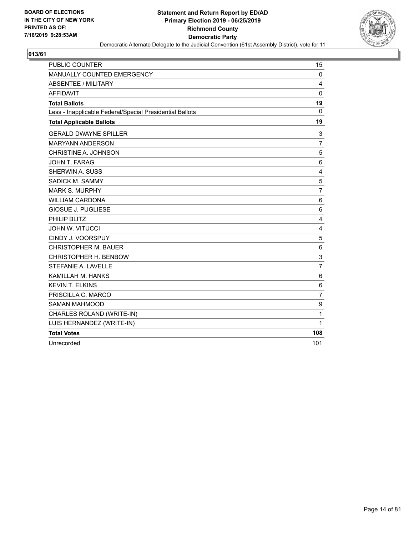

| <b>PUBLIC COUNTER</b>                                    | 15               |
|----------------------------------------------------------|------------------|
| MANUALLY COUNTED EMERGENCY                               | $\mathbf 0$      |
| <b>ABSENTEE / MILITARY</b>                               | 4                |
| <b>AFFIDAVIT</b>                                         | $\mathbf 0$      |
| <b>Total Ballots</b>                                     | 19               |
| Less - Inapplicable Federal/Special Presidential Ballots | 0                |
| <b>Total Applicable Ballots</b>                          | 19               |
| <b>GERALD DWAYNE SPILLER</b>                             | 3                |
| <b>MARYANN ANDERSON</b>                                  | $\overline{7}$   |
| CHRISTINE A. JOHNSON                                     | 5                |
| JOHN T. FARAG                                            | 6                |
| SHERWIN A. SUSS                                          | 4                |
| <b>SADICK M. SAMMY</b>                                   | 5                |
| <b>MARK S. MURPHY</b>                                    | $\overline{7}$   |
| <b>WILLIAM CARDONA</b>                                   | 6                |
| <b>GIOSUE J. PUGLIESE</b>                                | 6                |
| PHILIP BLITZ                                             | $\overline{4}$   |
| JOHN W. VITUCCI                                          | $\overline{4}$   |
| CINDY J. VOORSPUY                                        | 5                |
| <b>CHRISTOPHER M. BAUER</b>                              | 6                |
| CHRISTOPHER H. BENBOW                                    | 3                |
| STEFANIE A. LAVELLE                                      | $\overline{7}$   |
| KAMILLAH M. HANKS                                        | 6                |
| <b>KEVIN T. ELKINS</b>                                   | 6                |
| PRISCILLA C. MARCO                                       | $\overline{7}$   |
| <b>SAMAN MAHMOOD</b>                                     | $\boldsymbol{9}$ |
| CHARLES ROLAND (WRITE-IN)                                | 1                |
| LUIS HERNANDEZ (WRITE-IN)                                | 1                |
| <b>Total Votes</b>                                       | 108              |
| Unrecorded                                               | 101              |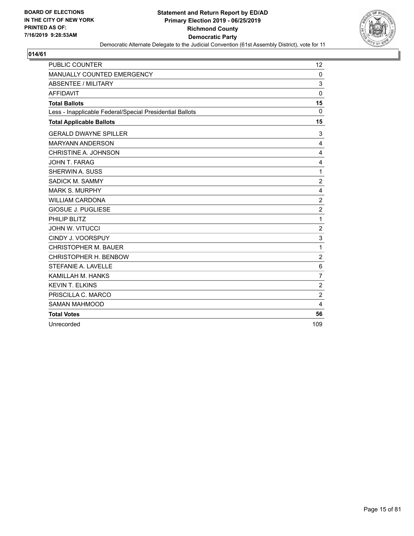

| <b>PUBLIC COUNTER</b>                                    | 12                      |
|----------------------------------------------------------|-------------------------|
| MANUALLY COUNTED EMERGENCY                               | $\mathbf 0$             |
| <b>ABSENTEE / MILITARY</b>                               | 3                       |
| <b>AFFIDAVIT</b>                                         | $\mathbf 0$             |
| <b>Total Ballots</b>                                     | 15                      |
| Less - Inapplicable Federal/Special Presidential Ballots | $\Omega$                |
| <b>Total Applicable Ballots</b>                          | 15                      |
| <b>GERALD DWAYNE SPILLER</b>                             | 3                       |
| <b>MARYANN ANDERSON</b>                                  | 4                       |
| CHRISTINE A. JOHNSON                                     | 4                       |
| JOHN T. FARAG                                            | 4                       |
| SHERWIN A. SUSS                                          | 1                       |
| SADICK M. SAMMY                                          | $\overline{2}$          |
| <b>MARK S. MURPHY</b>                                    | 4                       |
| <b>WILLIAM CARDONA</b>                                   | $\overline{\mathbf{c}}$ |
| <b>GIOSUE J. PUGLIESE</b>                                | $\overline{c}$          |
| PHILIP BLITZ                                             | 1                       |
| <b>JOHN W. VITUCCI</b>                                   | $\overline{c}$          |
| CINDY J. VOORSPUY                                        | 3                       |
| <b>CHRISTOPHER M. BAUER</b>                              | 1                       |
| CHRISTOPHER H. BENBOW                                    | $\overline{c}$          |
| STEFANIE A. LAVELLE                                      | 6                       |
| KAMILLAH M. HANKS                                        | $\overline{7}$          |
| <b>KEVIN T. ELKINS</b>                                   | $\overline{c}$          |
| PRISCILLA C. MARCO                                       | $\overline{2}$          |
| <b>SAMAN MAHMOOD</b>                                     | 4                       |
| <b>Total Votes</b>                                       | 56                      |
| Unrecorded                                               | 109                     |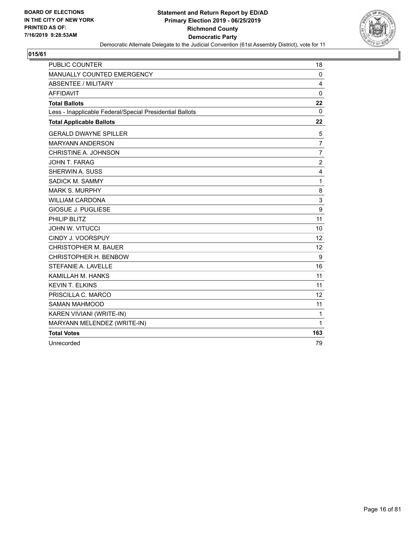

| <b>PUBLIC COUNTER</b>                                    | 18                |
|----------------------------------------------------------|-------------------|
| MANUALLY COUNTED EMERGENCY                               | 0                 |
| ABSENTEE / MILITARY                                      | 4                 |
| <b>AFFIDAVIT</b>                                         | $\mathbf 0$       |
| <b>Total Ballots</b>                                     | 22                |
| Less - Inapplicable Federal/Special Presidential Ballots | 0                 |
| <b>Total Applicable Ballots</b>                          | 22                |
| <b>GERALD DWAYNE SPILLER</b>                             | 5                 |
| <b>MARYANN ANDERSON</b>                                  | $\overline{7}$    |
| CHRISTINE A. JOHNSON                                     | 7                 |
| JOHN T. FARAG                                            | $\boldsymbol{2}$  |
| <b>SHERWIN A. SUSS</b>                                   | 4                 |
| SADICK M. SAMMY                                          | $\mathbf{1}$      |
| <b>MARK S. MURPHY</b>                                    | 8                 |
| <b>WILLIAM CARDONA</b>                                   | 3                 |
| <b>GIOSUE J. PUGLIESE</b>                                | 9                 |
| PHILIP BLITZ                                             | 11                |
| <b>JOHN W. VITUCCI</b>                                   | 10                |
| CINDY J. VOORSPUY                                        | 12                |
| <b>CHRISTOPHER M. BAUER</b>                              | 12                |
| CHRISTOPHER H. BENBOW                                    | 9                 |
| STEFANIE A. LAVELLE                                      | 16                |
| KAMILLAH M. HANKS                                        | 11                |
| <b>KEVIN T. ELKINS</b>                                   | 11                |
| PRISCILLA C. MARCO                                       | $12 \overline{ }$ |
| <b>SAMAN MAHMOOD</b>                                     | 11                |
| KAREN VIVIANI (WRITE-IN)                                 | 1                 |
| MARYANN MELENDEZ (WRITE-IN)                              | $\mathbf{1}$      |
| <b>Total Votes</b>                                       | 163               |
| Unrecorded                                               | 79                |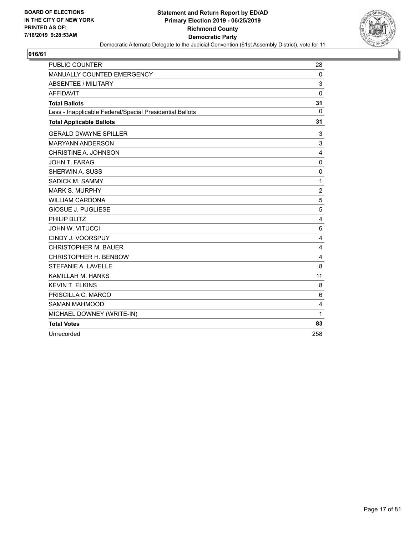

| <b>PUBLIC COUNTER</b>                                    | 28             |
|----------------------------------------------------------|----------------|
| MANUALLY COUNTED EMERGENCY                               | 0              |
| <b>ABSENTEE / MILITARY</b>                               | 3              |
| <b>AFFIDAVIT</b>                                         | $\mathbf 0$    |
| <b>Total Ballots</b>                                     | 31             |
| Less - Inapplicable Federal/Special Presidential Ballots | $\Omega$       |
| <b>Total Applicable Ballots</b>                          | 31             |
| <b>GERALD DWAYNE SPILLER</b>                             | 3              |
| <b>MARYANN ANDERSON</b>                                  | 3              |
| CHRISTINE A. JOHNSON                                     | 4              |
| JOHN T. FARAG                                            | $\mathbf 0$    |
| SHERWIN A. SUSS                                          | $\mathbf 0$    |
| SADICK M. SAMMY                                          | 1              |
| <b>MARK S. MURPHY</b>                                    | $\overline{c}$ |
| <b>WILLIAM CARDONA</b>                                   | 5              |
| <b>GIOSUE J. PUGLIESE</b>                                | 5              |
| PHILIP BLITZ                                             | 4              |
| <b>JOHN W. VITUCCI</b>                                   | 6              |
| CINDY J. VOORSPUY                                        | 4              |
| <b>CHRISTOPHER M. BAUER</b>                              | 4              |
| CHRISTOPHER H. BENBOW                                    | 4              |
| STEFANIE A. LAVELLE                                      | 8              |
| KAMILLAH M. HANKS                                        | 11             |
| <b>KEVIN T. ELKINS</b>                                   | 8              |
| PRISCILLA C. MARCO                                       | 6              |
| <b>SAMAN MAHMOOD</b>                                     | 4              |
| MICHAEL DOWNEY (WRITE-IN)                                | $\mathbf{1}$   |
| <b>Total Votes</b>                                       | 83             |
| Unrecorded                                               | 258            |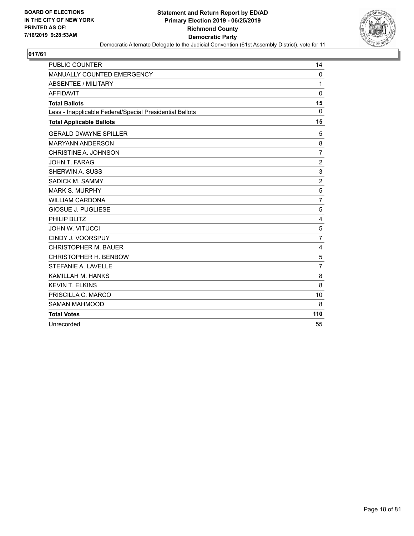

| <b>PUBLIC COUNTER</b>                                    | 14             |
|----------------------------------------------------------|----------------|
| MANUALLY COUNTED EMERGENCY                               | $\mathbf 0$    |
| <b>ABSENTEE / MILITARY</b>                               | 1              |
| <b>AFFIDAVIT</b>                                         | $\mathbf 0$    |
| <b>Total Ballots</b>                                     | 15             |
| Less - Inapplicable Federal/Special Presidential Ballots | 0              |
| <b>Total Applicable Ballots</b>                          | 15             |
| <b>GERALD DWAYNE SPILLER</b>                             | 5              |
| <b>MARYANN ANDERSON</b>                                  | 8              |
| CHRISTINE A. JOHNSON                                     | $\overline{7}$ |
| <b>JOHN T. FARAG</b>                                     | $\overline{2}$ |
| <b>SHERWIN A. SUSS</b>                                   | 3              |
| SADICK M. SAMMY                                          | $\overline{2}$ |
| <b>MARK S. MURPHY</b>                                    | 5              |
| <b>WILLIAM CARDONA</b>                                   | $\overline{7}$ |
| <b>GIOSUE J. PUGLIESE</b>                                | 5              |
| PHILIP BLITZ                                             | 4              |
| <b>JOHN W. VITUCCI</b>                                   | 5              |
| CINDY J. VOORSPUY                                        | $\overline{7}$ |
| <b>CHRISTOPHER M. BAUER</b>                              | 4              |
| CHRISTOPHER H. BENBOW                                    | 5              |
| STEFANIE A. LAVELLE                                      | $\overline{7}$ |
| KAMILLAH M. HANKS                                        | 8              |
| <b>KEVIN T. ELKINS</b>                                   | 8              |
| PRISCILLA C. MARCO                                       | 10             |
| <b>SAMAN MAHMOOD</b>                                     | 8              |
| <b>Total Votes</b>                                       | 110            |
| Unrecorded                                               | 55             |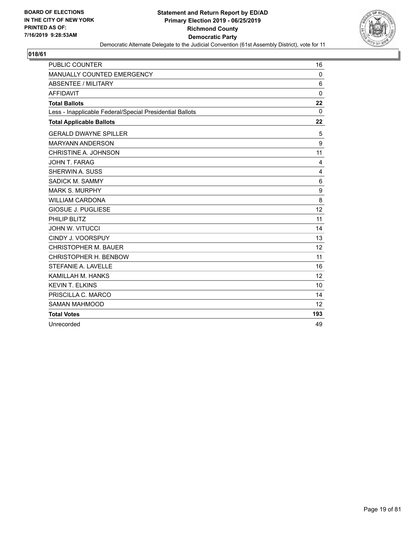

| <b>PUBLIC COUNTER</b>                                    | 16          |
|----------------------------------------------------------|-------------|
| MANUALLY COUNTED EMERGENCY                               | 0           |
| <b>ABSENTEE / MILITARY</b>                               | 6           |
| <b>AFFIDAVIT</b>                                         | $\mathbf 0$ |
| <b>Total Ballots</b>                                     | 22          |
| Less - Inapplicable Federal/Special Presidential Ballots | $\Omega$    |
| <b>Total Applicable Ballots</b>                          | 22          |
| <b>GERALD DWAYNE SPILLER</b>                             | 5           |
| <b>MARYANN ANDERSON</b>                                  | 9           |
| CHRISTINE A. JOHNSON                                     | 11          |
| JOHN T. FARAG                                            | 4           |
| <b>SHERWIN A. SUSS</b>                                   | 4           |
| SADICK M. SAMMY                                          | 6           |
| <b>MARK S. MURPHY</b>                                    | 9           |
| <b>WILLIAM CARDONA</b>                                   | 8           |
| <b>GIOSUE J. PUGLIESE</b>                                | 12          |
| PHILIP BLITZ                                             | 11          |
| <b>JOHN W. VITUCCI</b>                                   | 14          |
| CINDY J. VOORSPUY                                        | 13          |
| <b>CHRISTOPHER M. BAUER</b>                              | 12          |
| CHRISTOPHER H. BENBOW                                    | 11          |
| STEFANIE A. LAVELLE                                      | 16          |
| KAMILLAH M. HANKS                                        | 12          |
| <b>KEVIN T. ELKINS</b>                                   | 10          |
| PRISCILLA C. MARCO                                       | 14          |
| <b>SAMAN MAHMOOD</b>                                     | 12          |
| <b>Total Votes</b>                                       | 193         |
| Unrecorded                                               | 49          |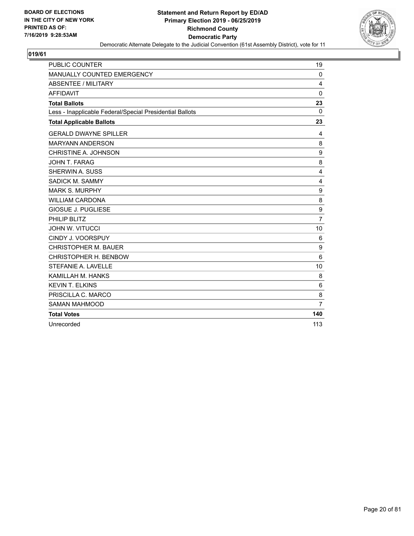

| <b>PUBLIC COUNTER</b>                                    | 19             |
|----------------------------------------------------------|----------------|
| MANUALLY COUNTED EMERGENCY                               | $\mathbf 0$    |
| <b>ABSENTEE / MILITARY</b>                               | 4              |
| <b>AFFIDAVIT</b>                                         | $\mathbf 0$    |
| <b>Total Ballots</b>                                     | 23             |
| Less - Inapplicable Federal/Special Presidential Ballots | $\Omega$       |
| <b>Total Applicable Ballots</b>                          | 23             |
| <b>GERALD DWAYNE SPILLER</b>                             | 4              |
| <b>MARYANN ANDERSON</b>                                  | 8              |
| CHRISTINE A. JOHNSON                                     | 9              |
| JOHN T. FARAG                                            | 8              |
| <b>SHERWIN A. SUSS</b>                                   | 4              |
| SADICK M. SAMMY                                          | 4              |
| <b>MARK S. MURPHY</b>                                    | 9              |
| <b>WILLIAM CARDONA</b>                                   | 8              |
| <b>GIOSUE J. PUGLIESE</b>                                | 9              |
| PHILIP BLITZ                                             | $\overline{7}$ |
| <b>JOHN W. VITUCCI</b>                                   | 10             |
| CINDY J. VOORSPUY                                        | 6              |
| <b>CHRISTOPHER M. BAUER</b>                              | 9              |
| CHRISTOPHER H. BENBOW                                    | 6              |
| STEFANIE A. LAVELLE                                      | 10             |
| KAMILLAH M. HANKS                                        | 8              |
| <b>KEVIN T. ELKINS</b>                                   | 6              |
| PRISCILLA C. MARCO                                       | 8              |
| <b>SAMAN MAHMOOD</b>                                     | $\overline{7}$ |
| <b>Total Votes</b>                                       | 140            |
| Unrecorded                                               | 113            |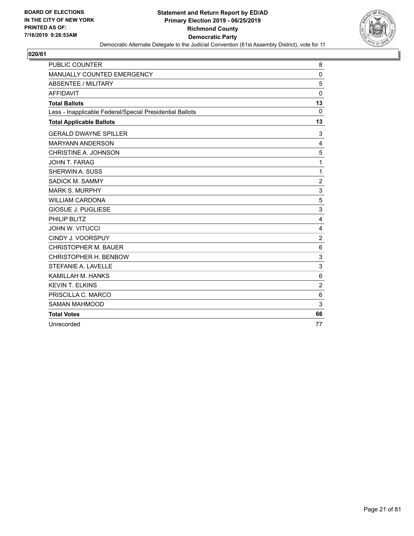

| <b>PUBLIC COUNTER</b>                                    | 8               |
|----------------------------------------------------------|-----------------|
| MANUALLY COUNTED EMERGENCY                               | $\mathbf 0$     |
| <b>ABSENTEE / MILITARY</b>                               | 5               |
| <b>AFFIDAVIT</b>                                         | $\mathbf 0$     |
| <b>Total Ballots</b>                                     | 13              |
| Less - Inapplicable Federal/Special Presidential Ballots | $\Omega$        |
| <b>Total Applicable Ballots</b>                          | 13              |
| <b>GERALD DWAYNE SPILLER</b>                             | 3               |
| <b>MARYANN ANDERSON</b>                                  | 4               |
| CHRISTINE A. JOHNSON                                     | 5               |
| JOHN T. FARAG                                            | 1               |
| SHERWIN A. SUSS                                          | $\mathbf{1}$    |
| SADICK M. SAMMY                                          | $\overline{c}$  |
| <b>MARK S. MURPHY</b>                                    | 3               |
| <b>WILLIAM CARDONA</b>                                   | 5               |
| <b>GIOSUE J. PUGLIESE</b>                                | 3               |
| PHILIP BLITZ                                             | 4               |
| <b>JOHN W. VITUCCI</b>                                   | 4               |
| CINDY J. VOORSPUY                                        | $\overline{c}$  |
| <b>CHRISTOPHER M. BAUER</b>                              | $6\phantom{1}6$ |
| CHRISTOPHER H. BENBOW                                    | 3               |
| STEFANIE A. LAVELLE                                      | 3               |
| KAMILLAH M. HANKS                                        | 6               |
| <b>KEVIN T. ELKINS</b>                                   | $\overline{2}$  |
| PRISCILLA C. MARCO                                       | 6               |
| <b>SAMAN MAHMOOD</b>                                     | 3               |
| <b>Total Votes</b>                                       | 66              |
| Unrecorded                                               | 77              |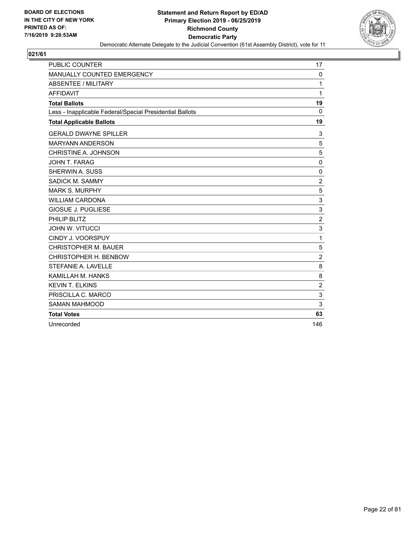

| <b>PUBLIC COUNTER</b>                                    | 17             |
|----------------------------------------------------------|----------------|
| MANUALLY COUNTED EMERGENCY                               | $\mathbf 0$    |
| <b>ABSENTEE / MILITARY</b>                               | 1              |
| <b>AFFIDAVIT</b>                                         | 1              |
| <b>Total Ballots</b>                                     | 19             |
| Less - Inapplicable Federal/Special Presidential Ballots | $\Omega$       |
| <b>Total Applicable Ballots</b>                          | 19             |
| <b>GERALD DWAYNE SPILLER</b>                             | 3              |
| <b>MARYANN ANDERSON</b>                                  | 5              |
| CHRISTINE A. JOHNSON                                     | 5              |
| JOHN T. FARAG                                            | $\mathbf 0$    |
| SHERWIN A. SUSS                                          | 0              |
| SADICK M. SAMMY                                          | $\overline{2}$ |
| <b>MARK S. MURPHY</b>                                    | 5              |
| <b>WILLIAM CARDONA</b>                                   | 3              |
| <b>GIOSUE J. PUGLIESE</b>                                | 3              |
| PHILIP BLITZ                                             | $\overline{c}$ |
| <b>JOHN W. VITUCCI</b>                                   | 3              |
| CINDY J. VOORSPUY                                        | 1              |
| <b>CHRISTOPHER M. BAUER</b>                              | 5              |
| CHRISTOPHER H. BENBOW                                    | $\overline{2}$ |
| STEFANIE A. LAVELLE                                      | 8              |
| KAMILLAH M. HANKS                                        | 8              |
| <b>KEVIN T. ELKINS</b>                                   | $\overline{2}$ |
| PRISCILLA C. MARCO                                       | 3              |
| <b>SAMAN MAHMOOD</b>                                     | 3              |
| <b>Total Votes</b>                                       | 63             |
| Unrecorded                                               | 146            |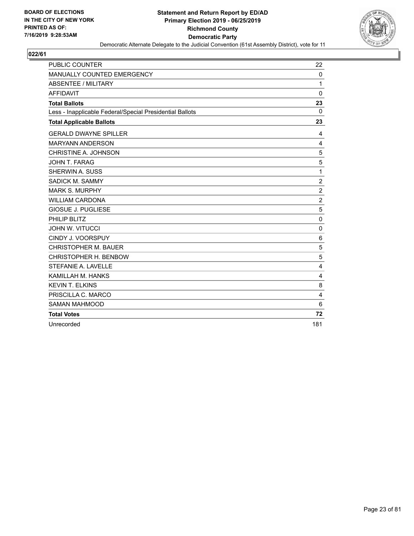

| <b>PUBLIC COUNTER</b>                                    | 22             |
|----------------------------------------------------------|----------------|
| MANUALLY COUNTED EMERGENCY                               | $\mathbf 0$    |
| <b>ABSENTEE / MILITARY</b>                               | 1              |
| <b>AFFIDAVIT</b>                                         | $\mathbf 0$    |
| <b>Total Ballots</b>                                     | 23             |
| Less - Inapplicable Federal/Special Presidential Ballots | $\Omega$       |
| <b>Total Applicable Ballots</b>                          | 23             |
| <b>GERALD DWAYNE SPILLER</b>                             | 4              |
| <b>MARYANN ANDERSON</b>                                  | 4              |
| CHRISTINE A. JOHNSON                                     | 5              |
| JOHN T. FARAG                                            | 5              |
| <b>SHERWIN A. SUSS</b>                                   | 1              |
| SADICK M. SAMMY                                          | $\overline{c}$ |
| <b>MARK S. MURPHY</b>                                    | $\overline{2}$ |
| <b>WILLIAM CARDONA</b>                                   | $\overline{c}$ |
| <b>GIOSUE J. PUGLIESE</b>                                | 5              |
| PHILIP BLITZ                                             | $\mathbf{0}$   |
| <b>JOHN W. VITUCCI</b>                                   | $\pmb{0}$      |
| CINDY J. VOORSPUY                                        | 6              |
| <b>CHRISTOPHER M. BAUER</b>                              | 5              |
| CHRISTOPHER H. BENBOW                                    | 5              |
| STEFANIE A. LAVELLE                                      | 4              |
| KAMILLAH M. HANKS                                        | 4              |
| <b>KEVIN T. ELKINS</b>                                   | 8              |
| PRISCILLA C. MARCO                                       | $\overline{4}$ |
| <b>SAMAN MAHMOOD</b>                                     | 6              |
| <b>Total Votes</b>                                       | 72             |
| Unrecorded                                               | 181            |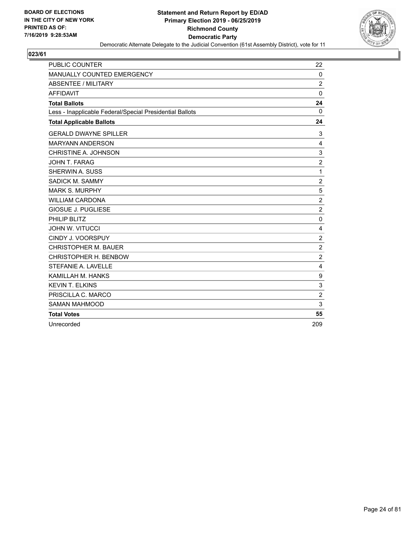

| <b>PUBLIC COUNTER</b>                                    | 22               |
|----------------------------------------------------------|------------------|
| MANUALLY COUNTED EMERGENCY                               | $\mathbf 0$      |
| <b>ABSENTEE / MILITARY</b>                               | $\overline{2}$   |
| <b>AFFIDAVIT</b>                                         | $\mathbf 0$      |
| <b>Total Ballots</b>                                     | 24               |
| Less - Inapplicable Federal/Special Presidential Ballots | 0                |
| <b>Total Applicable Ballots</b>                          | 24               |
| <b>GERALD DWAYNE SPILLER</b>                             | 3                |
| <b>MARYANN ANDERSON</b>                                  | 4                |
| CHRISTINE A. JOHNSON                                     | 3                |
| JOHN T. FARAG                                            | $\overline{2}$   |
| SHERWIN A. SUSS                                          | 1                |
| SADICK M. SAMMY                                          | $\overline{c}$   |
| <b>MARK S. MURPHY</b>                                    | 5                |
| <b>WILLIAM CARDONA</b>                                   | $\overline{c}$   |
| <b>GIOSUE J. PUGLIESE</b>                                | $\overline{2}$   |
| PHILIP BLITZ                                             | $\mathbf 0$      |
| <b>JOHN W. VITUCCI</b>                                   | 4                |
| CINDY J. VOORSPUY                                        | $\overline{c}$   |
| <b>CHRISTOPHER M. BAUER</b>                              | $\overline{2}$   |
| CHRISTOPHER H. BENBOW                                    | $\overline{2}$   |
| STEFANIE A. LAVELLE                                      | 4                |
| KAMILLAH M. HANKS                                        | $\boldsymbol{9}$ |
| <b>KEVIN T. ELKINS</b>                                   | 3                |
| PRISCILLA C. MARCO                                       | $\overline{2}$   |
| <b>SAMAN MAHMOOD</b>                                     | 3                |
| <b>Total Votes</b>                                       | 55               |
| Unrecorded                                               | 209              |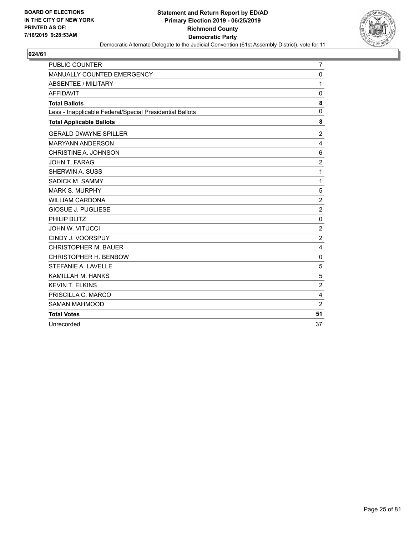

| <b>PUBLIC COUNTER</b>                                    | 7                       |
|----------------------------------------------------------|-------------------------|
| MANUALLY COUNTED EMERGENCY                               | 0                       |
| <b>ABSENTEE / MILITARY</b>                               | 1                       |
| <b>AFFIDAVIT</b>                                         | $\mathbf 0$             |
| <b>Total Ballots</b>                                     | 8                       |
| Less - Inapplicable Federal/Special Presidential Ballots | $\mathbf 0$             |
| <b>Total Applicable Ballots</b>                          | 8                       |
| <b>GERALD DWAYNE SPILLER</b>                             | 2                       |
| <b>MARYANN ANDERSON</b>                                  | 4                       |
| CHRISTINE A. JOHNSON                                     | 6                       |
| <b>JOHN T. FARAG</b>                                     | $\overline{2}$          |
| SHERWIN A. SUSS                                          | 1                       |
| SADICK M. SAMMY                                          | 1                       |
| <b>MARK S. MURPHY</b>                                    | 5                       |
| <b>WILLIAM CARDONA</b>                                   | $\boldsymbol{2}$        |
| <b>GIOSUE J. PUGLIESE</b>                                | $\overline{c}$          |
| PHILIP BLITZ                                             | $\mathbf 0$             |
| <b>JOHN W. VITUCCI</b>                                   | $\overline{c}$          |
| CINDY J. VOORSPUY                                        | $\overline{c}$          |
| <b>CHRISTOPHER M. BAUER</b>                              | 4                       |
| CHRISTOPHER H. BENBOW                                    | $\mathbf 0$             |
| STEFANIE A. LAVELLE                                      | 5                       |
| KAMILLAH M. HANKS                                        | 5                       |
| <b>KEVIN T. ELKINS</b>                                   | $\overline{2}$          |
| PRISCILLA C. MARCO                                       | $\overline{\mathbf{4}}$ |
| <b>SAMAN MAHMOOD</b>                                     | $\overline{2}$          |
| <b>Total Votes</b>                                       | 51                      |
| Unrecorded                                               | 37                      |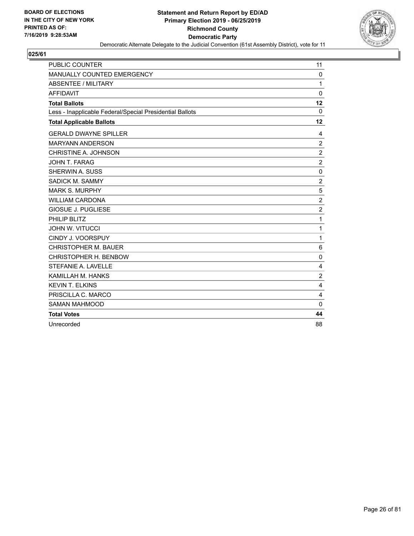

| PUBLIC COUNTER                                           | 11             |
|----------------------------------------------------------|----------------|
| MANUALLY COUNTED EMERGENCY                               | $\mathbf 0$    |
| <b>ABSENTEE / MILITARY</b>                               | 1              |
| <b>AFFIDAVIT</b>                                         | $\mathbf 0$    |
| <b>Total Ballots</b>                                     | 12             |
| Less - Inapplicable Federal/Special Presidential Ballots | $\Omega$       |
| <b>Total Applicable Ballots</b>                          | 12             |
| <b>GERALD DWAYNE SPILLER</b>                             | 4              |
| <b>MARYANN ANDERSON</b>                                  | $\overline{c}$ |
| CHRISTINE A. JOHNSON                                     | $\overline{2}$ |
| JOHN T. FARAG                                            | $\overline{2}$ |
| <b>SHERWIN A. SUSS</b>                                   | 0              |
| SADICK M. SAMMY                                          | $\overline{2}$ |
| <b>MARK S. MURPHY</b>                                    | 5              |
| <b>WILLIAM CARDONA</b>                                   | $\overline{2}$ |
| <b>GIOSUE J. PUGLIESE</b>                                | $\overline{2}$ |
| PHILIP BLITZ                                             | 1              |
| <b>JOHN W. VITUCCI</b>                                   | $\mathbf{1}$   |
| CINDY J. VOORSPUY                                        | $\mathbf{1}$   |
| <b>CHRISTOPHER M. BAUER</b>                              | 6              |
| CHRISTOPHER H. BENBOW                                    | 0              |
| STEFANIE A. LAVELLE                                      | 4              |
| KAMILLAH M. HANKS                                        | $\overline{c}$ |
| <b>KEVIN T. ELKINS</b>                                   | 4              |
| PRISCILLA C. MARCO                                       | 4              |
| <b>SAMAN MAHMOOD</b>                                     | $\Omega$       |
| <b>Total Votes</b>                                       | 44             |
| Unrecorded                                               | 88             |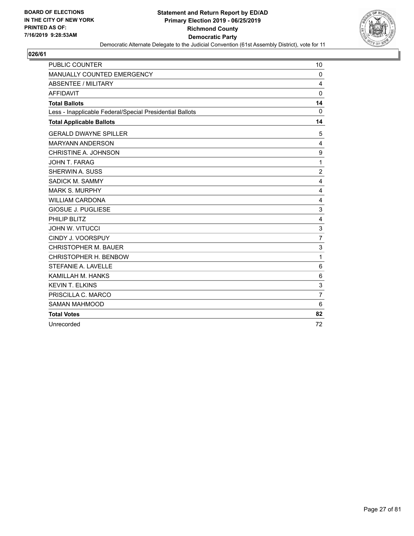

| <b>PUBLIC COUNTER</b>                                    | 10                      |
|----------------------------------------------------------|-------------------------|
| MANUALLY COUNTED EMERGENCY                               | $\mathbf 0$             |
| <b>ABSENTEE / MILITARY</b>                               | 4                       |
| <b>AFFIDAVIT</b>                                         | $\mathbf 0$             |
| <b>Total Ballots</b>                                     | 14                      |
| Less - Inapplicable Federal/Special Presidential Ballots | $\mathbf 0$             |
| <b>Total Applicable Ballots</b>                          | 14                      |
| <b>GERALD DWAYNE SPILLER</b>                             | 5                       |
| <b>MARYANN ANDERSON</b>                                  | 4                       |
| CHRISTINE A. JOHNSON                                     | 9                       |
| JOHN T. FARAG                                            | 1                       |
| SHERWIN A. SUSS                                          | $\overline{c}$          |
| SADICK M. SAMMY                                          | 4                       |
| <b>MARK S. MURPHY</b>                                    | 4                       |
| <b>WILLIAM CARDONA</b>                                   | 4                       |
| <b>GIOSUE J. PUGLIESE</b>                                | 3                       |
| PHILIP BLITZ                                             | $\overline{\mathbf{4}}$ |
| <b>JOHN W. VITUCCI</b>                                   | 3                       |
| CINDY J. VOORSPUY                                        | $\overline{7}$          |
| <b>CHRISTOPHER M. BAUER</b>                              | 3                       |
| CHRISTOPHER H. BENBOW                                    | 1                       |
| STEFANIE A. LAVELLE                                      | 6                       |
| KAMILLAH M. HANKS                                        | 6                       |
| <b>KEVIN T. ELKINS</b>                                   | 3                       |
| PRISCILLA C. MARCO                                       | $\overline{7}$          |
| <b>SAMAN MAHMOOD</b>                                     | 6                       |
| <b>Total Votes</b>                                       | 82                      |
| Unrecorded                                               | 72                      |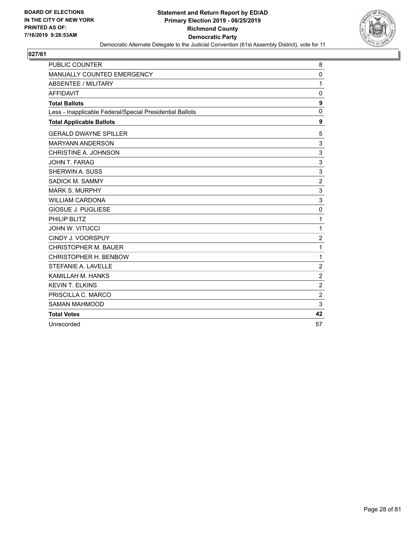

| <b>PUBLIC COUNTER</b>                                    | 8              |
|----------------------------------------------------------|----------------|
| MANUALLY COUNTED EMERGENCY                               | $\mathbf 0$    |
| <b>ABSENTEE / MILITARY</b>                               | 1              |
| <b>AFFIDAVIT</b>                                         | 0              |
| <b>Total Ballots</b>                                     | 9              |
| Less - Inapplicable Federal/Special Presidential Ballots | 0              |
| <b>Total Applicable Ballots</b>                          | 9              |
| <b>GERALD DWAYNE SPILLER</b>                             | 5              |
| <b>MARYANN ANDERSON</b>                                  | 3              |
| CHRISTINE A. JOHNSON                                     | 3              |
| JOHN T. FARAG                                            | 3              |
| SHERWIN A. SUSS                                          | 3              |
| SADICK M. SAMMY                                          | $\overline{c}$ |
| <b>MARK S. MURPHY</b>                                    | 3              |
| <b>WILLIAM CARDONA</b>                                   | 3              |
| <b>GIOSUE J. PUGLIESE</b>                                | $\mathbf 0$    |
| PHILIP BLITZ                                             | 1              |
| <b>JOHN W. VITUCCI</b>                                   | 1              |
| CINDY J. VOORSPUY                                        | $\overline{c}$ |
| <b>CHRISTOPHER M. BAUER</b>                              | 1              |
| CHRISTOPHER H. BENBOW                                    | 1              |
| STEFANIE A. LAVELLE                                      | $\overline{c}$ |
| KAMILLAH M. HANKS                                        | $\overline{2}$ |
| <b>KEVIN T. ELKINS</b>                                   | $\overline{2}$ |
| PRISCILLA C. MARCO                                       | $\overline{c}$ |
| <b>SAMAN MAHMOOD</b>                                     | 3              |
| <b>Total Votes</b>                                       | 42             |
| Unrecorded                                               | 57             |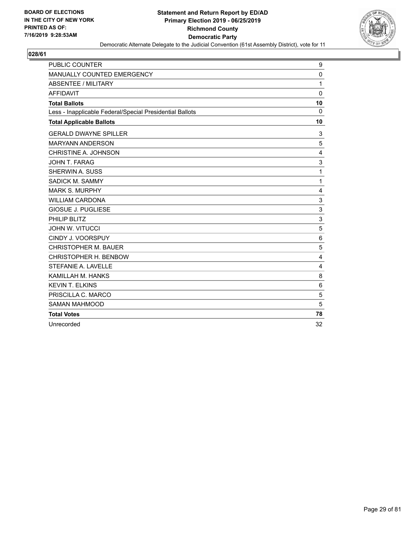

| <b>PUBLIC COUNTER</b>                                    | 9            |
|----------------------------------------------------------|--------------|
| MANUALLY COUNTED EMERGENCY                               | $\mathbf 0$  |
| <b>ABSENTEE / MILITARY</b>                               | 1            |
| <b>AFFIDAVIT</b>                                         | $\mathbf 0$  |
| <b>Total Ballots</b>                                     | 10           |
| Less - Inapplicable Federal/Special Presidential Ballots | $\Omega$     |
| <b>Total Applicable Ballots</b>                          | 10           |
| <b>GERALD DWAYNE SPILLER</b>                             | 3            |
| <b>MARYANN ANDERSON</b>                                  | 5            |
| CHRISTINE A. JOHNSON                                     | 4            |
| JOHN T. FARAG                                            | 3            |
| SHERWIN A. SUSS                                          | 1            |
| SADICK M. SAMMY                                          | $\mathbf{1}$ |
| <b>MARK S. MURPHY</b>                                    | 4            |
| <b>WILLIAM CARDONA</b>                                   | 3            |
| <b>GIOSUE J. PUGLIESE</b>                                | 3            |
| PHILIP BLITZ                                             | 3            |
| <b>JOHN W. VITUCCI</b>                                   | 5            |
| CINDY J. VOORSPUY                                        | 6            |
| <b>CHRISTOPHER M. BAUER</b>                              | 5            |
| CHRISTOPHER H. BENBOW                                    | 4            |
| STEFANIE A. LAVELLE                                      | 4            |
| KAMILLAH M. HANKS                                        | 8            |
| <b>KEVIN T. ELKINS</b>                                   | 6            |
| PRISCILLA C. MARCO                                       | 5            |
| <b>SAMAN MAHMOOD</b>                                     | 5            |
| <b>Total Votes</b>                                       | 78           |
| Unrecorded                                               | 32           |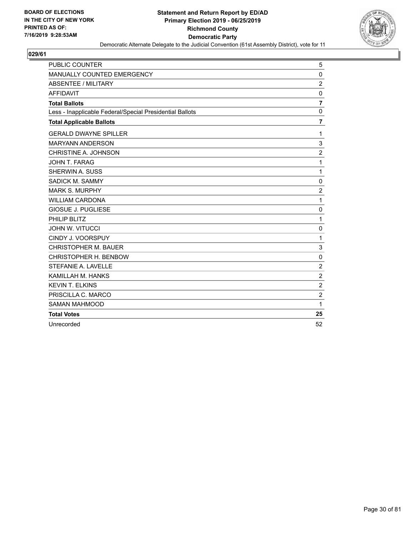

| <b>PUBLIC COUNTER</b>                                    | 5              |
|----------------------------------------------------------|----------------|
| MANUALLY COUNTED EMERGENCY                               | 0              |
| <b>ABSENTEE / MILITARY</b>                               | $\overline{2}$ |
| <b>AFFIDAVIT</b>                                         | $\mathbf 0$    |
| <b>Total Ballots</b>                                     | $\overline{7}$ |
| Less - Inapplicable Federal/Special Presidential Ballots | 0              |
| <b>Total Applicable Ballots</b>                          | $\overline{7}$ |
| <b>GERALD DWAYNE SPILLER</b>                             | 1              |
| <b>MARYANN ANDERSON</b>                                  | 3              |
| CHRISTINE A. JOHNSON                                     | $\overline{2}$ |
| JOHN T. FARAG                                            | 1              |
| SHERWIN A. SUSS                                          | $\mathbf{1}$   |
| SADICK M. SAMMY                                          | $\mathbf 0$    |
| <b>MARK S. MURPHY</b>                                    | $\overline{2}$ |
| <b>WILLIAM CARDONA</b>                                   | $\mathbf{1}$   |
| <b>GIOSUE J. PUGLIESE</b>                                | $\mathbf 0$    |
| PHILIP BLITZ                                             | 1              |
| <b>JOHN W. VITUCCI</b>                                   | 0              |
| CINDY J. VOORSPUY                                        | 1              |
| <b>CHRISTOPHER M. BAUER</b>                              | 3              |
| CHRISTOPHER H. BENBOW                                    | $\mathbf 0$    |
| STEFANIE A. LAVELLE                                      | $\overline{2}$ |
| KAMILLAH M. HANKS                                        | $\overline{2}$ |
| <b>KEVIN T. ELKINS</b>                                   | $\overline{2}$ |
| PRISCILLA C. MARCO                                       | $\overline{c}$ |
| <b>SAMAN MAHMOOD</b>                                     | 1              |
| <b>Total Votes</b>                                       | 25             |
| Unrecorded                                               | 52             |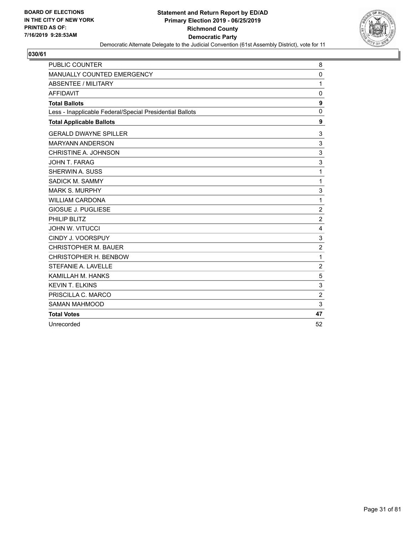

| PUBLIC COUNTER                                           | 8              |
|----------------------------------------------------------|----------------|
| MANUALLY COUNTED EMERGENCY                               | 0              |
| <b>ABSENTEE / MILITARY</b>                               | 1              |
| <b>AFFIDAVIT</b>                                         | 0              |
| <b>Total Ballots</b>                                     | 9              |
| Less - Inapplicable Federal/Special Presidential Ballots | $\mathbf 0$    |
| <b>Total Applicable Ballots</b>                          | 9              |
| <b>GERALD DWAYNE SPILLER</b>                             | 3              |
| <b>MARYANN ANDERSON</b>                                  | 3              |
| CHRISTINE A. JOHNSON                                     | 3              |
| JOHN T. FARAG                                            | 3              |
| <b>SHERWIN A. SUSS</b>                                   | $\mathbf{1}$   |
| SADICK M. SAMMY                                          | $\mathbf{1}$   |
| <b>MARK S. MURPHY</b>                                    | 3              |
| <b>WILLIAM CARDONA</b>                                   | $\mathbf{1}$   |
| <b>GIOSUE J. PUGLIESE</b>                                | $\overline{c}$ |
| PHILIP BLITZ                                             | $\overline{2}$ |
| <b>JOHN W. VITUCCI</b>                                   | 4              |
| CINDY J. VOORSPUY                                        | 3              |
| <b>CHRISTOPHER M. BAUER</b>                              | $\overline{2}$ |
| CHRISTOPHER H. BENBOW                                    | $\mathbf{1}$   |
| STEFANIE A. LAVELLE                                      | $\overline{c}$ |
| KAMILLAH M. HANKS                                        | 5              |
| <b>KEVIN T. ELKINS</b>                                   | 3              |
| PRISCILLA C. MARCO                                       | $\overline{c}$ |
| <b>SAMAN MAHMOOD</b>                                     | 3              |
| <b>Total Votes</b>                                       | 47             |
| Unrecorded                                               | 52             |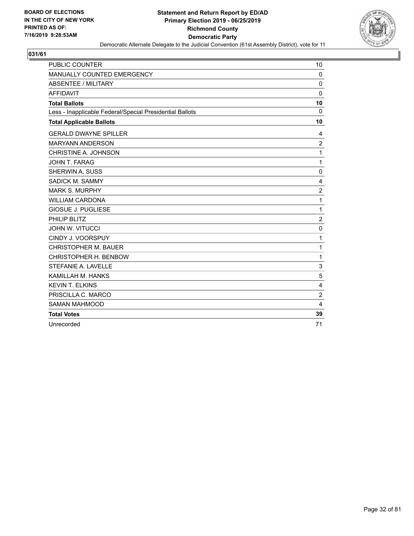

| <b>PUBLIC COUNTER</b>                                    | 10             |
|----------------------------------------------------------|----------------|
| MANUALLY COUNTED EMERGENCY                               | $\mathbf 0$    |
| <b>ABSENTEE / MILITARY</b>                               | $\mathbf 0$    |
| <b>AFFIDAVIT</b>                                         | $\mathbf 0$    |
| <b>Total Ballots</b>                                     | 10             |
| Less - Inapplicable Federal/Special Presidential Ballots | $\mathbf 0$    |
| <b>Total Applicable Ballots</b>                          | 10             |
| <b>GERALD DWAYNE SPILLER</b>                             | 4              |
| <b>MARYANN ANDERSON</b>                                  | 2              |
| CHRISTINE A. JOHNSON                                     | 1              |
| <b>JOHN T. FARAG</b>                                     | 1              |
| SHERWIN A. SUSS                                          | 0              |
| SADICK M. SAMMY                                          | 4              |
| <b>MARK S. MURPHY</b>                                    | $\overline{c}$ |
| <b>WILLIAM CARDONA</b>                                   | $\mathbf{1}$   |
| <b>GIOSUE J. PUGLIESE</b>                                | $\mathbf{1}$   |
| PHILIP BLITZ                                             | $\overline{2}$ |
| <b>JOHN W. VITUCCI</b>                                   | 0              |
| CINDY J. VOORSPUY                                        | 1              |
| <b>CHRISTOPHER M. BAUER</b>                              | 1              |
| CHRISTOPHER H. BENBOW                                    | $\mathbf{1}$   |
| STEFANIE A. LAVELLE                                      | 3              |
| KAMILLAH M. HANKS                                        | 5              |
| <b>KEVIN T. ELKINS</b>                                   | 4              |
| PRISCILLA C. MARCO                                       | $\overline{c}$ |
| <b>SAMAN MAHMOOD</b>                                     | 4              |
| <b>Total Votes</b>                                       | 39             |
| Unrecorded                                               | 71             |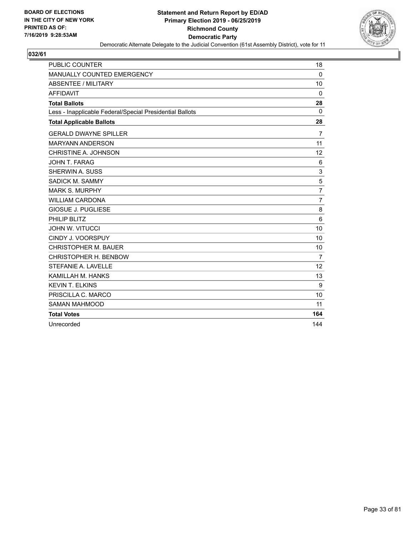

| <b>PUBLIC COUNTER</b>                                    | 18             |
|----------------------------------------------------------|----------------|
| MANUALLY COUNTED EMERGENCY                               | $\mathbf 0$    |
| <b>ABSENTEE / MILITARY</b>                               | 10             |
| <b>AFFIDAVIT</b>                                         | 0              |
| <b>Total Ballots</b>                                     | 28             |
| Less - Inapplicable Federal/Special Presidential Ballots | $\mathbf{0}$   |
| <b>Total Applicable Ballots</b>                          | 28             |
| <b>GERALD DWAYNE SPILLER</b>                             | 7              |
| <b>MARYANN ANDERSON</b>                                  | 11             |
| CHRISTINE A. JOHNSON                                     | 12             |
| JOHN T. FARAG                                            | 6              |
| SHERWIN A. SUSS                                          | 3              |
| SADICK M. SAMMY                                          | 5              |
| <b>MARK S. MURPHY</b>                                    | $\overline{7}$ |
| <b>WILLIAM CARDONA</b>                                   | $\overline{7}$ |
| <b>GIOSUE J. PUGLIESE</b>                                | 8              |
| PHILIP BLITZ                                             | 6              |
| <b>JOHN W. VITUCCI</b>                                   | 10             |
| CINDY J. VOORSPUY                                        | 10             |
| <b>CHRISTOPHER M. BAUER</b>                              | 10             |
| CHRISTOPHER H. BENBOW                                    | $\overline{7}$ |
| STEFANIE A. LAVELLE                                      | 12             |
| KAMILLAH M. HANKS                                        | 13             |
| <b>KEVIN T. ELKINS</b>                                   | 9              |
| PRISCILLA C. MARCO                                       | 10             |
| <b>SAMAN MAHMOOD</b>                                     | 11             |
| <b>Total Votes</b>                                       | 164            |
| Unrecorded                                               | 144            |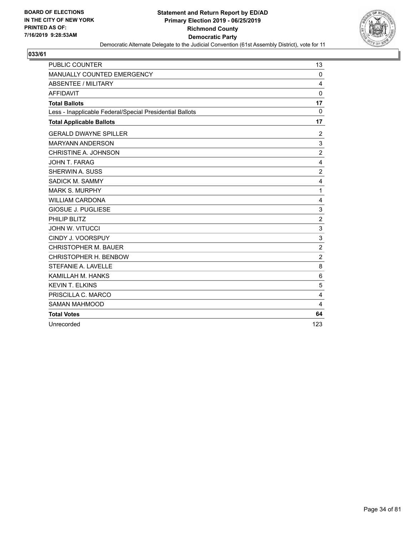

| <b>PUBLIC COUNTER</b>                                    | 13             |
|----------------------------------------------------------|----------------|
| MANUALLY COUNTED EMERGENCY                               | $\Omega$       |
| <b>ABSENTEE / MILITARY</b>                               | 4              |
| <b>AFFIDAVIT</b>                                         | $\mathbf 0$    |
| <b>Total Ballots</b>                                     | 17             |
| Less - Inapplicable Federal/Special Presidential Ballots | $\mathbf{0}$   |
| <b>Total Applicable Ballots</b>                          | 17             |
| <b>GERALD DWAYNE SPILLER</b>                             | 2              |
| <b>MARYANN ANDERSON</b>                                  | 3              |
| CHRISTINE A. JOHNSON                                     | $\overline{2}$ |
| JOHN T. FARAG                                            | 4              |
| SHERWIN A. SUSS                                          | $\overline{c}$ |
| SADICK M. SAMMY                                          | 4              |
| <b>MARK S. MURPHY</b>                                    | 1              |
| <b>WILLIAM CARDONA</b>                                   | 4              |
| <b>GIOSUE J. PUGLIESE</b>                                | 3              |
| PHILIP BLITZ                                             | $\overline{c}$ |
| <b>JOHN W. VITUCCI</b>                                   | 3              |
| CINDY J. VOORSPUY                                        | 3              |
| <b>CHRISTOPHER M. BAUER</b>                              | $\overline{c}$ |
| CHRISTOPHER H. BENBOW                                    | $\overline{2}$ |
| STEFANIE A. LAVELLE                                      | 8              |
| KAMILLAH M. HANKS                                        | 6              |
| <b>KEVIN T. ELKINS</b>                                   | 5              |
| PRISCILLA C. MARCO                                       | 4              |
| <b>SAMAN MAHMOOD</b>                                     | 4              |
| <b>Total Votes</b>                                       | 64             |
| Unrecorded                                               | 123            |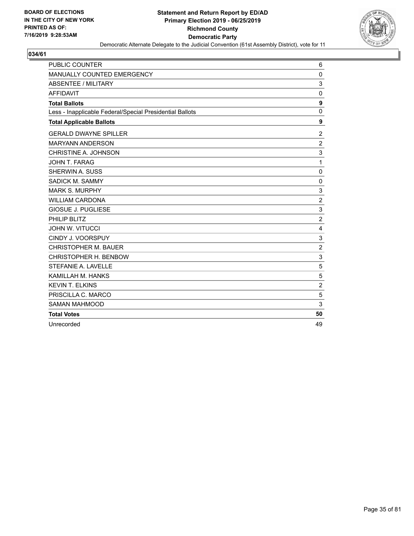

| <b>PUBLIC COUNTER</b>                                    | 6                         |
|----------------------------------------------------------|---------------------------|
| MANUALLY COUNTED EMERGENCY                               | $\mathbf 0$               |
| <b>ABSENTEE / MILITARY</b>                               | 3                         |
| <b>AFFIDAVIT</b>                                         | 0                         |
| <b>Total Ballots</b>                                     | 9                         |
| Less - Inapplicable Federal/Special Presidential Ballots | $\mathbf 0$               |
| <b>Total Applicable Ballots</b>                          | 9                         |
| <b>GERALD DWAYNE SPILLER</b>                             | 2                         |
| <b>MARYANN ANDERSON</b>                                  | $\overline{\mathbf{c}}$   |
| CHRISTINE A. JOHNSON                                     | 3                         |
| JOHN T. FARAG                                            | 1                         |
| SHERWIN A. SUSS                                          | 0                         |
| SADICK M. SAMMY                                          | $\mathbf 0$               |
| <b>MARK S. MURPHY</b>                                    | 3                         |
| <b>WILLIAM CARDONA</b>                                   | $\overline{2}$            |
| <b>GIOSUE J. PUGLIESE</b>                                | $\ensuremath{\mathsf{3}}$ |
| PHILIP BLITZ                                             | $\overline{c}$            |
| <b>JOHN W. VITUCCI</b>                                   | 4                         |
| CINDY J. VOORSPUY                                        | 3                         |
| <b>CHRISTOPHER M. BAUER</b>                              | $\overline{2}$            |
| CHRISTOPHER H. BENBOW                                    | 3                         |
| STEFANIE A. LAVELLE                                      | 5                         |
| KAMILLAH M. HANKS                                        | 5                         |
| <b>KEVIN T. ELKINS</b>                                   | $\overline{c}$            |
| PRISCILLA C. MARCO                                       | 5                         |
| <b>SAMAN MAHMOOD</b>                                     | 3                         |
| <b>Total Votes</b>                                       | 50                        |
| Unrecorded                                               | 49                        |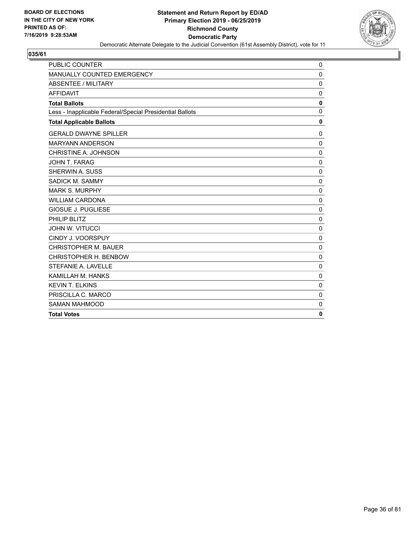

| <b>PUBLIC COUNTER</b>                                    | 0            |
|----------------------------------------------------------|--------------|
| MANUALLY COUNTED EMERGENCY                               | 0            |
| <b>ABSENTEE / MILITARY</b>                               | $\mathbf 0$  |
| <b>AFFIDAVIT</b>                                         | 0            |
| <b>Total Ballots</b>                                     | 0            |
| Less - Inapplicable Federal/Special Presidential Ballots | $\mathbf{0}$ |
| <b>Total Applicable Ballots</b>                          | $\mathbf 0$  |
| <b>GERALD DWAYNE SPILLER</b>                             | 0            |
| <b>MARYANN ANDERSON</b>                                  | $\mathbf{0}$ |
| CHRISTINE A. JOHNSON                                     | $\mathbf{0}$ |
| <b>JOHN T. FARAG</b>                                     | $\mathbf 0$  |
| SHERWIN A. SUSS                                          | $\mathbf 0$  |
| SADICK M. SAMMY                                          | 0            |
| <b>MARK S. MURPHY</b>                                    | $\mathbf 0$  |
| <b>WILLIAM CARDONA</b>                                   | $\mathbf{0}$ |
| <b>GIOSUE J. PUGLIESE</b>                                | 0            |
| PHILIP BLITZ                                             | $\mathbf 0$  |
| <b>JOHN W. VITUCCI</b>                                   | $\mathbf{0}$ |
| CINDY J. VOORSPUY                                        | $\mathbf 0$  |
| <b>CHRISTOPHER M. BAUER</b>                              | $\mathbf 0$  |
| CHRISTOPHER H. BENBOW                                    | $\mathbf{0}$ |
| STEFANIE A. LAVELLE                                      | $\mathbf 0$  |
| KAMILLAH M. HANKS                                        | $\Omega$     |
| <b>KEVIN T. ELKINS</b>                                   | $\mathbf 0$  |
| PRISCILLA C. MARCO                                       | $\mathbf 0$  |
| <b>SAMAN MAHMOOD</b>                                     | $\mathbf{0}$ |
| <b>Total Votes</b>                                       | 0            |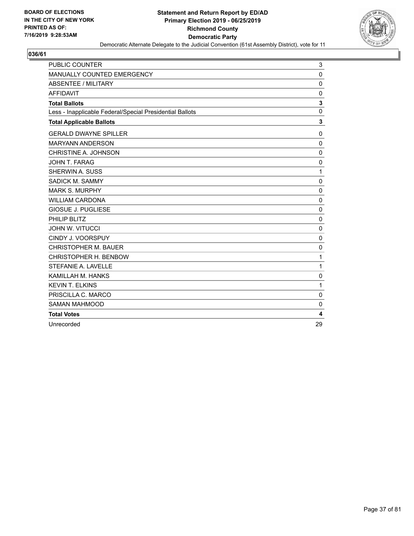

| <b>PUBLIC COUNTER</b>                                    | 3           |
|----------------------------------------------------------|-------------|
| MANUALLY COUNTED EMERGENCY                               | $\mathbf 0$ |
| <b>ABSENTEE / MILITARY</b>                               | $\mathbf 0$ |
| <b>AFFIDAVIT</b>                                         | 0           |
| <b>Total Ballots</b>                                     | 3           |
| Less - Inapplicable Federal/Special Presidential Ballots | $\mathbf 0$ |
| <b>Total Applicable Ballots</b>                          | 3           |
| <b>GERALD DWAYNE SPILLER</b>                             | $\mathbf 0$ |
| <b>MARYANN ANDERSON</b>                                  | 0           |
| CHRISTINE A. JOHNSON                                     | $\mathbf 0$ |
| JOHN T. FARAG                                            | $\mathbf 0$ |
| SHERWIN A. SUSS                                          | 1           |
| SADICK M. SAMMY                                          | $\mathbf 0$ |
| <b>MARK S. MURPHY</b>                                    | $\Omega$    |
| <b>WILLIAM CARDONA</b>                                   | 0           |
| <b>GIOSUE J. PUGLIESE</b>                                | $\mathbf 0$ |
| PHILIP BLITZ                                             | $\mathbf 0$ |
| <b>JOHN W. VITUCCI</b>                                   | $\mathbf 0$ |
| CINDY J. VOORSPUY                                        | $\mathbf 0$ |
| <b>CHRISTOPHER M. BAUER</b>                              | 0           |
| CHRISTOPHER H. BENBOW                                    | 1           |
| STEFANIE A. LAVELLE                                      | 1           |
| KAMILLAH M. HANKS                                        | $\mathbf 0$ |
| <b>KEVIN T. ELKINS</b>                                   | 1           |
| PRISCILLA C. MARCO                                       | $\mathbf 0$ |
| <b>SAMAN MAHMOOD</b>                                     | 0           |
| <b>Total Votes</b>                                       | 4           |
| Unrecorded                                               | 29          |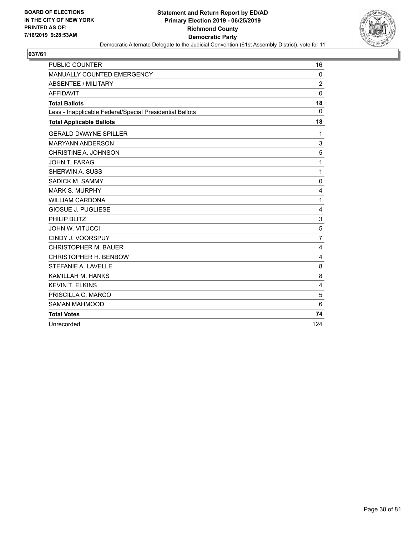

| PUBLIC COUNTER                                           | 16             |
|----------------------------------------------------------|----------------|
| MANUALLY COUNTED EMERGENCY                               | $\mathbf 0$    |
| <b>ABSENTEE / MILITARY</b>                               | $\overline{2}$ |
| <b>AFFIDAVIT</b>                                         | $\mathbf 0$    |
| <b>Total Ballots</b>                                     | 18             |
| Less - Inapplicable Federal/Special Presidential Ballots | $\Omega$       |
| <b>Total Applicable Ballots</b>                          | 18             |
| <b>GERALD DWAYNE SPILLER</b>                             | 1              |
| <b>MARYANN ANDERSON</b>                                  | 3              |
| CHRISTINE A. JOHNSON                                     | 5              |
| JOHN T. FARAG                                            | 1              |
| SHERWIN A. SUSS                                          | $\mathbf{1}$   |
| SADICK M. SAMMY                                          | 0              |
| <b>MARK S. MURPHY</b>                                    | 4              |
| <b>WILLIAM CARDONA</b>                                   | $\mathbf{1}$   |
| <b>GIOSUE J. PUGLIESE</b>                                | 4              |
| PHILIP BLITZ                                             | 3              |
| <b>JOHN W. VITUCCI</b>                                   | 5              |
| CINDY J. VOORSPUY                                        | $\overline{7}$ |
| <b>CHRISTOPHER M. BAUER</b>                              | 4              |
| CHRISTOPHER H. BENBOW                                    | 4              |
| STEFANIE A. LAVELLE                                      | 8              |
| KAMILLAH M. HANKS                                        | 8              |
| <b>KEVIN T. ELKINS</b>                                   | 4              |
| PRISCILLA C. MARCO                                       | 5              |
| <b>SAMAN MAHMOOD</b>                                     | 6              |
| <b>Total Votes</b>                                       | 74             |
| Unrecorded                                               | 124            |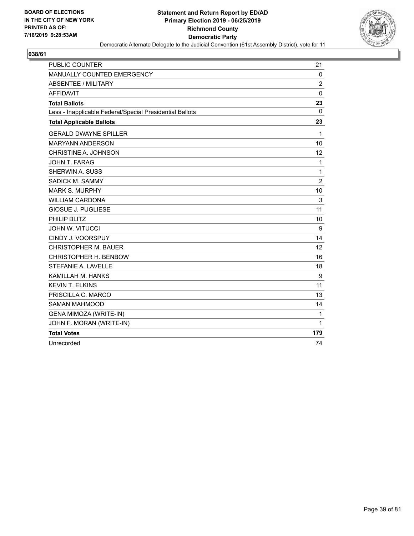

| <b>PUBLIC COUNTER</b>                                    | 21             |
|----------------------------------------------------------|----------------|
| MANUALLY COUNTED EMERGENCY                               | 0              |
| <b>ABSENTEE / MILITARY</b>                               | $\overline{2}$ |
| <b>AFFIDAVIT</b>                                         | $\mathbf 0$    |
| <b>Total Ballots</b>                                     | 23             |
| Less - Inapplicable Federal/Special Presidential Ballots | 0              |
| <b>Total Applicable Ballots</b>                          | 23             |
| <b>GERALD DWAYNE SPILLER</b>                             | 1              |
| <b>MARYANN ANDERSON</b>                                  | 10             |
| CHRISTINE A. JOHNSON                                     | 12             |
| JOHN T. FARAG                                            | $\mathbf{1}$   |
| SHERWIN A. SUSS                                          | $\mathbf{1}$   |
| SADICK M. SAMMY                                          | $\overline{c}$ |
| <b>MARK S. MURPHY</b>                                    | 10             |
| <b>WILLIAM CARDONA</b>                                   | 3              |
| <b>GIOSUE J. PUGLIESE</b>                                | 11             |
| PHILIP BLITZ                                             | 10             |
| <b>JOHN W. VITUCCI</b>                                   | 9              |
| CINDY J. VOORSPUY                                        | 14             |
| <b>CHRISTOPHER M. BAUER</b>                              | 12             |
| CHRISTOPHER H. BENBOW                                    | 16             |
| STEFANIE A. LAVELLE                                      | 18             |
| KAMILLAH M. HANKS                                        | 9              |
| <b>KEVIN T. ELKINS</b>                                   | 11             |
| PRISCILLA C. MARCO                                       | 13             |
| <b>SAMAN MAHMOOD</b>                                     | 14             |
| <b>GENA MIMOZA (WRITE-IN)</b>                            | 1              |
| JOHN F. MORAN (WRITE-IN)                                 | 1              |
| <b>Total Votes</b>                                       | 179            |
| Unrecorded                                               | 74             |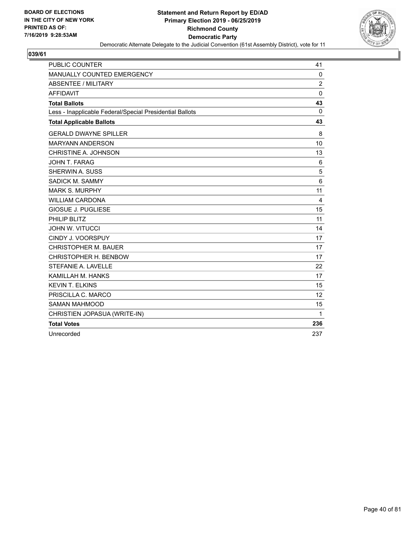

| PUBLIC COUNTER                                           | 41             |
|----------------------------------------------------------|----------------|
| MANUALLY COUNTED EMERGENCY                               | $\mathbf 0$    |
| <b>ABSENTEE / MILITARY</b>                               | $\overline{2}$ |
| <b>AFFIDAVIT</b>                                         | 0              |
| <b>Total Ballots</b>                                     | 43             |
| Less - Inapplicable Federal/Special Presidential Ballots | $\Omega$       |
| <b>Total Applicable Ballots</b>                          | 43             |
| <b>GERALD DWAYNE SPILLER</b>                             | 8              |
| <b>MARYANN ANDERSON</b>                                  | 10             |
| CHRISTINE A. JOHNSON                                     | 13             |
| JOHN T. FARAG                                            | 6              |
| SHERWIN A. SUSS                                          | 5              |
| SADICK M. SAMMY                                          | 6              |
| <b>MARK S. MURPHY</b>                                    | 11             |
| <b>WILLIAM CARDONA</b>                                   | $\overline{4}$ |
| <b>GIOSUE J. PUGLIESE</b>                                | 15             |
| PHILIP BLITZ                                             | 11             |
| <b>JOHN W. VITUCCI</b>                                   | 14             |
| CINDY J. VOORSPUY                                        | 17             |
| CHRISTOPHER M. BAUER                                     | 17             |
| CHRISTOPHER H. BENBOW                                    | 17             |
| STEFANIE A. LAVELLE                                      | 22             |
| KAMILLAH M. HANKS                                        | 17             |
| <b>KEVIN T. ELKINS</b>                                   | 15             |
| PRISCILLA C. MARCO                                       | 12             |
| <b>SAMAN MAHMOOD</b>                                     | 15             |
| CHRISTIEN JOPASUA (WRITE-IN)                             | 1              |
| <b>Total Votes</b>                                       | 236            |
| Unrecorded                                               | 237            |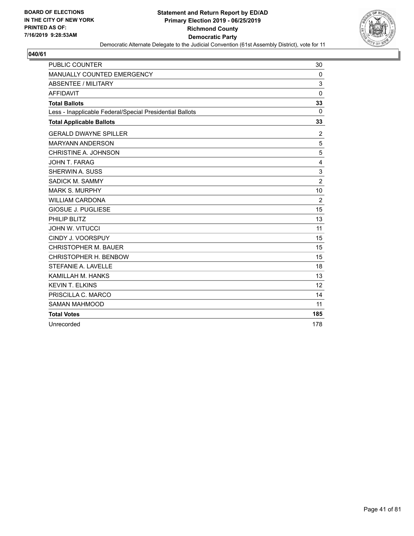

| <b>PUBLIC COUNTER</b>                                    | 30             |
|----------------------------------------------------------|----------------|
| MANUALLY COUNTED EMERGENCY                               | 0              |
| <b>ABSENTEE / MILITARY</b>                               | 3              |
| <b>AFFIDAVIT</b>                                         | $\mathbf 0$    |
| <b>Total Ballots</b>                                     | 33             |
| Less - Inapplicable Federal/Special Presidential Ballots | $\Omega$       |
| <b>Total Applicable Ballots</b>                          | 33             |
| <b>GERALD DWAYNE SPILLER</b>                             | $\overline{c}$ |
| <b>MARYANN ANDERSON</b>                                  | 5              |
| CHRISTINE A. JOHNSON                                     | 5              |
| <b>JOHN T. FARAG</b>                                     | 4              |
| SHERWIN A. SUSS                                          | 3              |
| SADICK M. SAMMY                                          | $\overline{2}$ |
| <b>MARK S. MURPHY</b>                                    | 10             |
| <b>WILLIAM CARDONA</b>                                   | 2              |
| <b>GIOSUE J. PUGLIESE</b>                                | 15             |
| PHILIP BLITZ                                             | 13             |
| <b>JOHN W. VITUCCI</b>                                   | 11             |
| CINDY J. VOORSPUY                                        | 15             |
| <b>CHRISTOPHER M. BAUER</b>                              | 15             |
| CHRISTOPHER H. BENBOW                                    | 15             |
| STEFANIE A. LAVELLE                                      | 18             |
| KAMILLAH M. HANKS                                        | 13             |
| <b>KEVIN T. ELKINS</b>                                   | 12             |
| PRISCILLA C. MARCO                                       | 14             |
| <b>SAMAN MAHMOOD</b>                                     | 11             |
| <b>Total Votes</b>                                       | 185            |
| Unrecorded                                               | 178            |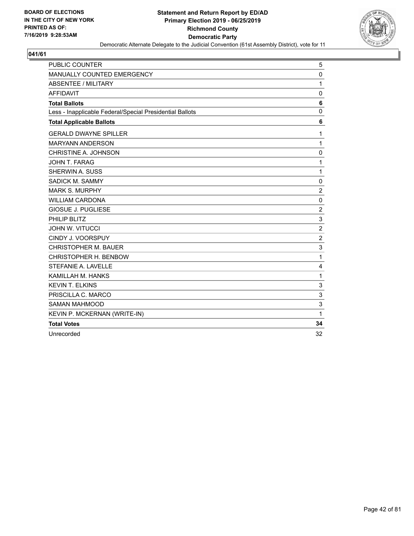

| <b>PUBLIC COUNTER</b>                                    | 5              |
|----------------------------------------------------------|----------------|
| MANUALLY COUNTED EMERGENCY                               | 0              |
| <b>ABSENTEE / MILITARY</b>                               | 1              |
| <b>AFFIDAVIT</b>                                         | $\mathbf 0$    |
| <b>Total Ballots</b>                                     | 6              |
| Less - Inapplicable Federal/Special Presidential Ballots | $\mathbf{0}$   |
| <b>Total Applicable Ballots</b>                          | 6              |
| <b>GERALD DWAYNE SPILLER</b>                             | 1              |
| <b>MARYANN ANDERSON</b>                                  | $\mathbf{1}$   |
| CHRISTINE A. JOHNSON                                     | 0              |
| JOHN T. FARAG                                            | $\mathbf{1}$   |
| SHERWIN A. SUSS                                          | 1              |
| SADICK M. SAMMY                                          | 0              |
| <b>MARK S. MURPHY</b>                                    | $\overline{c}$ |
| <b>WILLIAM CARDONA</b>                                   | $\mathbf 0$    |
| <b>GIOSUE J. PUGLIESE</b>                                | $\overline{c}$ |
| PHILIP BLITZ                                             | 3              |
| <b>JOHN W. VITUCCI</b>                                   | $\overline{c}$ |
| CINDY J. VOORSPUY                                        | $\overline{c}$ |
| <b>CHRISTOPHER M. BAUER</b>                              | 3              |
| CHRISTOPHER H. BENBOW                                    | 1              |
| STEFANIE A. LAVELLE                                      | 4              |
| KAMILLAH M. HANKS                                        | 1              |
| <b>KEVIN T. ELKINS</b>                                   | 3              |
| PRISCILLA C. MARCO                                       | 3              |
| <b>SAMAN MAHMOOD</b>                                     | 3              |
| KEVIN P. MCKERNAN (WRITE-IN)                             | 1              |
| <b>Total Votes</b>                                       | 34             |
| Unrecorded                                               | 32             |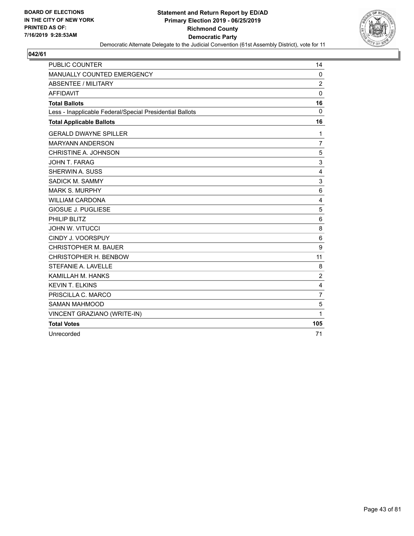

| <b>PUBLIC COUNTER</b>                                    | 14             |
|----------------------------------------------------------|----------------|
| MANUALLY COUNTED EMERGENCY                               | $\mathbf 0$    |
| <b>ABSENTEE / MILITARY</b>                               | $\overline{c}$ |
| <b>AFFIDAVIT</b>                                         | $\Omega$       |
| <b>Total Ballots</b>                                     | 16             |
| Less - Inapplicable Federal/Special Presidential Ballots | $\Omega$       |
| <b>Total Applicable Ballots</b>                          | 16             |
| <b>GERALD DWAYNE SPILLER</b>                             | 1              |
| <b>MARYANN ANDERSON</b>                                  | $\overline{7}$ |
| CHRISTINE A. JOHNSON                                     | 5              |
| JOHN T. FARAG                                            | 3              |
| <b>SHERWIN A. SUSS</b>                                   | 4              |
| SADICK M. SAMMY                                          | 3              |
| <b>MARK S. MURPHY</b>                                    | 6              |
| <b>WILLIAM CARDONA</b>                                   | 4              |
| <b>GIOSUE J. PUGLIESE</b>                                | 5              |
| PHILIP BLITZ                                             | 6              |
| <b>JOHN W. VITUCCI</b>                                   | 8              |
| CINDY J. VOORSPUY                                        | 6              |
| <b>CHRISTOPHER M. BAUER</b>                              | 9              |
| CHRISTOPHER H. BENBOW                                    | 11             |
| STEFANIE A. LAVELLE                                      | 8              |
| KAMILLAH M. HANKS                                        | $\overline{c}$ |
| <b>KEVIN T. ELKINS</b>                                   | 4              |
| PRISCILLA C. MARCO                                       | $\overline{7}$ |
| <b>SAMAN MAHMOOD</b>                                     | 5              |
| VINCENT GRAZIANO (WRITE-IN)                              | 1              |
| <b>Total Votes</b>                                       | 105            |
| Unrecorded                                               | 71             |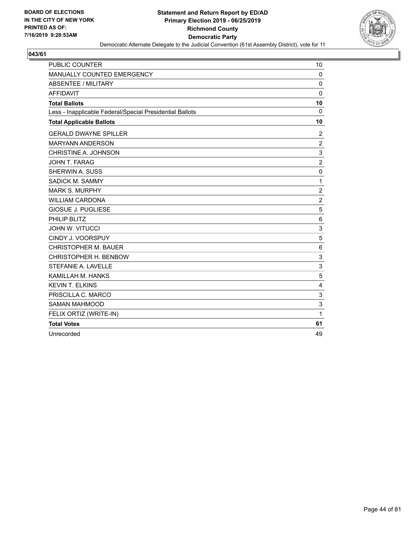

| <b>PUBLIC COUNTER</b>                                    | 10             |
|----------------------------------------------------------|----------------|
| MANUALLY COUNTED EMERGENCY                               | $\Omega$       |
| <b>ABSENTEE / MILITARY</b>                               | $\mathbf 0$    |
| <b>AFFIDAVIT</b>                                         | $\Omega$       |
| <b>Total Ballots</b>                                     | 10             |
| Less - Inapplicable Federal/Special Presidential Ballots | $\Omega$       |
| <b>Total Applicable Ballots</b>                          | 10             |
| <b>GERALD DWAYNE SPILLER</b>                             | 2              |
| <b>MARYANN ANDERSON</b>                                  | $\overline{2}$ |
| CHRISTINE A. JOHNSON                                     | 3              |
| <b>JOHN T. FARAG</b>                                     | $\overline{2}$ |
| SHERWIN A. SUSS                                          | $\mathbf 0$    |
| SADICK M. SAMMY                                          | 1              |
| <b>MARK S. MURPHY</b>                                    | $\overline{2}$ |
| <b>WILLIAM CARDONA</b>                                   | $\overline{c}$ |
| <b>GIOSUE J. PUGLIESE</b>                                | 5              |
| PHILIP BLITZ                                             | 6              |
| <b>JOHN W. VITUCCI</b>                                   | 3              |
| CINDY J. VOORSPUY                                        | 5              |
| <b>CHRISTOPHER M. BAUER</b>                              | 6              |
| CHRISTOPHER H. BENBOW                                    | 3              |
| STEFANIE A. LAVELLE                                      | 3              |
| KAMILLAH M. HANKS                                        | 5              |
| <b>KEVIN T. ELKINS</b>                                   | 4              |
| PRISCILLA C. MARCO                                       | 3              |
| <b>SAMAN MAHMOOD</b>                                     | 3              |
| FELIX ORTIZ (WRITE-IN)                                   | 1              |
| <b>Total Votes</b>                                       | 61             |
| Unrecorded                                               | 49             |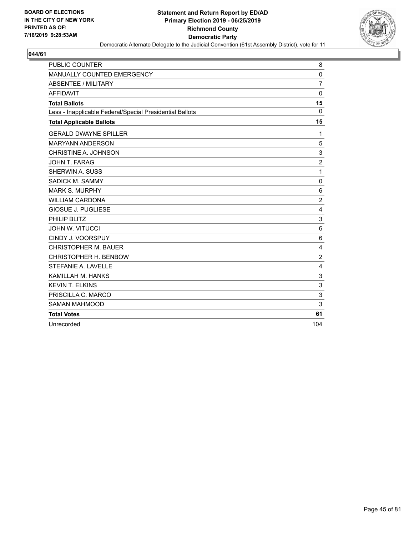

| <b>PUBLIC COUNTER</b>                                    | 8              |
|----------------------------------------------------------|----------------|
| MANUALLY COUNTED EMERGENCY                               | 0              |
| <b>ABSENTEE / MILITARY</b>                               | $\overline{7}$ |
| <b>AFFIDAVIT</b>                                         | $\mathbf 0$    |
| <b>Total Ballots</b>                                     | 15             |
| Less - Inapplicable Federal/Special Presidential Ballots | 0              |
| <b>Total Applicable Ballots</b>                          | 15             |
| <b>GERALD DWAYNE SPILLER</b>                             | 1              |
| <b>MARYANN ANDERSON</b>                                  | 5              |
| CHRISTINE A. JOHNSON                                     | 3              |
| JOHN T. FARAG                                            | $\overline{2}$ |
| SHERWIN A. SUSS                                          | $\mathbf{1}$   |
| SADICK M. SAMMY                                          | 0              |
| <b>MARK S. MURPHY</b>                                    | 6              |
| <b>WILLIAM CARDONA</b>                                   | $\overline{c}$ |
| <b>GIOSUE J. PUGLIESE</b>                                | 4              |
| PHILIP BLITZ                                             | 3              |
| <b>JOHN W. VITUCCI</b>                                   | 6              |
| CINDY J. VOORSPUY                                        | 6              |
| <b>CHRISTOPHER M. BAUER</b>                              | 4              |
| CHRISTOPHER H. BENBOW                                    | $\overline{c}$ |
| STEFANIE A. LAVELLE                                      | 4              |
| KAMILLAH M. HANKS                                        | 3              |
| <b>KEVIN T. ELKINS</b>                                   | 3              |
| PRISCILLA C. MARCO                                       | 3              |
| <b>SAMAN MAHMOOD</b>                                     | 3              |
| <b>Total Votes</b>                                       | 61             |
| Unrecorded                                               | 104            |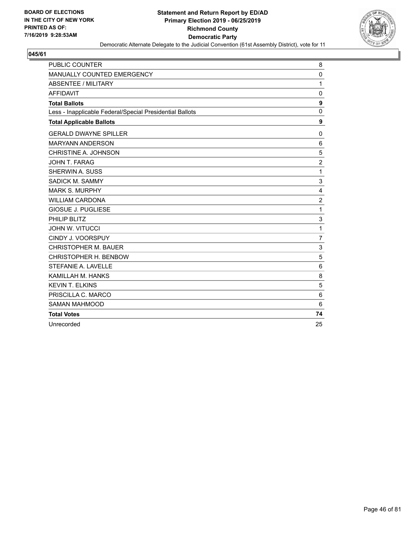

| <b>PUBLIC COUNTER</b>                                    | 8                |
|----------------------------------------------------------|------------------|
| MANUALLY COUNTED EMERGENCY                               | $\mathbf 0$      |
| <b>ABSENTEE / MILITARY</b>                               | 1                |
| <b>AFFIDAVIT</b>                                         | 0                |
| <b>Total Ballots</b>                                     | $\boldsymbol{9}$ |
| Less - Inapplicable Federal/Special Presidential Ballots | $\mathbf 0$      |
| <b>Total Applicable Ballots</b>                          | $\boldsymbol{9}$ |
| <b>GERALD DWAYNE SPILLER</b>                             | 0                |
| <b>MARYANN ANDERSON</b>                                  | 6                |
| CHRISTINE A. JOHNSON                                     | 5                |
| JOHN T. FARAG                                            | $\overline{2}$   |
| SHERWIN A. SUSS                                          | 1                |
| SADICK M. SAMMY                                          | 3                |
| <b>MARK S. MURPHY</b>                                    | 4                |
| <b>WILLIAM CARDONA</b>                                   | $\overline{2}$   |
| <b>GIOSUE J. PUGLIESE</b>                                | 1                |
| PHILIP BLITZ                                             | 3                |
| <b>JOHN W. VITUCCI</b>                                   | 1                |
| CINDY J. VOORSPUY                                        | $\overline{7}$   |
| <b>CHRISTOPHER M. BAUER</b>                              | 3                |
| CHRISTOPHER H. BENBOW                                    | 5                |
| STEFANIE A. LAVELLE                                      | 6                |
| KAMILLAH M. HANKS                                        | 8                |
| <b>KEVIN T. ELKINS</b>                                   | 5                |
| PRISCILLA C. MARCO                                       | 6                |
| <b>SAMAN MAHMOOD</b>                                     | 6                |
| <b>Total Votes</b>                                       | 74               |
| Unrecorded                                               | 25               |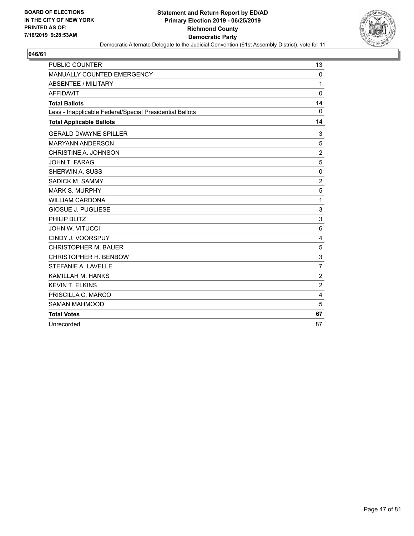

| <b>PUBLIC COUNTER</b>                                    | 13             |
|----------------------------------------------------------|----------------|
| MANUALLY COUNTED EMERGENCY                               | 0              |
| <b>ABSENTEE / MILITARY</b>                               | 1              |
| <b>AFFIDAVIT</b>                                         | $\Omega$       |
| <b>Total Ballots</b>                                     | 14             |
| Less - Inapplicable Federal/Special Presidential Ballots | $\Omega$       |
| <b>Total Applicable Ballots</b>                          | 14             |
| <b>GERALD DWAYNE SPILLER</b>                             | 3              |
| <b>MARYANN ANDERSON</b>                                  | 5              |
| CHRISTINE A. JOHNSON                                     | $\overline{2}$ |
| JOHN T. FARAG                                            | 5              |
| SHERWIN A. SUSS                                          | $\mathbf 0$    |
| SADICK M. SAMMY                                          | $\overline{2}$ |
| <b>MARK S. MURPHY</b>                                    | 5              |
| <b>WILLIAM CARDONA</b>                                   | $\mathbf{1}$   |
| GIOSUE J. PUGLIESE                                       | 3              |
| PHILIP BLITZ                                             | 3              |
| <b>JOHN W. VITUCCI</b>                                   | 6              |
| CINDY J. VOORSPUY                                        | 4              |
| <b>CHRISTOPHER M. BAUER</b>                              | 5              |
| CHRISTOPHER H. BENBOW                                    | 3              |
| STEFANIE A. LAVELLE                                      | $\overline{7}$ |
| KAMILLAH M. HANKS                                        | $\overline{c}$ |
| <b>KEVIN T. ELKINS</b>                                   | $\overline{2}$ |
| PRISCILLA C. MARCO                                       | 4              |
| <b>SAMAN MAHMOOD</b>                                     | 5              |
| <b>Total Votes</b>                                       | 67             |
| Unrecorded                                               | 87             |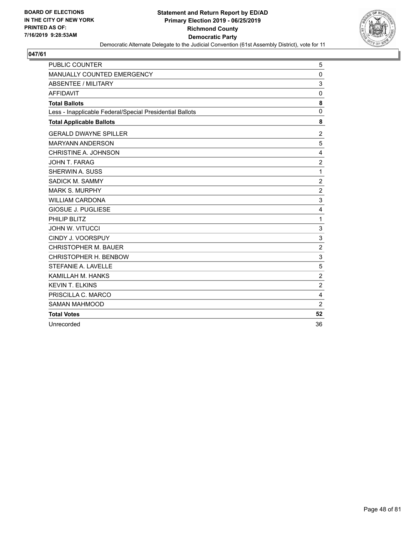

| <b>PUBLIC COUNTER</b>                                    | 5                |
|----------------------------------------------------------|------------------|
| MANUALLY COUNTED EMERGENCY                               | 0                |
| <b>ABSENTEE / MILITARY</b>                               | 3                |
| <b>AFFIDAVIT</b>                                         | 0                |
| <b>Total Ballots</b>                                     | 8                |
| Less - Inapplicable Federal/Special Presidential Ballots | 0                |
| <b>Total Applicable Ballots</b>                          | 8                |
| <b>GERALD DWAYNE SPILLER</b>                             | $\overline{2}$   |
| <b>MARYANN ANDERSON</b>                                  | 5                |
| CHRISTINE A. JOHNSON                                     | 4                |
| JOHN T. FARAG                                            | $\overline{c}$   |
| SHERWIN A. SUSS                                          | $\mathbf{1}$     |
| SADICK M. SAMMY                                          | $\boldsymbol{2}$ |
| <b>MARK S. MURPHY</b>                                    | $\overline{c}$   |
| <b>WILLIAM CARDONA</b>                                   | 3                |
| <b>GIOSUE J. PUGLIESE</b>                                | 4                |
| PHILIP BLITZ                                             | 1                |
| <b>JOHN W. VITUCCI</b>                                   | 3                |
| CINDY J. VOORSPUY                                        | 3                |
| <b>CHRISTOPHER M. BAUER</b>                              | $\overline{c}$   |
| CHRISTOPHER H. BENBOW                                    | 3                |
| STEFANIE A. LAVELLE                                      | 5                |
| KAMILLAH M. HANKS                                        | $\overline{2}$   |
| <b>KEVIN T. ELKINS</b>                                   | $\overline{2}$   |
| PRISCILLA C. MARCO                                       | 4                |
| <b>SAMAN MAHMOOD</b>                                     | $\overline{2}$   |
| <b>Total Votes</b>                                       | 52               |
| Unrecorded                                               | 36               |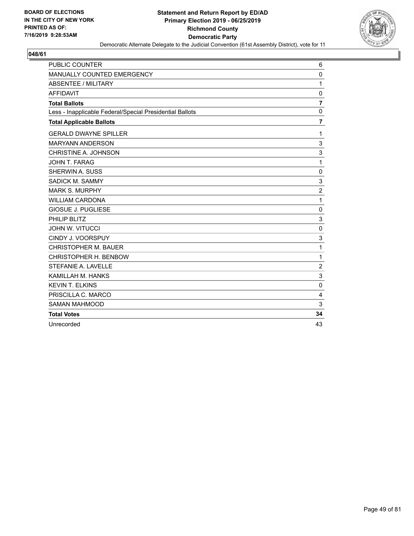

| <b>PUBLIC COUNTER</b>                                    | 6              |
|----------------------------------------------------------|----------------|
| MANUALLY COUNTED EMERGENCY                               | $\mathbf 0$    |
| <b>ABSENTEE / MILITARY</b>                               | 1              |
| <b>AFFIDAVIT</b>                                         | $\mathbf 0$    |
| <b>Total Ballots</b>                                     | $\overline{7}$ |
| Less - Inapplicable Federal/Special Presidential Ballots | 0              |
| <b>Total Applicable Ballots</b>                          | $\overline{7}$ |
| <b>GERALD DWAYNE SPILLER</b>                             | 1              |
| <b>MARYANN ANDERSON</b>                                  | 3              |
| CHRISTINE A. JOHNSON                                     | 3              |
| JOHN T. FARAG                                            | 1              |
| SHERWIN A. SUSS                                          | 0              |
| SADICK M. SAMMY                                          | 3              |
| <b>MARK S. MURPHY</b>                                    | $\overline{2}$ |
| <b>WILLIAM CARDONA</b>                                   | $\mathbf{1}$   |
| <b>GIOSUE J. PUGLIESE</b>                                | 0              |
| PHILIP BLITZ                                             | 3              |
| <b>JOHN W. VITUCCI</b>                                   | 0              |
| CINDY J. VOORSPUY                                        | 3              |
| <b>CHRISTOPHER M. BAUER</b>                              | 1              |
| CHRISTOPHER H. BENBOW                                    | 1              |
| STEFANIE A. LAVELLE                                      | $\overline{c}$ |
| KAMILLAH M. HANKS                                        | 3              |
| <b>KEVIN T. ELKINS</b>                                   | $\mathbf{0}$   |
| PRISCILLA C. MARCO                                       | 4              |
| <b>SAMAN MAHMOOD</b>                                     | 3              |
| <b>Total Votes</b>                                       | 34             |
| Unrecorded                                               | 43             |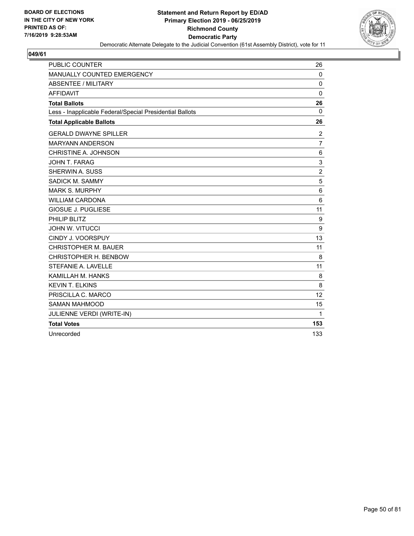

| <b>PUBLIC COUNTER</b>                                    | 26             |
|----------------------------------------------------------|----------------|
| <b>MANUALLY COUNTED EMERGENCY</b>                        | $\Omega$       |
| <b>ABSENTEE / MILITARY</b>                               | 0              |
| <b>AFFIDAVIT</b>                                         | 0              |
| <b>Total Ballots</b>                                     | 26             |
| Less - Inapplicable Federal/Special Presidential Ballots | $\mathbf{0}$   |
| <b>Total Applicable Ballots</b>                          | 26             |
| <b>GERALD DWAYNE SPILLER</b>                             | $\overline{2}$ |
| <b>MARYANN ANDERSON</b>                                  | $\overline{7}$ |
| CHRISTINE A. JOHNSON                                     | 6              |
| <b>JOHN T. FARAG</b>                                     | 3              |
| SHERWIN A. SUSS                                          | $\overline{c}$ |
| SADICK M. SAMMY                                          | 5              |
| <b>MARK S. MURPHY</b>                                    | 6              |
| <b>WILLIAM CARDONA</b>                                   | 6              |
| <b>GIOSUE J. PUGLIESE</b>                                | 11             |
| PHILIP BLITZ                                             | 9              |
| <b>JOHN W. VITUCCI</b>                                   | 9              |
| CINDY J. VOORSPUY                                        | 13             |
| <b>CHRISTOPHER M. BAUER</b>                              | 11             |
| CHRISTOPHER H. BENBOW                                    | 8              |
| STEFANIE A. LAVELLE                                      | 11             |
| KAMILLAH M. HANKS                                        | 8              |
| <b>KEVIN T. ELKINS</b>                                   | 8              |
| PRISCILLA C. MARCO                                       | 12             |
| <b>SAMAN MAHMOOD</b>                                     | 15             |
| JULIENNE VERDI (WRITE-IN)                                | $\mathbf{1}$   |
| <b>Total Votes</b>                                       | 153            |
| Unrecorded                                               | 133            |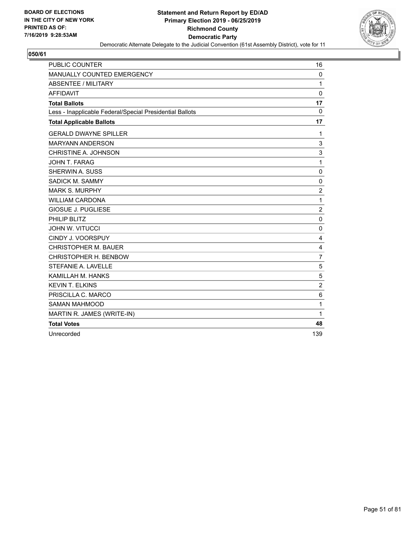

| <b>PUBLIC COUNTER</b>                                    | 16             |
|----------------------------------------------------------|----------------|
| MANUALLY COUNTED EMERGENCY                               | 0              |
| <b>ABSENTEE / MILITARY</b>                               | $\mathbf{1}$   |
| <b>AFFIDAVIT</b>                                         | 0              |
| <b>Total Ballots</b>                                     | 17             |
| Less - Inapplicable Federal/Special Presidential Ballots | 0              |
| <b>Total Applicable Ballots</b>                          | 17             |
| <b>GERALD DWAYNE SPILLER</b>                             | 1              |
| <b>MARYANN ANDERSON</b>                                  | 3              |
| CHRISTINE A. JOHNSON                                     | 3              |
| <b>JOHN T. FARAG</b>                                     | $\mathbf{1}$   |
| SHERWIN A. SUSS                                          | 0              |
| SADICK M. SAMMY                                          | 0              |
| <b>MARK S. MURPHY</b>                                    | $\overline{c}$ |
| <b>WILLIAM CARDONA</b>                                   | $\mathbf{1}$   |
| <b>GIOSUE J. PUGLIESE</b>                                | 2              |
| PHILIP BLITZ                                             | 0              |
| <b>JOHN W. VITUCCI</b>                                   | $\mathbf 0$    |
| CINDY J. VOORSPUY                                        | 4              |
| <b>CHRISTOPHER M. BAUER</b>                              | 4              |
| CHRISTOPHER H. BENBOW                                    | 7              |
| STEFANIE A. LAVELLE                                      | 5              |
| KAMILLAH M. HANKS                                        | 5              |
| <b>KEVIN T. ELKINS</b>                                   | $\overline{c}$ |
| PRISCILLA C. MARCO                                       | 6              |
| <b>SAMAN MAHMOOD</b>                                     | $\mathbf{1}$   |
| MARTIN R. JAMES (WRITE-IN)                               | 1              |
| <b>Total Votes</b>                                       | 48             |
| Unrecorded                                               | 139            |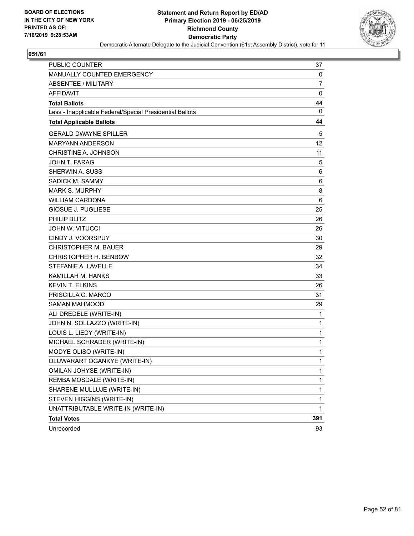

| PUBLIC COUNTER                                           | 37           |
|----------------------------------------------------------|--------------|
| MANUALLY COUNTED EMERGENCY                               | 0            |
| <b>ABSENTEE / MILITARY</b>                               | 7            |
| <b>AFFIDAVIT</b>                                         | 0            |
| <b>Total Ballots</b>                                     | 44           |
| Less - Inapplicable Federal/Special Presidential Ballots | 0            |
| <b>Total Applicable Ballots</b>                          | 44           |
| <b>GERALD DWAYNE SPILLER</b>                             | 5            |
| <b>MARYANN ANDERSON</b>                                  | 12           |
| CHRISTINE A. JOHNSON                                     | 11           |
| <b>JOHN T. FARAG</b>                                     | 5            |
| SHERWIN A. SUSS                                          | 6            |
| SADICK M. SAMMY                                          | 6            |
| <b>MARK S. MURPHY</b>                                    | 8            |
| WILLIAM CARDONA                                          | 6            |
| <b>GIOSUE J. PUGLIESE</b>                                | 25           |
| PHILIP BLITZ                                             | 26           |
| <b>JOHN W. VITUCCI</b>                                   | 26           |
| <b>CINDY J. VOORSPUY</b>                                 | 30           |
| <b>CHRISTOPHER M. BAUER</b>                              | 29           |
| CHRISTOPHER H. BENBOW                                    | 32           |
| STEFANIE A. LAVELLE                                      | 34           |
| KAMILLAH M. HANKS                                        | 33           |
| <b>KEVIN T. ELKINS</b>                                   | 26           |
| PRISCILLA C. MARCO                                       | 31           |
| <b>SAMAN MAHMOOD</b>                                     | 29           |
| ALI DREDELE (WRITE-IN)                                   | $\mathbf{1}$ |
| JOHN N. SOLLAZZO (WRITE-IN)                              | 1            |
| LOUIS L. LIEDY (WRITE-IN)                                | 1            |
| MICHAEL SCHRADER (WRITE-IN)                              | 1            |
| MODYE OLISO (WRITE-IN)                                   | 1            |
| OLUWARART OGANKYE (WRITE-IN)                             | 1            |
| OMILAN JOHYSE (WRITE-IN)                                 | 1            |
| REMBA MOSDALE (WRITE-IN)                                 | $\mathbf{1}$ |
| SHARENE MULLUJE (WRITE-IN)                               | 1            |
| STEVEN HIGGINS (WRITE-IN)                                | 1            |
| UNATTRIBUTABLE WRITE-IN (WRITE-IN)                       | 1            |
| <b>Total Votes</b>                                       | 391          |
| Unrecorded                                               | 93           |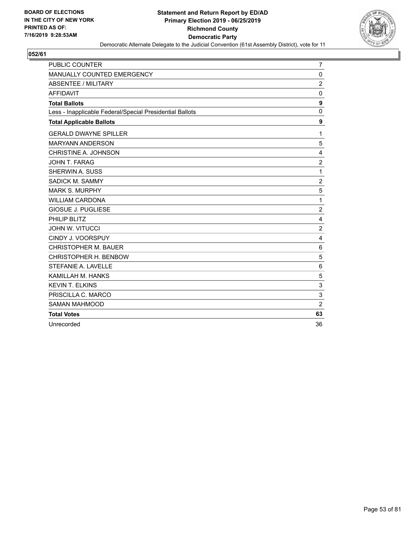

| <b>PUBLIC COUNTER</b>                                    | 7                       |
|----------------------------------------------------------|-------------------------|
| MANUALLY COUNTED EMERGENCY                               | 0                       |
| <b>ABSENTEE / MILITARY</b>                               | $\overline{2}$          |
| <b>AFFIDAVIT</b>                                         | $\mathbf 0$             |
| <b>Total Ballots</b>                                     | 9                       |
| Less - Inapplicable Federal/Special Presidential Ballots | $\mathbf 0$             |
| <b>Total Applicable Ballots</b>                          | 9                       |
| <b>GERALD DWAYNE SPILLER</b>                             | 1                       |
| <b>MARYANN ANDERSON</b>                                  | 5                       |
| CHRISTINE A. JOHNSON                                     | 4                       |
| <b>JOHN T. FARAG</b>                                     | $\overline{2}$          |
| SHERWIN A. SUSS                                          | 1                       |
| SADICK M. SAMMY                                          | $\overline{c}$          |
| <b>MARK S. MURPHY</b>                                    | 5                       |
| <b>WILLIAM CARDONA</b>                                   | 1                       |
| <b>GIOSUE J. PUGLIESE</b>                                | $\overline{c}$          |
| PHILIP BLITZ                                             | $\overline{4}$          |
| <b>JOHN W. VITUCCI</b>                                   | $\overline{c}$          |
| CINDY J. VOORSPUY                                        | $\overline{\mathbf{4}}$ |
| <b>CHRISTOPHER M. BAUER</b>                              | 6                       |
| CHRISTOPHER H. BENBOW                                    | 5                       |
| STEFANIE A. LAVELLE                                      | $\,6$                   |
| KAMILLAH M. HANKS                                        | 5                       |
| <b>KEVIN T. ELKINS</b>                                   | 3                       |
| PRISCILLA C. MARCO                                       | 3                       |
| <b>SAMAN MAHMOOD</b>                                     | $\overline{2}$          |
| <b>Total Votes</b>                                       | 63                      |
| Unrecorded                                               | 36                      |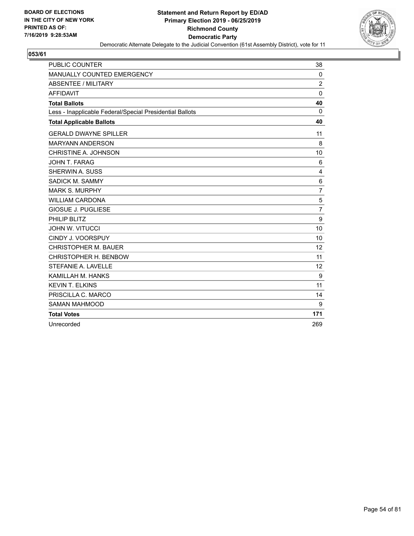

| <b>PUBLIC COUNTER</b>                                    | 38             |
|----------------------------------------------------------|----------------|
| MANUALLY COUNTED EMERGENCY                               | 0              |
| <b>ABSENTEE / MILITARY</b>                               | $\overline{2}$ |
| <b>AFFIDAVIT</b>                                         | $\mathbf{0}$   |
| <b>Total Ballots</b>                                     | 40             |
| Less - Inapplicable Federal/Special Presidential Ballots | $\Omega$       |
| <b>Total Applicable Ballots</b>                          | 40             |
| <b>GERALD DWAYNE SPILLER</b>                             | 11             |
| <b>MARYANN ANDERSON</b>                                  | 8              |
| CHRISTINE A. JOHNSON                                     | 10             |
| <b>JOHN T. FARAG</b>                                     | 6              |
| <b>SHERWIN A. SUSS</b>                                   | 4              |
| SADICK M. SAMMY                                          | 6              |
| <b>MARK S. MURPHY</b>                                    | $\overline{7}$ |
| <b>WILLIAM CARDONA</b>                                   | 5              |
| <b>GIOSUE J. PUGLIESE</b>                                | $\overline{7}$ |
| PHILIP BLITZ                                             | 9              |
| <b>JOHN W. VITUCCI</b>                                   | 10             |
| CINDY J. VOORSPUY                                        | 10             |
| <b>CHRISTOPHER M. BAUER</b>                              | 12             |
| CHRISTOPHER H. BENBOW                                    | 11             |
| STEFANIE A. LAVELLE                                      | 12             |
| KAMILLAH M. HANKS                                        | 9              |
| <b>KEVIN T. ELKINS</b>                                   | 11             |
| PRISCILLA C. MARCO                                       | 14             |
| <b>SAMAN MAHMOOD</b>                                     | 9              |
| <b>Total Votes</b>                                       | 171            |
| Unrecorded                                               | 269            |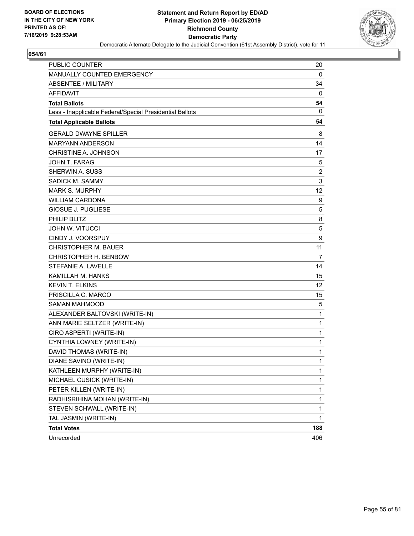

| PUBLIC COUNTER                                           | 20               |
|----------------------------------------------------------|------------------|
| MANUALLY COUNTED EMERGENCY                               | 0                |
| <b>ABSENTEE / MILITARY</b>                               | 34               |
| <b>AFFIDAVIT</b>                                         | 0                |
| <b>Total Ballots</b>                                     | 54               |
| Less - Inapplicable Federal/Special Presidential Ballots | 0                |
| <b>Total Applicable Ballots</b>                          | 54               |
| <b>GERALD DWAYNE SPILLER</b>                             | 8                |
| <b>MARYANN ANDERSON</b>                                  | 14               |
| CHRISTINE A. JOHNSON                                     | 17               |
| JOHN T. FARAG                                            | 5                |
| <b>SHERWIN A. SUSS</b>                                   | 2                |
| SADICK M. SAMMY                                          | 3                |
| <b>MARK S. MURPHY</b>                                    | 12               |
| <b>WILLIAM CARDONA</b>                                   | 9                |
| <b>GIOSUE J. PUGLIESE</b>                                | 5                |
| PHILIP BLITZ                                             | 8                |
| <b>JOHN W. VITUCCI</b>                                   | 5                |
| CINDY J. VOORSPUY                                        | $\boldsymbol{9}$ |
| <b>CHRISTOPHER M. BAUER</b>                              | 11               |
| CHRISTOPHER H. BENBOW                                    | 7                |
| STEFANIE A. LAVELLE                                      | 14               |
| KAMILLAH M. HANKS                                        | 15               |
| <b>KEVIN T. ELKINS</b>                                   | 12               |
| PRISCILLA C. MARCO                                       | 15               |
| <b>SAMAN MAHMOOD</b>                                     | 5                |
| ALEXANDER BALTOVSKI (WRITE-IN)                           | 1                |
| ANN MARIE SELTZER (WRITE-IN)                             | 1                |
| CIRO ASPERTI (WRITE-IN)                                  | 1                |
| CYNTHIA LOWNEY (WRITE-IN)                                | 1                |
| DAVID THOMAS (WRITE-IN)                                  | 1                |
| DIANE SAVINO (WRITE-IN)                                  | 1                |
| KATHLEEN MURPHY (WRITE-IN)                               | 1                |
| MICHAEL CUSICK (WRITE-IN)                                | 1                |
| PETER KILLEN (WRITE-IN)                                  | 1                |
| RADHISRIHINA MOHAN (WRITE-IN)                            | 1                |
| STEVEN SCHWALL (WRITE-IN)                                | 1                |
| TAL JASMIN (WRITE-IN)                                    | 1                |
| <b>Total Votes</b>                                       | 188              |
| Unrecorded                                               | 406              |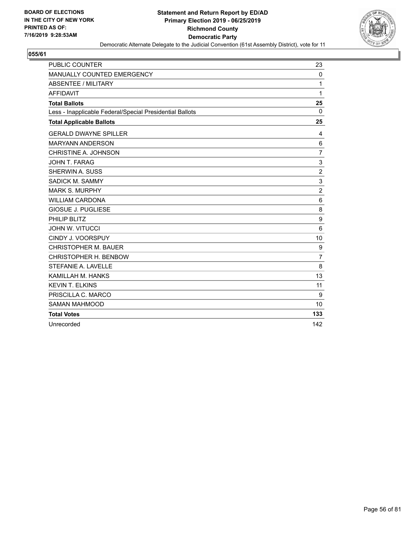

| <b>PUBLIC COUNTER</b>                                    | 23             |
|----------------------------------------------------------|----------------|
| MANUALLY COUNTED EMERGENCY                               | $\Omega$       |
| <b>ABSENTEE / MILITARY</b>                               | 1              |
| <b>AFFIDAVIT</b>                                         | 1              |
| <b>Total Ballots</b>                                     | 25             |
| Less - Inapplicable Federal/Special Presidential Ballots | $\Omega$       |
| <b>Total Applicable Ballots</b>                          | 25             |
| <b>GERALD DWAYNE SPILLER</b>                             | 4              |
| <b>MARYANN ANDERSON</b>                                  | 6              |
| CHRISTINE A. JOHNSON                                     | $\overline{7}$ |
| JOHN T. FARAG                                            | 3              |
| <b>SHERWIN A. SUSS</b>                                   | $\overline{c}$ |
| SADICK M. SAMMY                                          | 3              |
| <b>MARK S. MURPHY</b>                                    | $\overline{2}$ |
| <b>WILLIAM CARDONA</b>                                   | 6              |
| <b>GIOSUE J. PUGLIESE</b>                                | 8              |
| PHILIP BLITZ                                             | 9              |
| <b>JOHN W. VITUCCI</b>                                   | 6              |
| CINDY J. VOORSPUY                                        | 10             |
| <b>CHRISTOPHER M. BAUER</b>                              | 9              |
| CHRISTOPHER H. BENBOW                                    | $\overline{7}$ |
| STEFANIE A. LAVELLE                                      | 8              |
| KAMILLAH M. HANKS                                        | 13             |
| <b>KEVIN T. ELKINS</b>                                   | 11             |
| PRISCILLA C. MARCO                                       | 9              |
| <b>SAMAN MAHMOOD</b>                                     | 10             |
| <b>Total Votes</b>                                       | 133            |
| Unrecorded                                               | 142            |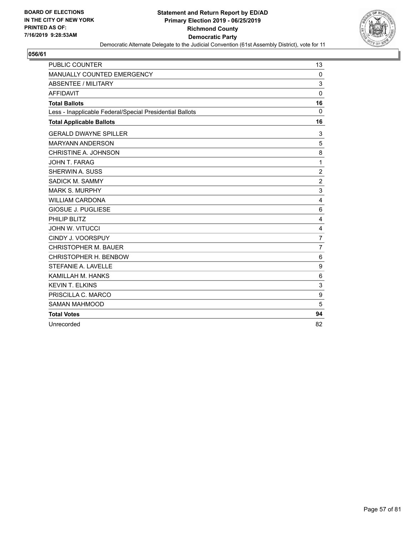

| <b>PUBLIC COUNTER</b>                                    | 13             |
|----------------------------------------------------------|----------------|
| MANUALLY COUNTED EMERGENCY                               | 0              |
| <b>ABSENTEE / MILITARY</b>                               | 3              |
| <b>AFFIDAVIT</b>                                         | $\mathbf 0$    |
| <b>Total Ballots</b>                                     | 16             |
| Less - Inapplicable Federal/Special Presidential Ballots | $\Omega$       |
| <b>Total Applicable Ballots</b>                          | 16             |
| <b>GERALD DWAYNE SPILLER</b>                             | 3              |
| <b>MARYANN ANDERSON</b>                                  | 5              |
| CHRISTINE A. JOHNSON                                     | 8              |
| JOHN T. FARAG                                            | 1              |
| SHERWIN A. SUSS                                          | $\overline{c}$ |
| SADICK M. SAMMY                                          | $\overline{2}$ |
| <b>MARK S. MURPHY</b>                                    | 3              |
| <b>WILLIAM CARDONA</b>                                   | 4              |
| <b>GIOSUE J. PUGLIESE</b>                                | 6              |
| PHILIP BLITZ                                             | 4              |
| <b>JOHN W. VITUCCI</b>                                   | 4              |
| CINDY J. VOORSPUY                                        | $\overline{7}$ |
| <b>CHRISTOPHER M. BAUER</b>                              | $\overline{7}$ |
| CHRISTOPHER H. BENBOW                                    | 6              |
| STEFANIE A. LAVELLE                                      | 9              |
| KAMILLAH M. HANKS                                        | 6              |
| <b>KEVIN T. ELKINS</b>                                   | 3              |
| PRISCILLA C. MARCO                                       | 9              |
| <b>SAMAN MAHMOOD</b>                                     | 5              |
| <b>Total Votes</b>                                       | 94             |
| Unrecorded                                               | 82             |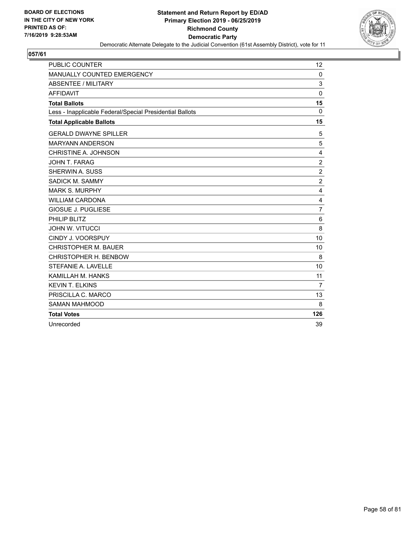

| <b>PUBLIC COUNTER</b>                                    | 12             |
|----------------------------------------------------------|----------------|
| MANUALLY COUNTED EMERGENCY                               | $\mathbf 0$    |
| <b>ABSENTEE / MILITARY</b>                               | 3              |
| <b>AFFIDAVIT</b>                                         | $\mathbf 0$    |
| <b>Total Ballots</b>                                     | 15             |
| Less - Inapplicable Federal/Special Presidential Ballots | $\Omega$       |
| <b>Total Applicable Ballots</b>                          | 15             |
| <b>GERALD DWAYNE SPILLER</b>                             | 5              |
| <b>MARYANN ANDERSON</b>                                  | 5              |
| CHRISTINE A. JOHNSON                                     | 4              |
| JOHN T. FARAG                                            | $\overline{c}$ |
| SHERWIN A. SUSS                                          | $\overline{2}$ |
| SADICK M. SAMMY                                          | $\overline{c}$ |
| <b>MARK S. MURPHY</b>                                    | 4              |
| <b>WILLIAM CARDONA</b>                                   | 4              |
| <b>GIOSUE J. PUGLIESE</b>                                | 7              |
| PHILIP BLITZ                                             | 6              |
| <b>JOHN W. VITUCCI</b>                                   | 8              |
| CINDY J. VOORSPUY                                        | 10             |
| <b>CHRISTOPHER M. BAUER</b>                              | 10             |
| CHRISTOPHER H. BENBOW                                    | 8              |
| STEFANIE A. LAVELLE                                      | 10             |
| KAMILLAH M. HANKS                                        | 11             |
| <b>KEVIN T. ELKINS</b>                                   | 7              |
| PRISCILLA C. MARCO                                       | 13             |
| <b>SAMAN MAHMOOD</b>                                     | 8              |
| <b>Total Votes</b>                                       | 126            |
| Unrecorded                                               | 39             |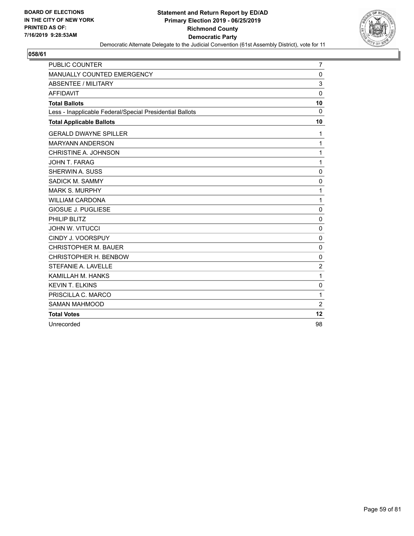

| <b>PUBLIC COUNTER</b>                                    | 7              |
|----------------------------------------------------------|----------------|
| MANUALLY COUNTED EMERGENCY                               | 0              |
| <b>ABSENTEE / MILITARY</b>                               | 3              |
| <b>AFFIDAVIT</b>                                         | $\mathbf 0$    |
| <b>Total Ballots</b>                                     | 10             |
| Less - Inapplicable Federal/Special Presidential Ballots | $\Omega$       |
| <b>Total Applicable Ballots</b>                          | 10             |
| <b>GERALD DWAYNE SPILLER</b>                             | 1              |
| <b>MARYANN ANDERSON</b>                                  | $\mathbf{1}$   |
| CHRISTINE A. JOHNSON                                     | $\mathbf{1}$   |
| JOHN T. FARAG                                            | 1              |
| SHERWIN A. SUSS                                          | 0              |
| SADICK M. SAMMY                                          | $\mathbf 0$    |
| <b>MARK S. MURPHY</b>                                    | 1              |
| <b>WILLIAM CARDONA</b>                                   | $\mathbf{1}$   |
| <b>GIOSUE J. PUGLIESE</b>                                | $\mathbf 0$    |
| PHILIP BLITZ                                             | $\mathbf 0$    |
| <b>JOHN W. VITUCCI</b>                                   | 0              |
| CINDY J. VOORSPUY                                        | $\mathbf 0$    |
| <b>CHRISTOPHER M. BAUER</b>                              | 0              |
| CHRISTOPHER H. BENBOW                                    | $\mathbf 0$    |
| STEFANIE A. LAVELLE                                      | $\overline{2}$ |
| KAMILLAH M. HANKS                                        | 1              |
| <b>KEVIN T. ELKINS</b>                                   | 0              |
| PRISCILLA C. MARCO                                       | 1              |
| <b>SAMAN MAHMOOD</b>                                     | $\overline{c}$ |
| <b>Total Votes</b>                                       | 12             |
| Unrecorded                                               | 98             |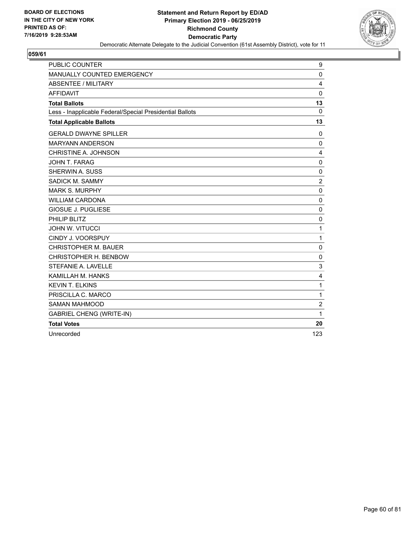

| <b>PUBLIC COUNTER</b>                                    | 9              |
|----------------------------------------------------------|----------------|
| MANUALLY COUNTED EMERGENCY                               | $\mathbf{0}$   |
| <b>ABSENTEE / MILITARY</b>                               | 4              |
| <b>AFFIDAVIT</b>                                         | $\mathbf{0}$   |
| <b>Total Ballots</b>                                     | 13             |
| Less - Inapplicable Federal/Special Presidential Ballots | $\Omega$       |
| <b>Total Applicable Ballots</b>                          | 13             |
| <b>GERALD DWAYNE SPILLER</b>                             | 0              |
| <b>MARYANN ANDERSON</b>                                  | 0              |
| CHRISTINE A. JOHNSON                                     | 4              |
| JOHN T. FARAG                                            | $\mathbf 0$    |
| SHERWIN A. SUSS                                          | $\Omega$       |
| SADICK M. SAMMY                                          | $\overline{2}$ |
| <b>MARK S. MURPHY</b>                                    | 0              |
| <b>WILLIAM CARDONA</b>                                   | $\mathbf 0$    |
| <b>GIOSUE J. PUGLIESE</b>                                | $\mathbf 0$    |
| PHILIP BLITZ                                             | $\mathbf 0$    |
| <b>JOHN W. VITUCCI</b>                                   | $\mathbf{1}$   |
| CINDY J. VOORSPUY                                        | 1              |
| <b>CHRISTOPHER M. BAUER</b>                              | $\mathbf 0$    |
| CHRISTOPHER H. BENBOW                                    | 0              |
| STEFANIE A. LAVELLE                                      | 3              |
| KAMILLAH M. HANKS                                        | 4              |
| <b>KEVIN T. ELKINS</b>                                   | 1              |
| PRISCILLA C. MARCO                                       | $\mathbf{1}$   |
| <b>SAMAN MAHMOOD</b>                                     | $\overline{c}$ |
| <b>GABRIEL CHENG (WRITE-IN)</b>                          | 1              |
| <b>Total Votes</b>                                       | 20             |
| Unrecorded                                               | 123            |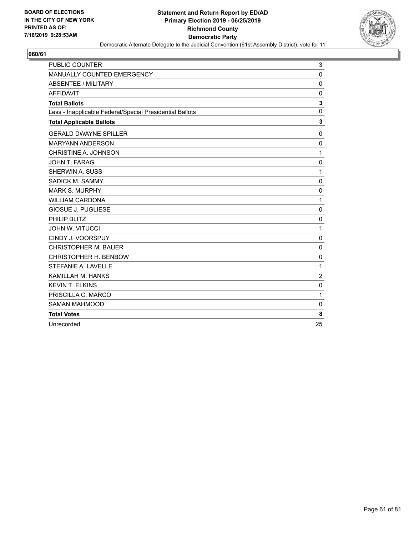

| <b>PUBLIC COUNTER</b>                                    | 3              |
|----------------------------------------------------------|----------------|
| MANUALLY COUNTED EMERGENCY                               | $\mathbf 0$    |
| <b>ABSENTEE / MILITARY</b>                               | $\mathbf 0$    |
| <b>AFFIDAVIT</b>                                         | $\mathbf 0$    |
| <b>Total Ballots</b>                                     | 3              |
| Less - Inapplicable Federal/Special Presidential Ballots | $\mathbf 0$    |
| <b>Total Applicable Ballots</b>                          | 3              |
| <b>GERALD DWAYNE SPILLER</b>                             | 0              |
| <b>MARYANN ANDERSON</b>                                  | $\mathbf 0$    |
| CHRISTINE A. JOHNSON                                     | 1              |
| JOHN T. FARAG                                            | $\mathbf 0$    |
| SHERWIN A. SUSS                                          | 1              |
| SADICK M. SAMMY                                          | $\mathbf 0$    |
| <b>MARK S. MURPHY</b>                                    | $\mathbf{0}$   |
| <b>WILLIAM CARDONA</b>                                   | $\mathbf{1}$   |
| <b>GIOSUE J. PUGLIESE</b>                                | $\mathbf 0$    |
| PHILIP BLITZ                                             | $\mathbf 0$    |
| <b>JOHN W. VITUCCI</b>                                   | 1              |
| CINDY J. VOORSPUY                                        | $\mathbf 0$    |
| <b>CHRISTOPHER M. BAUER</b>                              | 0              |
| CHRISTOPHER H. BENBOW                                    | $\mathbf 0$    |
| STEFANIE A. LAVELLE                                      | 1              |
| KAMILLAH M. HANKS                                        | $\overline{2}$ |
| <b>KEVIN T. ELKINS</b>                                   | $\mathbf{0}$   |
| PRISCILLA C. MARCO                                       | 1              |
| <b>SAMAN MAHMOOD</b>                                     | 0              |
| <b>Total Votes</b>                                       | 8              |
| Unrecorded                                               | 25             |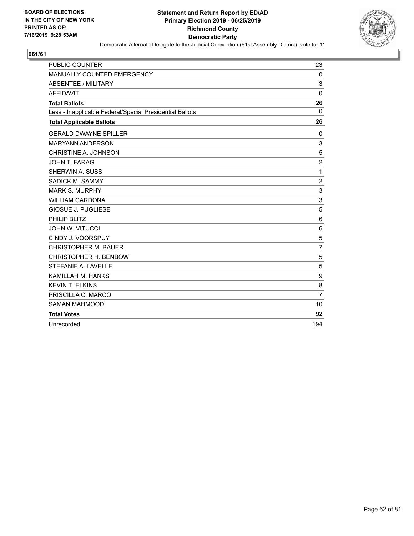

| <b>PUBLIC COUNTER</b>                                    | 23              |
|----------------------------------------------------------|-----------------|
| MANUALLY COUNTED EMERGENCY                               | 0               |
| <b>ABSENTEE / MILITARY</b>                               | 3               |
| <b>AFFIDAVIT</b>                                         | $\mathbf 0$     |
| <b>Total Ballots</b>                                     | 26              |
| Less - Inapplicable Federal/Special Presidential Ballots | 0               |
| <b>Total Applicable Ballots</b>                          | 26              |
| <b>GERALD DWAYNE SPILLER</b>                             | 0               |
| <b>MARYANN ANDERSON</b>                                  | 3               |
| CHRISTINE A. JOHNSON                                     | 5               |
| JOHN T. FARAG                                            | $\overline{2}$  |
| SHERWIN A. SUSS                                          | $\mathbf{1}$    |
| SADICK M. SAMMY                                          | $\overline{2}$  |
| <b>MARK S. MURPHY</b>                                    | 3               |
| <b>WILLIAM CARDONA</b>                                   | 3               |
| <b>GIOSUE J. PUGLIESE</b>                                | 5               |
| PHILIP BLITZ                                             | $6\phantom{1}6$ |
| <b>JOHN W. VITUCCI</b>                                   | 6               |
| CINDY J. VOORSPUY                                        | 5               |
| <b>CHRISTOPHER M. BAUER</b>                              | $\overline{7}$  |
| CHRISTOPHER H. BENBOW                                    | 5               |
| STEFANIE A. LAVELLE                                      | 5               |
| KAMILLAH M. HANKS                                        | 9               |
| <b>KEVIN T. ELKINS</b>                                   | 8               |
| PRISCILLA C. MARCO                                       | $\overline{7}$  |
| <b>SAMAN MAHMOOD</b>                                     | 10              |
| <b>Total Votes</b>                                       | 92              |
| Unrecorded                                               | 194             |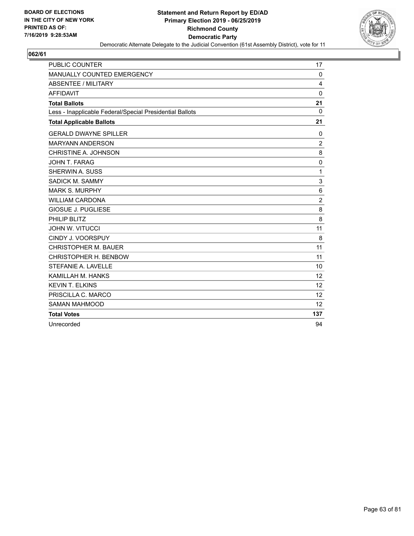

| <b>PUBLIC COUNTER</b>                                    | 17              |
|----------------------------------------------------------|-----------------|
| MANUALLY COUNTED EMERGENCY                               | $\mathbf 0$     |
| <b>ABSENTEE / MILITARY</b>                               | 4               |
| <b>AFFIDAVIT</b>                                         | $\mathbf 0$     |
| <b>Total Ballots</b>                                     | 21              |
| Less - Inapplicable Federal/Special Presidential Ballots | $\Omega$        |
| <b>Total Applicable Ballots</b>                          | 21              |
| <b>GERALD DWAYNE SPILLER</b>                             | 0               |
| <b>MARYANN ANDERSON</b>                                  | $\overline{c}$  |
| CHRISTINE A. JOHNSON                                     | 8               |
| JOHN T. FARAG                                            | $\mathbf 0$     |
| SHERWIN A. SUSS                                          | $\mathbf{1}$    |
| SADICK M. SAMMY                                          | 3               |
| <b>MARK S. MURPHY</b>                                    | $6\phantom{1}6$ |
| <b>WILLIAM CARDONA</b>                                   | $\overline{2}$  |
| <b>GIOSUE J. PUGLIESE</b>                                | 8               |
| PHILIP BLITZ                                             | 8               |
| <b>JOHN W. VITUCCI</b>                                   | 11              |
| CINDY J. VOORSPUY                                        | 8               |
| <b>CHRISTOPHER M. BAUER</b>                              | 11              |
| CHRISTOPHER H. BENBOW                                    | 11              |
| STEFANIE A. LAVELLE                                      | 10              |
| KAMILLAH M. HANKS                                        | 12              |
| <b>KEVIN T. ELKINS</b>                                   | 12              |
| PRISCILLA C. MARCO                                       | 12              |
| <b>SAMAN MAHMOOD</b>                                     | 12              |
| <b>Total Votes</b>                                       | 137             |
| Unrecorded                                               | 94              |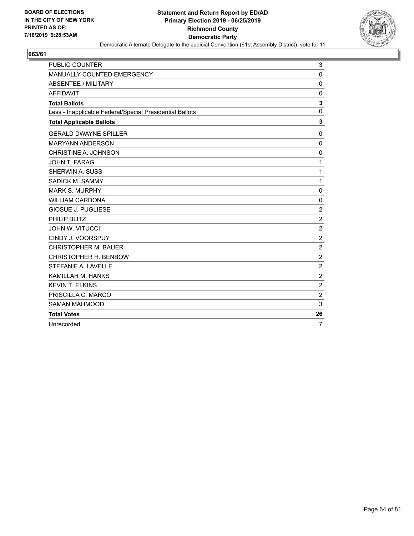

| <b>PUBLIC COUNTER</b>                                    | 3              |
|----------------------------------------------------------|----------------|
| MANUALLY COUNTED EMERGENCY                               | $\mathbf 0$    |
| <b>ABSENTEE / MILITARY</b>                               | $\Omega$       |
| <b>AFFIDAVIT</b>                                         | 0              |
| <b>Total Ballots</b>                                     | 3              |
| Less - Inapplicable Federal/Special Presidential Ballots | $\mathbf{0}$   |
| <b>Total Applicable Ballots</b>                          | 3              |
| <b>GERALD DWAYNE SPILLER</b>                             | 0              |
| <b>MARYANN ANDERSON</b>                                  | 0              |
| CHRISTINE A. JOHNSON                                     | $\mathbf 0$    |
| JOHN T. FARAG                                            | 1              |
| SHERWIN A. SUSS                                          | $\mathbf{1}$   |
| SADICK M. SAMMY                                          | 1              |
| <b>MARK S. MURPHY</b>                                    | $\mathbf 0$    |
| <b>WILLIAM CARDONA</b>                                   | 0              |
| <b>GIOSUE J. PUGLIESE</b>                                | $\overline{c}$ |
| PHILIP BLITZ                                             | $\overline{2}$ |
| <b>JOHN W. VITUCCI</b>                                   | $\overline{c}$ |
| CINDY J. VOORSPUY                                        | $\overline{2}$ |
| <b>CHRISTOPHER M. BAUER</b>                              | $\overline{2}$ |
| CHRISTOPHER H. BENBOW                                    | $\overline{c}$ |
| STEFANIE A. LAVELLE                                      | $\overline{c}$ |
| KAMILLAH M. HANKS                                        | $\overline{2}$ |
| <b>KEVIN T. ELKINS</b>                                   | $\overline{2}$ |
| PRISCILLA C. MARCO                                       | $\overline{c}$ |
| <b>SAMAN MAHMOOD</b>                                     | 3              |
| <b>Total Votes</b>                                       | 26             |
| Unrecorded                                               | 7              |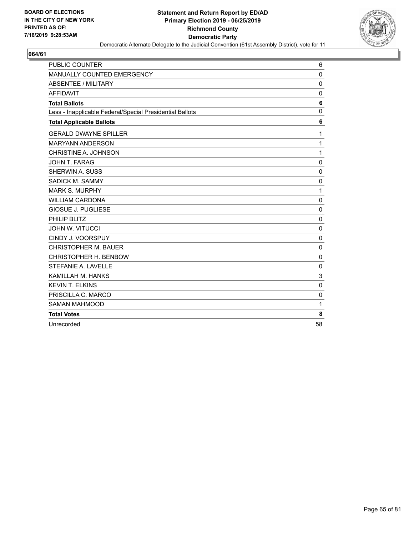

| <b>PUBLIC COUNTER</b>                                    | 6           |
|----------------------------------------------------------|-------------|
| MANUALLY COUNTED EMERGENCY                               | $\mathbf 0$ |
| <b>ABSENTEE / MILITARY</b>                               | $\mathbf 0$ |
| <b>AFFIDAVIT</b>                                         | $\mathbf 0$ |
| <b>Total Ballots</b>                                     | 6           |
| Less - Inapplicable Federal/Special Presidential Ballots | $\mathbf 0$ |
| <b>Total Applicable Ballots</b>                          | 6           |
| <b>GERALD DWAYNE SPILLER</b>                             | 1           |
| <b>MARYANN ANDERSON</b>                                  | 1           |
| CHRISTINE A. JOHNSON                                     | 1           |
| JOHN T. FARAG                                            | $\mathbf 0$ |
| SHERWIN A. SUSS                                          | 0           |
| SADICK M. SAMMY                                          | $\mathbf 0$ |
| <b>MARK S. MURPHY</b>                                    | 1           |
| <b>WILLIAM CARDONA</b>                                   | 0           |
| GIOSUE J. PUGLIESE                                       | $\mathbf 0$ |
| PHILIP BLITZ                                             | $\mathbf 0$ |
| <b>JOHN W. VITUCCI</b>                                   | $\mathbf 0$ |
| CINDY J. VOORSPUY                                        | $\mathbf 0$ |
| <b>CHRISTOPHER M. BAUER</b>                              | $\mathbf 0$ |
| CHRISTOPHER H. BENBOW                                    | $\mathbf 0$ |
| STEFANIE A. LAVELLE                                      | $\mathbf 0$ |
| KAMILLAH M. HANKS                                        | 3           |
| <b>KEVIN T. ELKINS</b>                                   | $\mathbf 0$ |
| PRISCILLA C. MARCO                                       | $\mathbf 0$ |
| <b>SAMAN MAHMOOD</b>                                     | 1           |
| <b>Total Votes</b>                                       | 8           |
| Unrecorded                                               | 58          |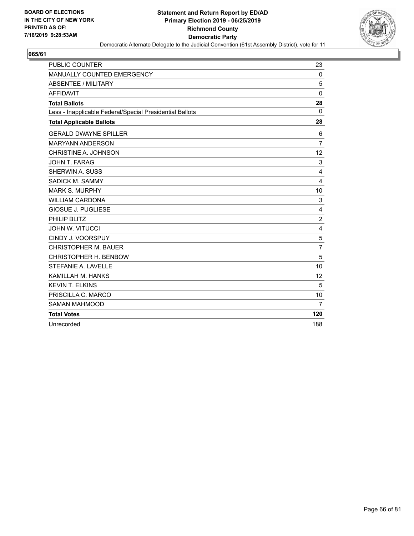

| <b>PUBLIC COUNTER</b>                                    | 23             |
|----------------------------------------------------------|----------------|
| MANUALLY COUNTED EMERGENCY                               | $\mathbf 0$    |
| <b>ABSENTEE / MILITARY</b>                               | 5              |
| <b>AFFIDAVIT</b>                                         | $\mathbf 0$    |
| <b>Total Ballots</b>                                     | 28             |
| Less - Inapplicable Federal/Special Presidential Ballots | 0              |
| <b>Total Applicable Ballots</b>                          | 28             |
| <b>GERALD DWAYNE SPILLER</b>                             | 6              |
| <b>MARYANN ANDERSON</b>                                  | $\overline{7}$ |
| CHRISTINE A. JOHNSON                                     | 12             |
| <b>JOHN T. FARAG</b>                                     | 3              |
| SHERWIN A. SUSS                                          | 4              |
| SADICK M. SAMMY                                          | 4              |
| <b>MARK S. MURPHY</b>                                    | 10             |
| <b>WILLIAM CARDONA</b>                                   | 3              |
| <b>GIOSUE J. PUGLIESE</b>                                | 4              |
| PHILIP BLITZ                                             | $\overline{2}$ |
| <b>JOHN W. VITUCCI</b>                                   | 4              |
| CINDY J. VOORSPUY                                        | 5              |
| <b>CHRISTOPHER M. BAUER</b>                              | $\overline{7}$ |
| CHRISTOPHER H. BENBOW                                    | 5              |
| STEFANIE A. LAVELLE                                      | 10             |
| KAMILLAH M. HANKS                                        | 12             |
| <b>KEVIN T. ELKINS</b>                                   | 5              |
| PRISCILLA C. MARCO                                       | 10             |
| <b>SAMAN MAHMOOD</b>                                     | $\overline{7}$ |
| <b>Total Votes</b>                                       | 120            |
| Unrecorded                                               | 188            |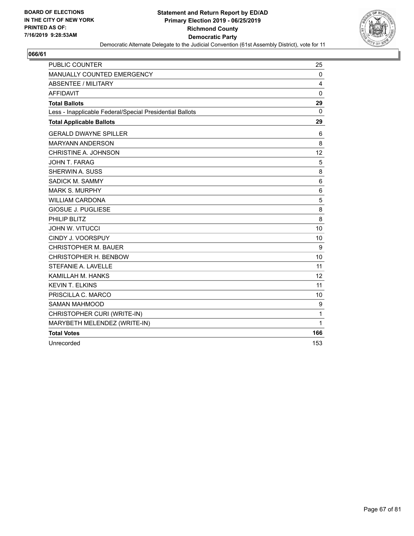

| <b>PUBLIC COUNTER</b>                                    | 25           |
|----------------------------------------------------------|--------------|
| MANUALLY COUNTED EMERGENCY                               | 0            |
| <b>ABSENTEE / MILITARY</b>                               | 4            |
| <b>AFFIDAVIT</b>                                         | $\Omega$     |
| <b>Total Ballots</b>                                     | 29           |
| Less - Inapplicable Federal/Special Presidential Ballots | $\mathbf{0}$ |
| <b>Total Applicable Ballots</b>                          | 29           |
| <b>GERALD DWAYNE SPILLER</b>                             | 6            |
| <b>MARYANN ANDERSON</b>                                  | 8            |
| CHRISTINE A. JOHNSON                                     | 12           |
| JOHN T. FARAG                                            | 5            |
| <b>SHERWIN A. SUSS</b>                                   | 8            |
| SADICK M. SAMMY                                          | 6            |
| <b>MARK S. MURPHY</b>                                    | 6            |
| <b>WILLIAM CARDONA</b>                                   | 5            |
| <b>GIOSUE J. PUGLIESE</b>                                | 8            |
| PHILIP BLITZ                                             | 8            |
| <b>JOHN W. VITUCCI</b>                                   | 10           |
| CINDY J. VOORSPUY                                        | 10           |
| <b>CHRISTOPHER M. BAUER</b>                              | 9            |
| CHRISTOPHER H. BENBOW                                    | 10           |
| STEFANIE A. LAVELLE                                      | 11           |
| KAMILLAH M. HANKS                                        | 12           |
| <b>KEVIN T. ELKINS</b>                                   | 11           |
| PRISCILLA C. MARCO                                       | 10           |
| <b>SAMAN MAHMOOD</b>                                     | 9            |
| CHRISTOPHER CURI (WRITE-IN)                              | 1            |
| MARYBETH MELENDEZ (WRITE-IN)                             | 1            |
| <b>Total Votes</b>                                       | 166          |
| Unrecorded                                               | 153          |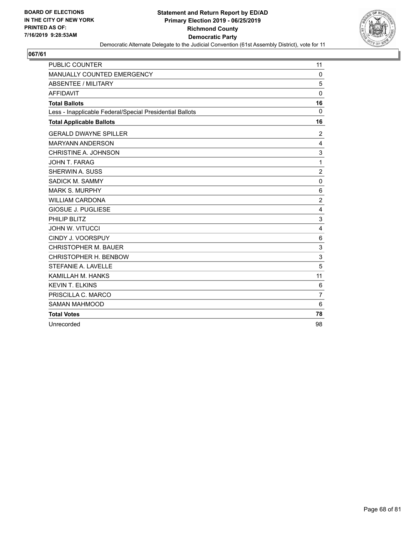

| PUBLIC COUNTER                                           | 11              |
|----------------------------------------------------------|-----------------|
| MANUALLY COUNTED EMERGENCY                               | 0               |
| <b>ABSENTEE / MILITARY</b>                               | 5               |
| <b>AFFIDAVIT</b>                                         | $\mathbf 0$     |
| <b>Total Ballots</b>                                     | 16              |
| Less - Inapplicable Federal/Special Presidential Ballots | $\Omega$        |
| <b>Total Applicable Ballots</b>                          | 16              |
| <b>GERALD DWAYNE SPILLER</b>                             | $\overline{c}$  |
| <b>MARYANN ANDERSON</b>                                  | 4               |
| CHRISTINE A. JOHNSON                                     | 3               |
| <b>JOHN T. FARAG</b>                                     | 1               |
| SHERWIN A. SUSS                                          | $\overline{c}$  |
| SADICK M. SAMMY                                          | $\mathbf 0$     |
| <b>MARK S. MURPHY</b>                                    | $6\phantom{1}6$ |
| <b>WILLIAM CARDONA</b>                                   | $\overline{2}$  |
| <b>GIOSUE J. PUGLIESE</b>                                | 4               |
| PHILIP BLITZ                                             | 3               |
| <b>JOHN W. VITUCCI</b>                                   | 4               |
| CINDY J. VOORSPUY                                        | 6               |
| <b>CHRISTOPHER M. BAUER</b>                              | 3               |
| CHRISTOPHER H. BENBOW                                    | 3               |
| STEFANIE A. LAVELLE                                      | 5               |
| KAMILLAH M. HANKS                                        | 11              |
| <b>KEVIN T. ELKINS</b>                                   | 6               |
| PRISCILLA C. MARCO                                       | $\overline{7}$  |
| <b>SAMAN MAHMOOD</b>                                     | 6               |
| <b>Total Votes</b>                                       | 78              |
| Unrecorded                                               | 98              |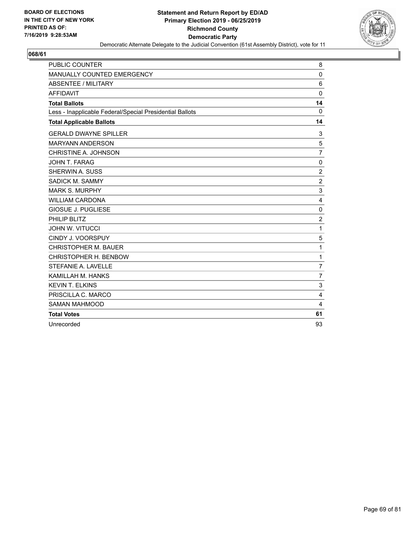

| <b>PUBLIC COUNTER</b>                                    | 8              |
|----------------------------------------------------------|----------------|
| MANUALLY COUNTED EMERGENCY                               | $\mathbf 0$    |
| <b>ABSENTEE / MILITARY</b>                               | 6              |
| <b>AFFIDAVIT</b>                                         | $\mathbf{0}$   |
| <b>Total Ballots</b>                                     | 14             |
| Less - Inapplicable Federal/Special Presidential Ballots | $\Omega$       |
| <b>Total Applicable Ballots</b>                          | 14             |
| <b>GERALD DWAYNE SPILLER</b>                             | 3              |
| <b>MARYANN ANDERSON</b>                                  | 5              |
| CHRISTINE A. JOHNSON                                     | $\overline{7}$ |
| JOHN T. FARAG                                            | $\mathbf 0$    |
| SHERWIN A. SUSS                                          | $\overline{c}$ |
| SADICK M. SAMMY                                          | $\overline{2}$ |
| <b>MARK S. MURPHY</b>                                    | 3              |
| <b>WILLIAM CARDONA</b>                                   | 4              |
| GIOSUE J. PUGLIESE                                       | $\mathbf 0$    |
| PHILIP BLITZ                                             | $\overline{2}$ |
| <b>JOHN W. VITUCCI</b>                                   | 1              |
| CINDY J. VOORSPUY                                        | 5              |
| <b>CHRISTOPHER M. BAUER</b>                              | 1              |
| CHRISTOPHER H. BENBOW                                    | 1              |
| STEFANIE A. LAVELLE                                      | $\overline{7}$ |
| KAMILLAH M. HANKS                                        | $\overline{7}$ |
| <b>KEVIN T. ELKINS</b>                                   | 3              |
| PRISCILLA C. MARCO                                       | 4              |
| <b>SAMAN MAHMOOD</b>                                     | 4              |
| <b>Total Votes</b>                                       | 61             |
| Unrecorded                                               | 93             |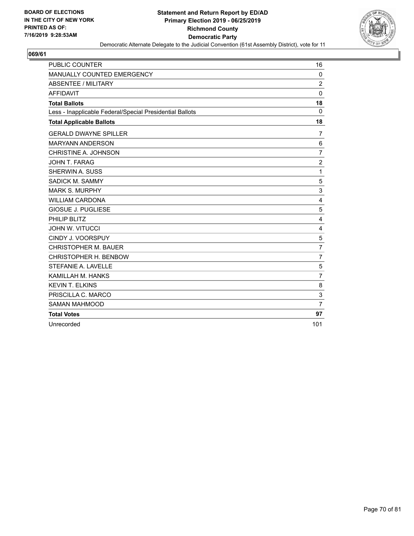

| <b>PUBLIC COUNTER</b>                                    | 16             |
|----------------------------------------------------------|----------------|
| MANUALLY COUNTED EMERGENCY                               | $\mathbf 0$    |
| <b>ABSENTEE / MILITARY</b>                               | $\overline{2}$ |
| <b>AFFIDAVIT</b>                                         | $\mathbf 0$    |
| <b>Total Ballots</b>                                     | 18             |
| Less - Inapplicable Federal/Special Presidential Ballots | $\Omega$       |
| <b>Total Applicable Ballots</b>                          | 18             |
| <b>GERALD DWAYNE SPILLER</b>                             | 7              |
| <b>MARYANN ANDERSON</b>                                  | 6              |
| CHRISTINE A. JOHNSON                                     | $\overline{7}$ |
| <b>JOHN T. FARAG</b>                                     | $\overline{2}$ |
| SHERWIN A. SUSS                                          | 1              |
| SADICK M. SAMMY                                          | 5              |
| <b>MARK S. MURPHY</b>                                    | 3              |
| <b>WILLIAM CARDONA</b>                                   | 4              |
| <b>GIOSUE J. PUGLIESE</b>                                | 5              |
| PHILIP BLITZ                                             | 4              |
| <b>JOHN W. VITUCCI</b>                                   | 4              |
| CINDY J. VOORSPUY                                        | 5              |
| <b>CHRISTOPHER M. BAUER</b>                              | $\overline{7}$ |
| CHRISTOPHER H. BENBOW                                    | 7              |
| STEFANIE A. LAVELLE                                      | 5              |
| KAMILLAH M. HANKS                                        | $\overline{7}$ |
| <b>KEVIN T. ELKINS</b>                                   | 8              |
| PRISCILLA C. MARCO                                       | 3              |
| <b>SAMAN MAHMOOD</b>                                     | $\overline{7}$ |
| <b>Total Votes</b>                                       | 97             |
| Unrecorded                                               | 101            |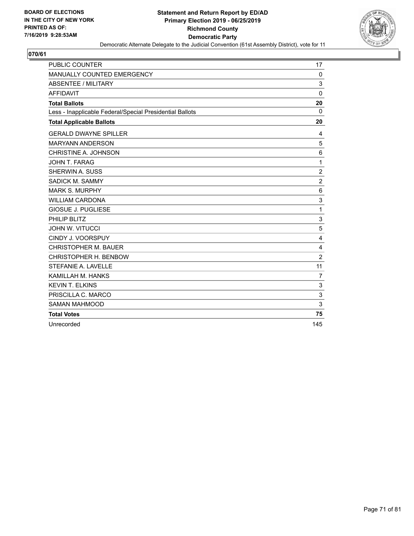

| <b>PUBLIC COUNTER</b>                                    | 17             |
|----------------------------------------------------------|----------------|
| MANUALLY COUNTED EMERGENCY                               | 0              |
| <b>ABSENTEE / MILITARY</b>                               | 3              |
| <b>AFFIDAVIT</b>                                         | $\mathbf{0}$   |
| <b>Total Ballots</b>                                     | 20             |
| Less - Inapplicable Federal/Special Presidential Ballots | $\Omega$       |
| <b>Total Applicable Ballots</b>                          | 20             |
| <b>GERALD DWAYNE SPILLER</b>                             | 4              |
| <b>MARYANN ANDERSON</b>                                  | 5              |
| CHRISTINE A. JOHNSON                                     | 6              |
| <b>JOHN T. FARAG</b>                                     | 1              |
| SHERWIN A. SUSS                                          | $\overline{c}$ |
| SADICK M. SAMMY                                          | $\overline{c}$ |
| <b>MARK S. MURPHY</b>                                    | 6              |
| <b>WILLIAM CARDONA</b>                                   | 3              |
| <b>GIOSUE J. PUGLIESE</b>                                | 1              |
| PHILIP BLITZ                                             | 3              |
| <b>JOHN W. VITUCCI</b>                                   | 5              |
| CINDY J. VOORSPUY                                        | $\overline{4}$ |
| <b>CHRISTOPHER M. BAUER</b>                              | 4              |
| CHRISTOPHER H. BENBOW                                    | $\overline{2}$ |
| STEFANIE A. LAVELLE                                      | 11             |
| KAMILLAH M. HANKS                                        | $\overline{7}$ |
| <b>KEVIN T. ELKINS</b>                                   | 3              |
| PRISCILLA C. MARCO                                       | 3              |
| <b>SAMAN MAHMOOD</b>                                     | 3              |
| <b>Total Votes</b>                                       | 75             |
| Unrecorded                                               | 145            |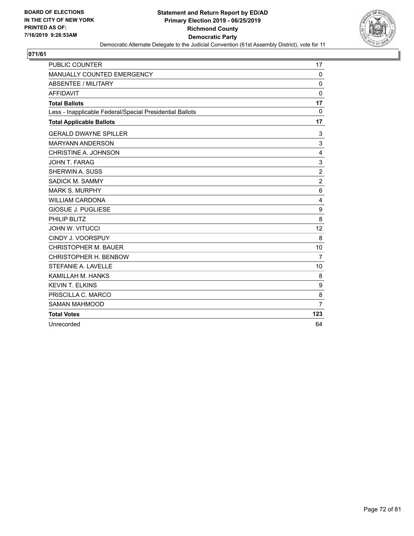

| <b>PUBLIC COUNTER</b>                                    | 17             |
|----------------------------------------------------------|----------------|
| MANUALLY COUNTED EMERGENCY                               | $\mathbf 0$    |
| <b>ABSENTEE / MILITARY</b>                               | $\mathbf{0}$   |
| <b>AFFIDAVIT</b>                                         | $\mathbf 0$    |
| <b>Total Ballots</b>                                     | 17             |
| Less - Inapplicable Federal/Special Presidential Ballots | 0              |
| <b>Total Applicable Ballots</b>                          | 17             |
| <b>GERALD DWAYNE SPILLER</b>                             | 3              |
| <b>MARYANN ANDERSON</b>                                  | 3              |
| CHRISTINE A. JOHNSON                                     | 4              |
| JOHN T. FARAG                                            | 3              |
| SHERWIN A. SUSS                                          | $\overline{c}$ |
| SADICK M. SAMMY                                          | $\overline{c}$ |
| <b>MARK S. MURPHY</b>                                    | 6              |
| <b>WILLIAM CARDONA</b>                                   | 4              |
| <b>GIOSUE J. PUGLIESE</b>                                | 9              |
| PHILIP BLITZ                                             | 8              |
| <b>JOHN W. VITUCCI</b>                                   | 12             |
| CINDY J. VOORSPUY                                        | 8              |
| <b>CHRISTOPHER M. BAUER</b>                              | 10             |
| CHRISTOPHER H. BENBOW                                    | $\overline{7}$ |
| STEFANIE A. LAVELLE                                      | 10             |
| KAMILLAH M. HANKS                                        | 8              |
| <b>KEVIN T. ELKINS</b>                                   | 9              |
| PRISCILLA C. MARCO                                       | 8              |
| <b>SAMAN MAHMOOD</b>                                     | $\overline{7}$ |
| <b>Total Votes</b>                                       | 123            |
| Unrecorded                                               | 64             |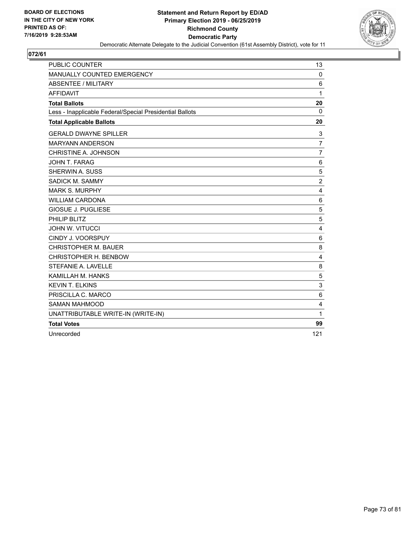

| <b>PUBLIC COUNTER</b>                                    | 13              |
|----------------------------------------------------------|-----------------|
| MANUALLY COUNTED EMERGENCY                               | $\Omega$        |
| <b>ABSENTEE / MILITARY</b>                               | 6               |
| <b>AFFIDAVIT</b>                                         | 1               |
| <b>Total Ballots</b>                                     | 20              |
| Less - Inapplicable Federal/Special Presidential Ballots | $\Omega$        |
| <b>Total Applicable Ballots</b>                          | 20              |
| <b>GERALD DWAYNE SPILLER</b>                             | 3               |
| <b>MARYANN ANDERSON</b>                                  | $\overline{7}$  |
| CHRISTINE A. JOHNSON                                     | 7               |
| JOHN T. FARAG                                            | $6\phantom{1}6$ |
| SHERWIN A. SUSS                                          | 5               |
| SADICK M. SAMMY                                          | $\overline{c}$  |
| <b>MARK S. MURPHY</b>                                    | 4               |
| <b>WILLIAM CARDONA</b>                                   | 6               |
| <b>GIOSUE J. PUGLIESE</b>                                | 5               |
| PHILIP BLITZ                                             | 5               |
| <b>JOHN W. VITUCCI</b>                                   | 4               |
| CINDY J. VOORSPUY                                        | 6               |
| <b>CHRISTOPHER M. BAUER</b>                              | 8               |
| CHRISTOPHER H. BENBOW                                    | 4               |
| STEFANIE A. LAVELLE                                      | 8               |
| KAMILLAH M. HANKS                                        | 5               |
| <b>KEVIN T. ELKINS</b>                                   | 3               |
| PRISCILLA C. MARCO                                       | 6               |
| <b>SAMAN MAHMOOD</b>                                     | $\overline{4}$  |
| UNATTRIBUTABLE WRITE-IN (WRITE-IN)                       | 1               |
| <b>Total Votes</b>                                       | 99              |
| Unrecorded                                               | 121             |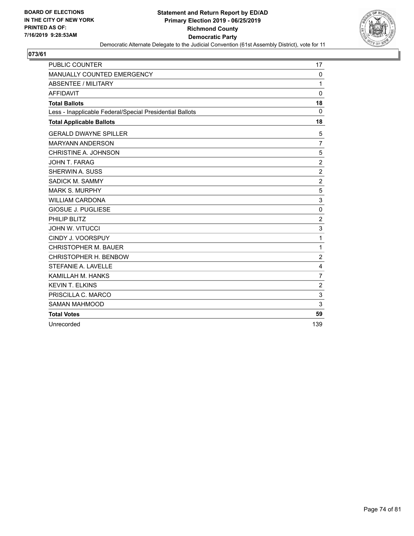

| <b>PUBLIC COUNTER</b>                                    | 17             |
|----------------------------------------------------------|----------------|
| MANUALLY COUNTED EMERGENCY                               | $\mathbf 0$    |
| <b>ABSENTEE / MILITARY</b>                               | 1              |
| <b>AFFIDAVIT</b>                                         | 0              |
| <b>Total Ballots</b>                                     | 18             |
| Less - Inapplicable Federal/Special Presidential Ballots | $\Omega$       |
| <b>Total Applicable Ballots</b>                          | 18             |
| <b>GERALD DWAYNE SPILLER</b>                             | 5              |
| <b>MARYANN ANDERSON</b>                                  | $\overline{7}$ |
| CHRISTINE A. JOHNSON                                     | 5              |
| JOHN T. FARAG                                            | $\overline{2}$ |
| SHERWIN A. SUSS                                          | $\overline{2}$ |
| SADICK M. SAMMY                                          | $\overline{2}$ |
| <b>MARK S. MURPHY</b>                                    | 5              |
| <b>WILLIAM CARDONA</b>                                   | 3              |
| <b>GIOSUE J. PUGLIESE</b>                                | $\mathbf 0$    |
| PHILIP BLITZ                                             | $\overline{2}$ |
| <b>JOHN W. VITUCCI</b>                                   | 3              |
| CINDY J. VOORSPUY                                        | 1              |
| <b>CHRISTOPHER M. BAUER</b>                              | 1              |
| CHRISTOPHER H. BENBOW                                    | $\overline{c}$ |
| STEFANIE A. LAVELLE                                      | 4              |
| KAMILLAH M. HANKS                                        | 7              |
| <b>KEVIN T. ELKINS</b>                                   | $\overline{2}$ |
| PRISCILLA C. MARCO                                       | $\sqrt{3}$     |
| <b>SAMAN MAHMOOD</b>                                     | 3              |
| <b>Total Votes</b>                                       | 59             |
| Unrecorded                                               | 139            |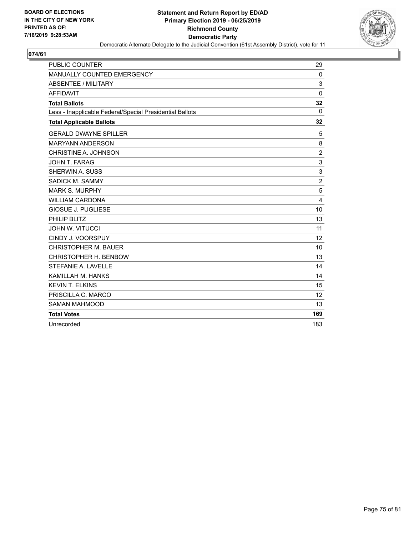

| <b>PUBLIC COUNTER</b>                                    | 29             |
|----------------------------------------------------------|----------------|
| MANUALLY COUNTED EMERGENCY                               | $\mathbf 0$    |
| <b>ABSENTEE / MILITARY</b>                               | 3              |
| <b>AFFIDAVIT</b>                                         | $\mathbf 0$    |
| <b>Total Ballots</b>                                     | 32             |
| Less - Inapplicable Federal/Special Presidential Ballots | 0              |
| <b>Total Applicable Ballots</b>                          | 32             |
| <b>GERALD DWAYNE SPILLER</b>                             | 5              |
| <b>MARYANN ANDERSON</b>                                  | 8              |
| CHRISTINE A. JOHNSON                                     | $\overline{2}$ |
| JOHN T. FARAG                                            | 3              |
| SHERWIN A. SUSS                                          | 3              |
| SADICK M. SAMMY                                          | $\overline{c}$ |
| <b>MARK S. MURPHY</b>                                    | 5              |
| <b>WILLIAM CARDONA</b>                                   | 4              |
| <b>GIOSUE J. PUGLIESE</b>                                | 10             |
| PHILIP BLITZ                                             | 13             |
| <b>JOHN W. VITUCCI</b>                                   | 11             |
| CINDY J. VOORSPUY                                        | 12             |
| <b>CHRISTOPHER M. BAUER</b>                              | 10             |
| CHRISTOPHER H. BENBOW                                    | 13             |
| STEFANIE A. LAVELLE                                      | 14             |
| KAMILLAH M. HANKS                                        | 14             |
| <b>KEVIN T. ELKINS</b>                                   | 15             |
| PRISCILLA C. MARCO                                       | 12             |
| <b>SAMAN MAHMOOD</b>                                     | 13             |
| <b>Total Votes</b>                                       | 169            |
| Unrecorded                                               | 183            |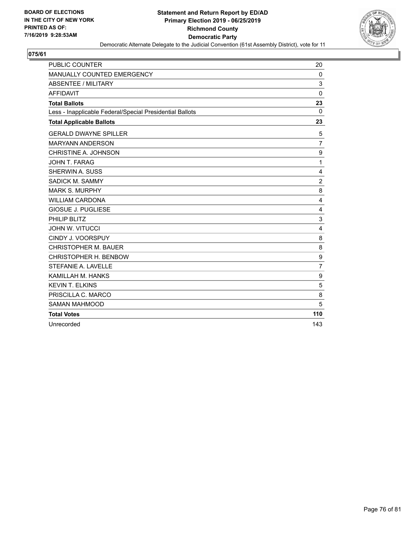

| <b>PUBLIC COUNTER</b>                                    | 20             |
|----------------------------------------------------------|----------------|
| MANUALLY COUNTED EMERGENCY                               | 0              |
| <b>ABSENTEE / MILITARY</b>                               | 3              |
| <b>AFFIDAVIT</b>                                         | $\mathbf 0$    |
| <b>Total Ballots</b>                                     | 23             |
| Less - Inapplicable Federal/Special Presidential Ballots | $\Omega$       |
| <b>Total Applicable Ballots</b>                          | 23             |
| <b>GERALD DWAYNE SPILLER</b>                             | 5              |
| <b>MARYANN ANDERSON</b>                                  | $\overline{7}$ |
| CHRISTINE A. JOHNSON                                     | 9              |
| JOHN T. FARAG                                            | 1              |
| SHERWIN A. SUSS                                          | 4              |
| SADICK M. SAMMY                                          | $\overline{2}$ |
| <b>MARK S. MURPHY</b>                                    | 8              |
| <b>WILLIAM CARDONA</b>                                   | 4              |
| <b>GIOSUE J. PUGLIESE</b>                                | 4              |
| PHILIP BLITZ                                             | 3              |
| <b>JOHN W. VITUCCI</b>                                   | 4              |
| CINDY J. VOORSPUY                                        | 8              |
| <b>CHRISTOPHER M. BAUER</b>                              | 8              |
| CHRISTOPHER H. BENBOW                                    | 9              |
| STEFANIE A. LAVELLE                                      | $\overline{7}$ |
| KAMILLAH M. HANKS                                        | 9              |
| <b>KEVIN T. ELKINS</b>                                   | 5              |
| PRISCILLA C. MARCO                                       | 8              |
| <b>SAMAN MAHMOOD</b>                                     | 5              |
| <b>Total Votes</b>                                       | 110            |
| Unrecorded                                               | 143            |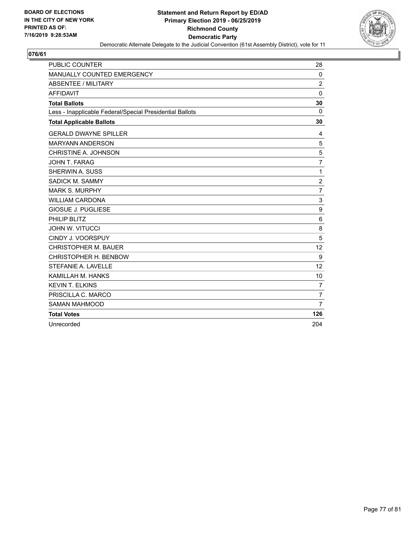

| <b>PUBLIC COUNTER</b>                                    | 28             |
|----------------------------------------------------------|----------------|
| MANUALLY COUNTED EMERGENCY                               | 0              |
| <b>ABSENTEE / MILITARY</b>                               | $\overline{2}$ |
| <b>AFFIDAVIT</b>                                         | $\mathbf{0}$   |
| <b>Total Ballots</b>                                     | 30             |
| Less - Inapplicable Federal/Special Presidential Ballots | $\Omega$       |
| <b>Total Applicable Ballots</b>                          | 30             |
| <b>GERALD DWAYNE SPILLER</b>                             | 4              |
| <b>MARYANN ANDERSON</b>                                  | 5              |
| CHRISTINE A. JOHNSON                                     | 5              |
| JOHN T. FARAG                                            | $\overline{7}$ |
| SHERWIN A. SUSS                                          | 1              |
| SADICK M. SAMMY                                          | $\overline{c}$ |
| <b>MARK S. MURPHY</b>                                    | $\overline{7}$ |
| <b>WILLIAM CARDONA</b>                                   | $\mathbf{3}$   |
| <b>GIOSUE J. PUGLIESE</b>                                | 9              |
| PHILIP BLITZ                                             | 6              |
| <b>JOHN W. VITUCCI</b>                                   | 8              |
| CINDY J. VOORSPUY                                        | 5              |
| <b>CHRISTOPHER M. BAUER</b>                              | 12             |
| CHRISTOPHER H. BENBOW                                    | 9              |
| <b>STEFANIE A. LAVELLE</b>                               | 12             |
| KAMILLAH M. HANKS                                        | 10             |
| <b>KEVIN T. ELKINS</b>                                   | $\overline{7}$ |
| PRISCILLA C. MARCO                                       | $\overline{7}$ |
| <b>SAMAN MAHMOOD</b>                                     | $\overline{7}$ |
| <b>Total Votes</b>                                       | 126            |
| Unrecorded                                               | 204            |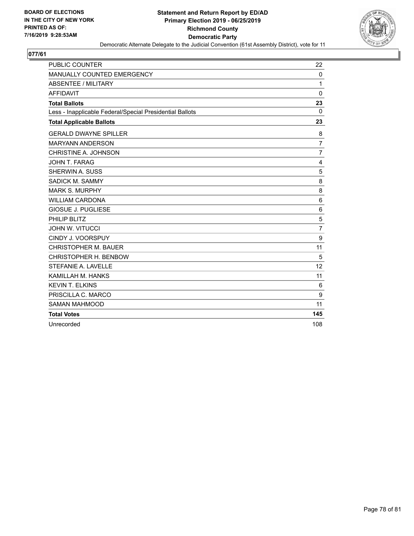

| <b>PUBLIC COUNTER</b>                                    | 22             |
|----------------------------------------------------------|----------------|
| MANUALLY COUNTED EMERGENCY                               | $\mathbf 0$    |
| <b>ABSENTEE / MILITARY</b>                               | 1              |
| <b>AFFIDAVIT</b>                                         | $\mathbf 0$    |
| <b>Total Ballots</b>                                     | 23             |
| Less - Inapplicable Federal/Special Presidential Ballots | $\Omega$       |
| <b>Total Applicable Ballots</b>                          | 23             |
| <b>GERALD DWAYNE SPILLER</b>                             | 8              |
| <b>MARYANN ANDERSON</b>                                  | $\overline{7}$ |
| CHRISTINE A. JOHNSON                                     | $\overline{7}$ |
| <b>JOHN T. FARAG</b>                                     | 4              |
| <b>SHERWIN A. SUSS</b>                                   | 5              |
| SADICK M. SAMMY                                          | 8              |
| <b>MARK S. MURPHY</b>                                    | 8              |
| <b>WILLIAM CARDONA</b>                                   | 6              |
| <b>GIOSUE J. PUGLIESE</b>                                | 6              |
| PHILIP BLITZ                                             | 5              |
| <b>JOHN W. VITUCCI</b>                                   | $\overline{7}$ |
| CINDY J. VOORSPUY                                        | 9              |
| <b>CHRISTOPHER M. BAUER</b>                              | 11             |
| CHRISTOPHER H. BENBOW                                    | 5              |
| STEFANIE A. LAVELLE                                      | 12             |
| KAMILLAH M. HANKS                                        | 11             |
| <b>KEVIN T. ELKINS</b>                                   | 6              |
| PRISCILLA C. MARCO                                       | 9              |
| <b>SAMAN MAHMOOD</b>                                     | 11             |
| <b>Total Votes</b>                                       | 145            |
| Unrecorded                                               | 108            |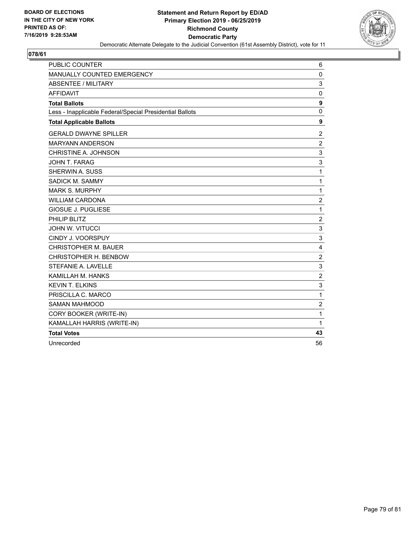

| <b>PUBLIC COUNTER</b>                                    | 6                |
|----------------------------------------------------------|------------------|
| MANUALLY COUNTED EMERGENCY                               | 0                |
| <b>ABSENTEE / MILITARY</b>                               | 3                |
| <b>AFFIDAVIT</b>                                         | 0                |
| <b>Total Ballots</b>                                     | 9                |
| Less - Inapplicable Federal/Special Presidential Ballots | $\pmb{0}$        |
| <b>Total Applicable Ballots</b>                          | 9                |
| <b>GERALD DWAYNE SPILLER</b>                             | 2                |
| <b>MARYANN ANDERSON</b>                                  | $\overline{c}$   |
| CHRISTINE A. JOHNSON                                     | 3                |
| JOHN T. FARAG                                            | 3                |
| SHERWIN A. SUSS                                          | $\mathbf{1}$     |
| SADICK M. SAMMY                                          | $\mathbf{1}$     |
| <b>MARK S. MURPHY</b>                                    | $\mathbf{1}$     |
| <b>WILLIAM CARDONA</b>                                   | $\overline{c}$   |
| <b>GIOSUE J. PUGLIESE</b>                                | $\mathbf{1}$     |
| PHILIP BLITZ                                             | $\boldsymbol{2}$ |
| <b>JOHN W. VITUCCI</b>                                   | 3                |
| CINDY J. VOORSPUY                                        | 3                |
| <b>CHRISTOPHER M. BAUER</b>                              | 4                |
| CHRISTOPHER H. BENBOW                                    | $\overline{2}$   |
| STEFANIE A. LAVELLE                                      | 3                |
| KAMILLAH M. HANKS                                        | $\overline{c}$   |
| <b>KEVIN T. ELKINS</b>                                   | 3                |
| PRISCILLA C. MARCO                                       | $\mathbf{1}$     |
| <b>SAMAN MAHMOOD</b>                                     | $\overline{c}$   |
| CORY BOOKER (WRITE-IN)                                   | $\mathbf{1}$     |
| KAMALLAH HARRIS (WRITE-IN)                               | $\mathbf{1}$     |
| <b>Total Votes</b>                                       | 43               |
| Unrecorded                                               | 56               |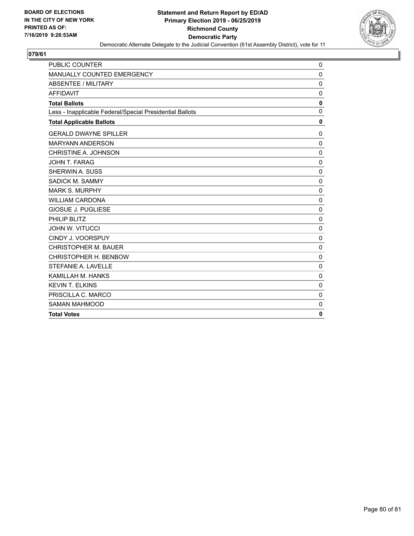

| <b>PUBLIC COUNTER</b>                                    | 0            |
|----------------------------------------------------------|--------------|
| MANUALLY COUNTED EMERGENCY                               | $\mathbf 0$  |
| <b>ABSENTEE / MILITARY</b>                               | $\mathbf 0$  |
| <b>AFFIDAVIT</b>                                         | $\mathbf 0$  |
| <b>Total Ballots</b>                                     | $\mathbf 0$  |
| Less - Inapplicable Federal/Special Presidential Ballots | $\mathbf{0}$ |
| <b>Total Applicable Ballots</b>                          | 0            |
| <b>GERALD DWAYNE SPILLER</b>                             | 0            |
| <b>MARYANN ANDERSON</b>                                  | $\mathbf 0$  |
| CHRISTINE A. JOHNSON                                     | $\mathbf 0$  |
| JOHN T. FARAG                                            | $\mathbf 0$  |
| SHERWIN A. SUSS                                          | 0            |
| <b>SADICK M. SAMMY</b>                                   | $\mathbf 0$  |
| <b>MARK S. MURPHY</b>                                    | $\mathbf 0$  |
| <b>WILLIAM CARDONA</b>                                   | $\mathbf 0$  |
| <b>GIOSUE J. PUGLIESE</b>                                | $\mathbf 0$  |
| PHILIP BLITZ                                             | $\mathbf 0$  |
| <b>JOHN W. VITUCCI</b>                                   | $\mathbf{0}$ |
| CINDY J. VOORSPUY                                        | $\mathbf 0$  |
| <b>CHRISTOPHER M. BAUER</b>                              | 0            |
| CHRISTOPHER H. BENBOW                                    | 0            |
| STEFANIE A. LAVELLE                                      | $\mathbf 0$  |
| KAMILLAH M. HANKS                                        | $\mathbf 0$  |
| <b>KEVIN T. ELKINS</b>                                   | 0            |
| PRISCILLA C. MARCO                                       | 0            |
| <b>SAMAN MAHMOOD</b>                                     | $\mathbf 0$  |
| <b>Total Votes</b>                                       | $\mathbf{0}$ |